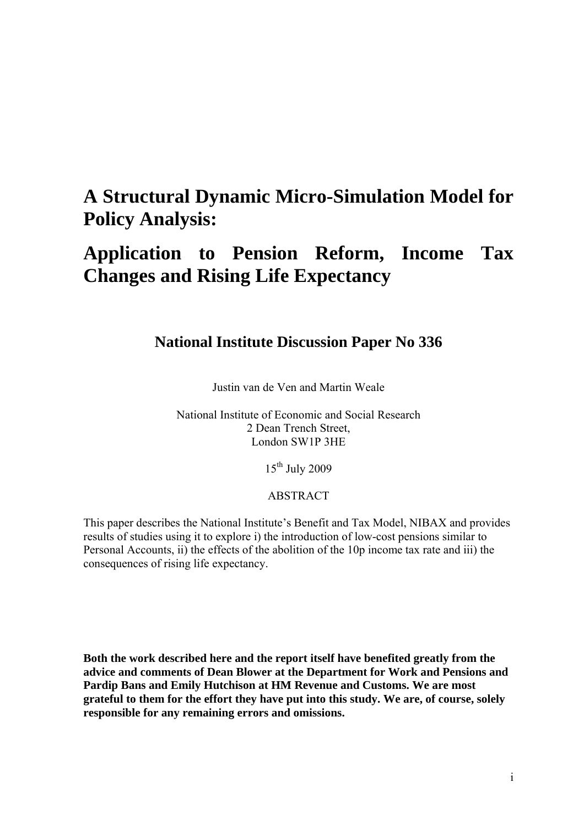# **A Structural Dynamic Micro-Simulation Model for Policy Analysis:**

# **Application to Pension Reform, Income Tax Changes and Rising Life Expectancy**

## **National Institute Discussion Paper No 336**

Justin van de Ven and Martin Weale

National Institute of Economic and Social Research 2 Dean Trench Street, London SW1P 3HE

15th July 2009

#### ABSTRACT

This paper describes the National Institute's Benefit and Tax Model, NIBAX and provides results of studies using it to explore i) the introduction of low-cost pensions similar to Personal Accounts, ii) the effects of the abolition of the 10p income tax rate and iii) the consequences of rising life expectancy.

**Both the work described here and the report itself have benefited greatly from the advice and comments of Dean Blower at the Department for Work and Pensions and Pardip Bans and Emily Hutchison at HM Revenue and Customs. We are most grateful to them for the effort they have put into this study. We are, of course, solely responsible for any remaining errors and omissions.**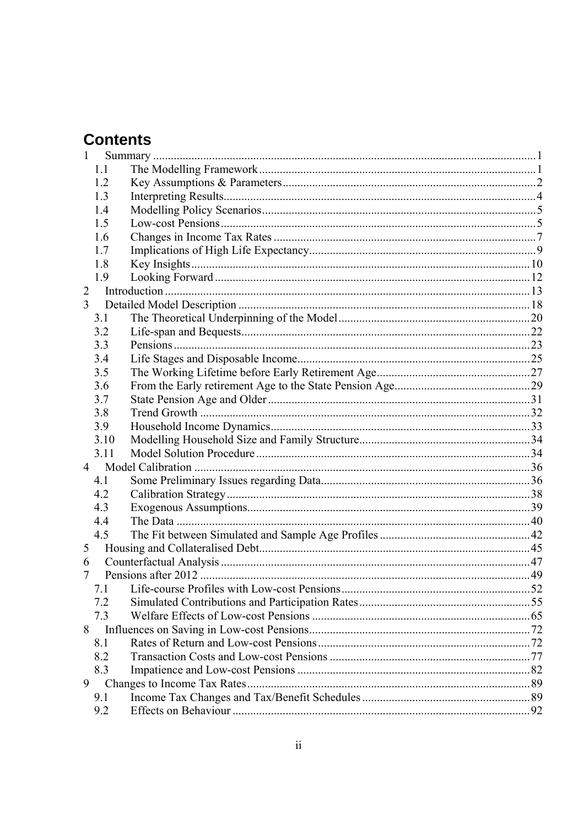# **Contents**

| 1.1    |  |  |
|--------|--|--|
| 1.2    |  |  |
| 1.3    |  |  |
| 1.4    |  |  |
| 1.5    |  |  |
| 1.6    |  |  |
| 1.7    |  |  |
| 1.8    |  |  |
| 1.9    |  |  |
|        |  |  |
|        |  |  |
| 3.1    |  |  |
| 3.2    |  |  |
| 3.3    |  |  |
| 3.4    |  |  |
| 3.5    |  |  |
| 3.6    |  |  |
| 3.7    |  |  |
| 3.8    |  |  |
| 3.9    |  |  |
| 3.10   |  |  |
| 3.11   |  |  |
|        |  |  |
| 4.1    |  |  |
| 4.2    |  |  |
| 4.3    |  |  |
| 4.4    |  |  |
| 4.5    |  |  |
|        |  |  |
| 6      |  |  |
|        |  |  |
| 7.1    |  |  |
| 7.2    |  |  |
| 7.3    |  |  |
|        |  |  |
| 8.1    |  |  |
| 8.2    |  |  |
| 8.3    |  |  |
| 9      |  |  |
| 9.1    |  |  |
| 9.2    |  |  |
| 3<br>5 |  |  |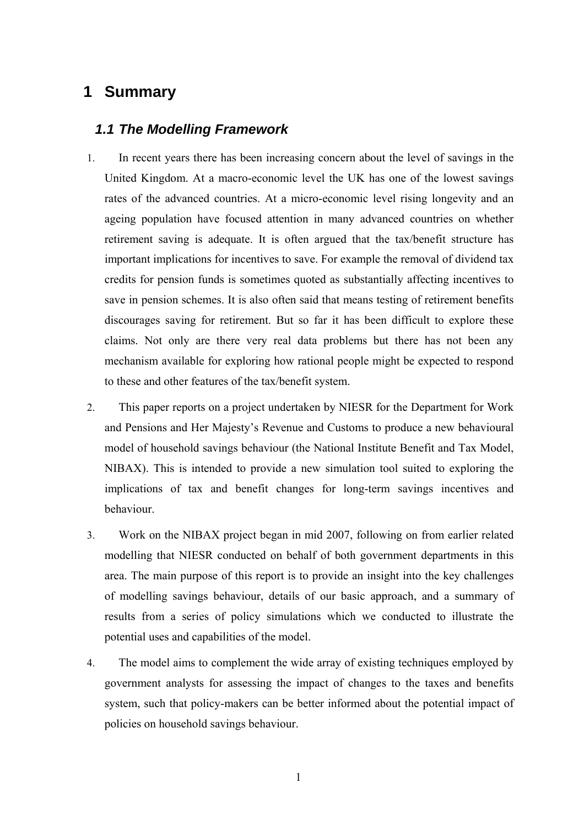## **1 Summary**

#### *1.1 The Modelling Framework*

- 1. In recent years there has been increasing concern about the level of savings in the United Kingdom. At a macro-economic level the UK has one of the lowest savings rates of the advanced countries. At a micro-economic level rising longevity and an ageing population have focused attention in many advanced countries on whether retirement saving is adequate. It is often argued that the tax/benefit structure has important implications for incentives to save. For example the removal of dividend tax credits for pension funds is sometimes quoted as substantially affecting incentives to save in pension schemes. It is also often said that means testing of retirement benefits discourages saving for retirement. But so far it has been difficult to explore these claims. Not only are there very real data problems but there has not been any mechanism available for exploring how rational people might be expected to respond to these and other features of the tax/benefit system.
- 2. This paper reports on a project undertaken by NIESR for the Department for Work and Pensions and Her Majesty's Revenue and Customs to produce a new behavioural model of household savings behaviour (the National Institute Benefit and Tax Model, NIBAX). This is intended to provide a new simulation tool suited to exploring the implications of tax and benefit changes for long-term savings incentives and behaviour.
- 3. Work on the NIBAX project began in mid 2007, following on from earlier related modelling that NIESR conducted on behalf of both government departments in this area. The main purpose of this report is to provide an insight into the key challenges of modelling savings behaviour, details of our basic approach, and a summary of results from a series of policy simulations which we conducted to illustrate the potential uses and capabilities of the model.
- 4. The model aims to complement the wide array of existing techniques employed by government analysts for assessing the impact of changes to the taxes and benefits system, such that policy-makers can be better informed about the potential impact of policies on household savings behaviour.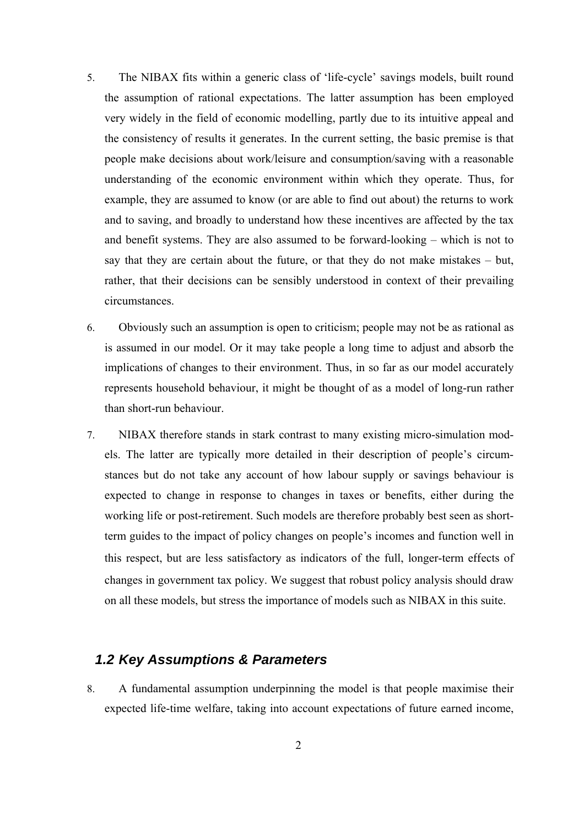- 5. The NIBAX fits within a generic class of 'life-cycle' savings models, built round the assumption of rational expectations. The latter assumption has been employed very widely in the field of economic modelling, partly due to its intuitive appeal and the consistency of results it generates. In the current setting, the basic premise is that people make decisions about work/leisure and consumption/saving with a reasonable understanding of the economic environment within which they operate. Thus, for example, they are assumed to know (or are able to find out about) the returns to work and to saving, and broadly to understand how these incentives are affected by the tax and benefit systems. They are also assumed to be forward-looking – which is not to say that they are certain about the future, or that they do not make mistakes – but, rather, that their decisions can be sensibly understood in context of their prevailing circumstances.
- 6. Obviously such an assumption is open to criticism; people may not be as rational as is assumed in our model. Or it may take people a long time to adjust and absorb the implications of changes to their environment. Thus, in so far as our model accurately represents household behaviour, it might be thought of as a model of long-run rather than short-run behaviour.
- 7. NIBAX therefore stands in stark contrast to many existing micro-simulation models. The latter are typically more detailed in their description of people's circumstances but do not take any account of how labour supply or savings behaviour is expected to change in response to changes in taxes or benefits, either during the working life or post-retirement. Such models are therefore probably best seen as shortterm guides to the impact of policy changes on people's incomes and function well in this respect, but are less satisfactory as indicators of the full, longer-term effects of changes in government tax policy. We suggest that robust policy analysis should draw on all these models, but stress the importance of models such as NIBAX in this suite.

## *1.2 Key Assumptions & Parameters*

8. A fundamental assumption underpinning the model is that people maximise their expected life-time welfare, taking into account expectations of future earned income,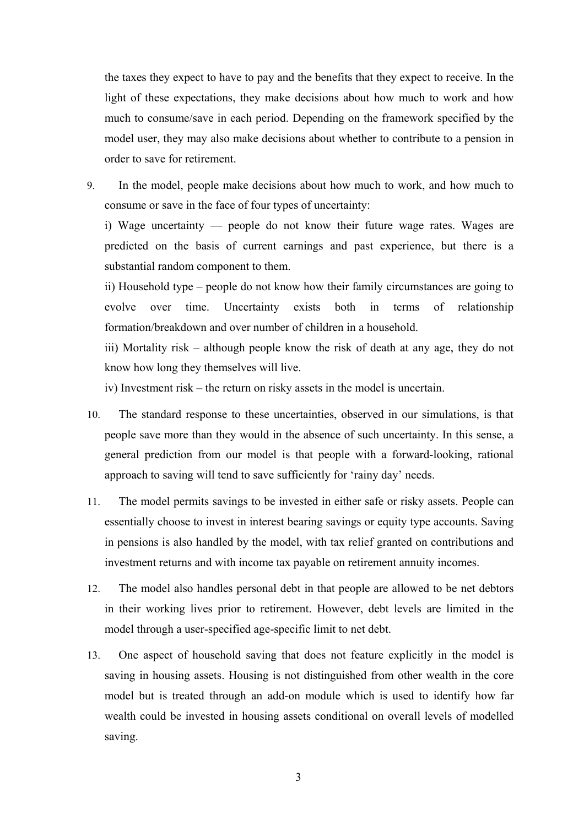the taxes they expect to have to pay and the benefits that they expect to receive. In the light of these expectations, they make decisions about how much to work and how much to consume/save in each period. Depending on the framework specified by the model user, they may also make decisions about whether to contribute to a pension in order to save for retirement.

9. In the model, people make decisions about how much to work, and how much to consume or save in the face of four types of uncertainty:

i) Wage uncertainty — people do not know their future wage rates. Wages are predicted on the basis of current earnings and past experience, but there is a substantial random component to them.

ii) Household type – people do not know how their family circumstances are going to evolve over time. Uncertainty exists both in terms of relationship formation/breakdown and over number of children in a household.

iii) Mortality risk – although people know the risk of death at any age, they do not know how long they themselves will live.

iv) Investment risk – the return on risky assets in the model is uncertain.

- 10. The standard response to these uncertainties, observed in our simulations, is that people save more than they would in the absence of such uncertainty. In this sense, a general prediction from our model is that people with a forward-looking, rational approach to saving will tend to save sufficiently for 'rainy day' needs.
- 11. The model permits savings to be invested in either safe or risky assets. People can essentially choose to invest in interest bearing savings or equity type accounts. Saving in pensions is also handled by the model, with tax relief granted on contributions and investment returns and with income tax payable on retirement annuity incomes.
- 12. The model also handles personal debt in that people are allowed to be net debtors in their working lives prior to retirement. However, debt levels are limited in the model through a user-specified age-specific limit to net debt.
- 13. One aspect of household saving that does not feature explicitly in the model is saving in housing assets. Housing is not distinguished from other wealth in the core model but is treated through an add-on module which is used to identify how far wealth could be invested in housing assets conditional on overall levels of modelled saving.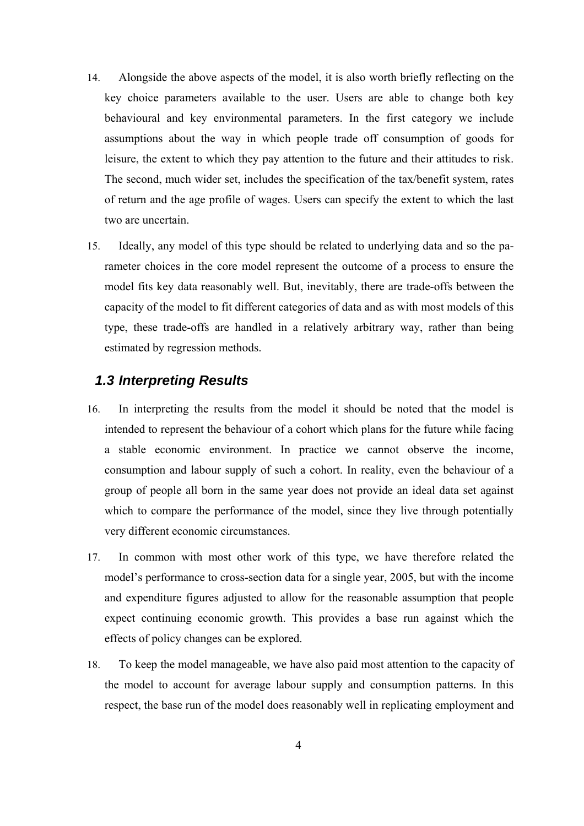- 14. Alongside the above aspects of the model, it is also worth briefly reflecting on the key choice parameters available to the user. Users are able to change both key behavioural and key environmental parameters. In the first category we include assumptions about the way in which people trade off consumption of goods for leisure, the extent to which they pay attention to the future and their attitudes to risk. The second, much wider set, includes the specification of the tax/benefit system, rates of return and the age profile of wages. Users can specify the extent to which the last two are uncertain.
- 15. Ideally, any model of this type should be related to underlying data and so the parameter choices in the core model represent the outcome of a process to ensure the model fits key data reasonably well. But, inevitably, there are trade-offs between the capacity of the model to fit different categories of data and as with most models of this type, these trade-offs are handled in a relatively arbitrary way, rather than being estimated by regression methods.

#### *1.3 Interpreting Results*

- 16. In interpreting the results from the model it should be noted that the model is intended to represent the behaviour of a cohort which plans for the future while facing a stable economic environment. In practice we cannot observe the income, consumption and labour supply of such a cohort. In reality, even the behaviour of a group of people all born in the same year does not provide an ideal data set against which to compare the performance of the model, since they live through potentially very different economic circumstances.
- 17. In common with most other work of this type, we have therefore related the model's performance to cross-section data for a single year, 2005, but with the income and expenditure figures adjusted to allow for the reasonable assumption that people expect continuing economic growth. This provides a base run against which the effects of policy changes can be explored.
- 18. To keep the model manageable, we have also paid most attention to the capacity of the model to account for average labour supply and consumption patterns. In this respect, the base run of the model does reasonably well in replicating employment and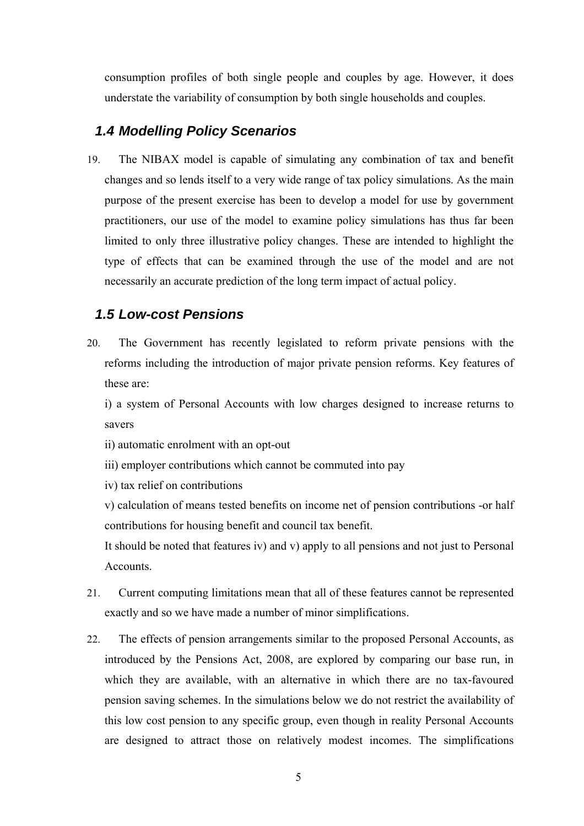consumption profiles of both single people and couples by age. However, it does understate the variability of consumption by both single households and couples.

#### *1.4 Modelling Policy Scenarios*

19. The NIBAX model is capable of simulating any combination of tax and benefit changes and so lends itself to a very wide range of tax policy simulations. As the main purpose of the present exercise has been to develop a model for use by government practitioners, our use of the model to examine policy simulations has thus far been limited to only three illustrative policy changes. These are intended to highlight the type of effects that can be examined through the use of the model and are not necessarily an accurate prediction of the long term impact of actual policy.

#### *1.5 Low-cost Pensions*

20. The Government has recently legislated to reform private pensions with the reforms including the introduction of major private pension reforms. Key features of these are:

i) a system of Personal Accounts with low charges designed to increase returns to savers

- ii) automatic enrolment with an opt-out
- iii) employer contributions which cannot be commuted into pay
- iv) tax relief on contributions

v) calculation of means tested benefits on income net of pension contributions -or half contributions for housing benefit and council tax benefit.

It should be noted that features iv) and v) apply to all pensions and not just to Personal Accounts.

- 21. Current computing limitations mean that all of these features cannot be represented exactly and so we have made a number of minor simplifications.
- 22. The effects of pension arrangements similar to the proposed Personal Accounts, as introduced by the Pensions Act, 2008, are explored by comparing our base run, in which they are available, with an alternative in which there are no tax-favoured pension saving schemes. In the simulations below we do not restrict the availability of this low cost pension to any specific group, even though in reality Personal Accounts are designed to attract those on relatively modest incomes. The simplifications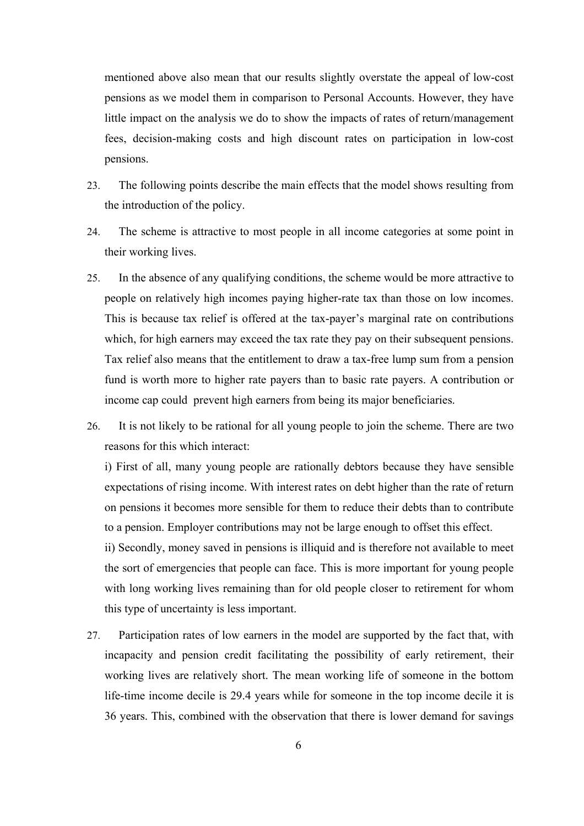mentioned above also mean that our results slightly overstate the appeal of low-cost pensions as we model them in comparison to Personal Accounts. However, they have little impact on the analysis we do to show the impacts of rates of return/management fees, decision-making costs and high discount rates on participation in low-cost pensions.

- 23. The following points describe the main effects that the model shows resulting from the introduction of the policy.
- 24. The scheme is attractive to most people in all income categories at some point in their working lives.
- 25. In the absence of any qualifying conditions, the scheme would be more attractive to people on relatively high incomes paying higher-rate tax than those on low incomes. This is because tax relief is offered at the tax-payer's marginal rate on contributions which, for high earners may exceed the tax rate they pay on their subsequent pensions. Tax relief also means that the entitlement to draw a tax-free lump sum from a pension fund is worth more to higher rate payers than to basic rate payers. A contribution or income cap could prevent high earners from being its major beneficiaries.
- 26. It is not likely to be rational for all young people to join the scheme. There are two reasons for this which interact:

i) First of all, many young people are rationally debtors because they have sensible expectations of rising income. With interest rates on debt higher than the rate of return on pensions it becomes more sensible for them to reduce their debts than to contribute to a pension. Employer contributions may not be large enough to offset this effect.

ii) Secondly, money saved in pensions is illiquid and is therefore not available to meet the sort of emergencies that people can face. This is more important for young people with long working lives remaining than for old people closer to retirement for whom this type of uncertainty is less important.

27. Participation rates of low earners in the model are supported by the fact that, with incapacity and pension credit facilitating the possibility of early retirement, their working lives are relatively short. The mean working life of someone in the bottom life-time income decile is 29.4 years while for someone in the top income decile it is 36 years. This, combined with the observation that there is lower demand for savings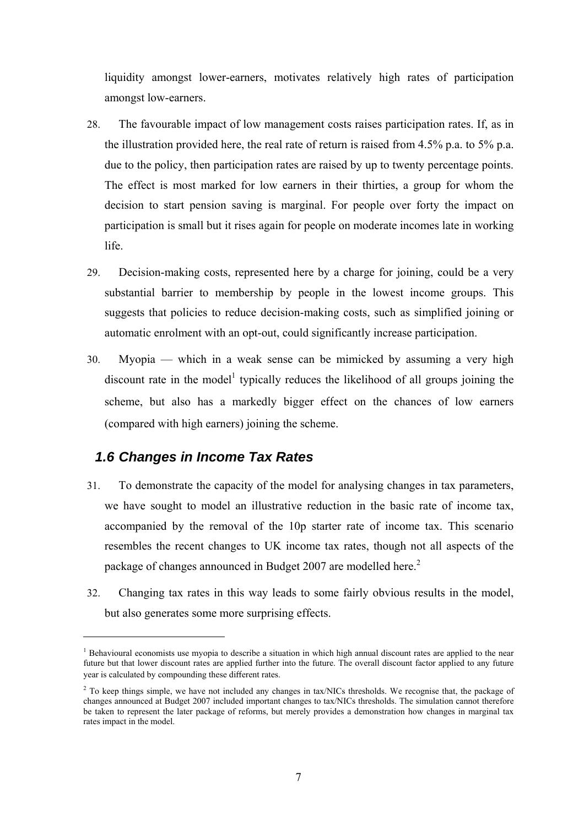liquidity amongst lower-earners, motivates relatively high rates of participation amongst low-earners.

- 28. The favourable impact of low management costs raises participation rates. If, as in the illustration provided here, the real rate of return is raised from 4.5% p.a. to 5% p.a. due to the policy, then participation rates are raised by up to twenty percentage points. The effect is most marked for low earners in their thirties, a group for whom the decision to start pension saving is marginal. For people over forty the impact on participation is small but it rises again for people on moderate incomes late in working life.
- 29. Decision-making costs, represented here by a charge for joining, could be a very substantial barrier to membership by people in the lowest income groups. This suggests that policies to reduce decision-making costs, such as simplified joining or automatic enrolment with an opt-out, could significantly increase participation.
- 30. Myopia which in a weak sense can be mimicked by assuming a very high discount rate in the model<sup>1</sup> typically reduces the likelihood of all groups joining the scheme, but also has a markedly bigger effect on the chances of low earners (compared with high earners) joining the scheme.

## *1.6 Changes in Income Tax Rates*

 $\overline{a}$ 

- 31. To demonstrate the capacity of the model for analysing changes in tax parameters, we have sought to model an illustrative reduction in the basic rate of income tax, accompanied by the removal of the 10p starter rate of income tax. This scenario resembles the recent changes to UK income tax rates, though not all aspects of the package of changes announced in Budget 2007 are modelled here.<sup>2</sup>
- 32. Changing tax rates in this way leads to some fairly obvious results in the model, but also generates some more surprising effects.

<sup>&</sup>lt;sup>1</sup> Behavioural economists use myopia to describe a situation in which high annual discount rates are applied to the near future but that lower discount rates are applied further into the future. The overall discount factor applied to any future year is calculated by compounding these different rates.

<sup>&</sup>lt;sup>2</sup> To keep things simple, we have not included any changes in tax/NICs thresholds. We recognise that, the package of changes announced at Budget 2007 included important changes to tax/NICs thresholds. The simulation cannot therefore be taken to represent the later package of reforms, but merely provides a demonstration how changes in marginal tax rates impact in the model.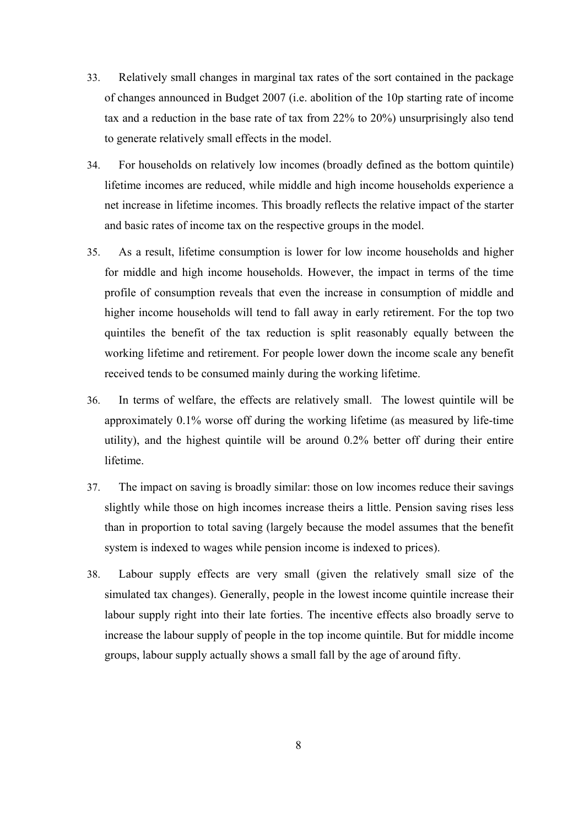- 33. Relatively small changes in marginal tax rates of the sort contained in the package of changes announced in Budget 2007 (i.e. abolition of the 10p starting rate of income tax and a reduction in the base rate of tax from 22% to 20%) unsurprisingly also tend to generate relatively small effects in the model.
- 34. For households on relatively low incomes (broadly defined as the bottom quintile) lifetime incomes are reduced, while middle and high income households experience a net increase in lifetime incomes. This broadly reflects the relative impact of the starter and basic rates of income tax on the respective groups in the model.
- 35. As a result, lifetime consumption is lower for low income households and higher for middle and high income households. However, the impact in terms of the time profile of consumption reveals that even the increase in consumption of middle and higher income households will tend to fall away in early retirement. For the top two quintiles the benefit of the tax reduction is split reasonably equally between the working lifetime and retirement. For people lower down the income scale any benefit received tends to be consumed mainly during the working lifetime.
- 36. In terms of welfare, the effects are relatively small. The lowest quintile will be approximately 0.1% worse off during the working lifetime (as measured by life-time utility), and the highest quintile will be around 0.2% better off during their entire lifetime.
- 37. The impact on saving is broadly similar: those on low incomes reduce their savings slightly while those on high incomes increase theirs a little. Pension saving rises less than in proportion to total saving (largely because the model assumes that the benefit system is indexed to wages while pension income is indexed to prices).
- 38. Labour supply effects are very small (given the relatively small size of the simulated tax changes). Generally, people in the lowest income quintile increase their labour supply right into their late forties. The incentive effects also broadly serve to increase the labour supply of people in the top income quintile. But for middle income groups, labour supply actually shows a small fall by the age of around fifty.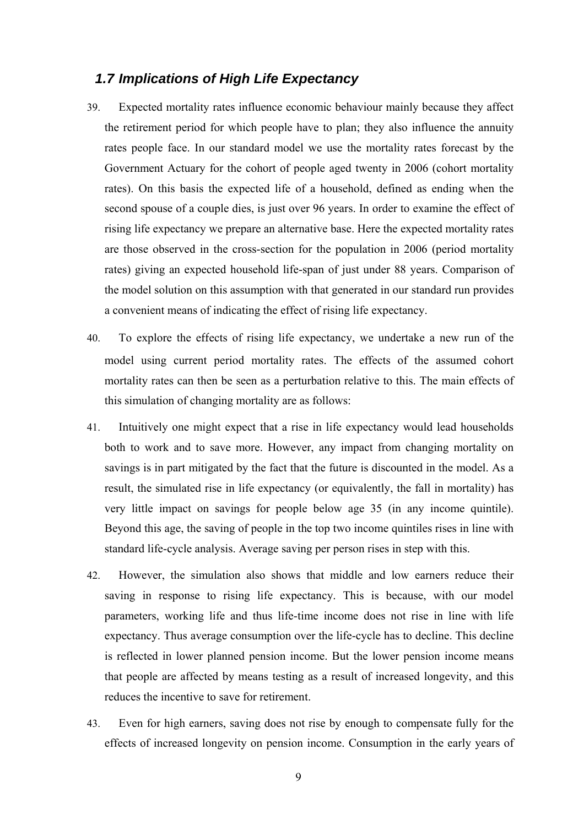#### *1.7 Implications of High Life Expectancy*

- 39. Expected mortality rates influence economic behaviour mainly because they affect the retirement period for which people have to plan; they also influence the annuity rates people face. In our standard model we use the mortality rates forecast by the Government Actuary for the cohort of people aged twenty in 2006 (cohort mortality rates). On this basis the expected life of a household, defined as ending when the second spouse of a couple dies, is just over 96 years. In order to examine the effect of rising life expectancy we prepare an alternative base. Here the expected mortality rates are those observed in the cross-section for the population in 2006 (period mortality rates) giving an expected household life-span of just under 88 years. Comparison of the model solution on this assumption with that generated in our standard run provides a convenient means of indicating the effect of rising life expectancy.
- 40. To explore the effects of rising life expectancy, we undertake a new run of the model using current period mortality rates. The effects of the assumed cohort mortality rates can then be seen as a perturbation relative to this. The main effects of this simulation of changing mortality are as follows:
- 41. Intuitively one might expect that a rise in life expectancy would lead households both to work and to save more. However, any impact from changing mortality on savings is in part mitigated by the fact that the future is discounted in the model. As a result, the simulated rise in life expectancy (or equivalently, the fall in mortality) has very little impact on savings for people below age 35 (in any income quintile). Beyond this age, the saving of people in the top two income quintiles rises in line with standard life-cycle analysis. Average saving per person rises in step with this.
- 42. However, the simulation also shows that middle and low earners reduce their saving in response to rising life expectancy. This is because, with our model parameters, working life and thus life-time income does not rise in line with life expectancy. Thus average consumption over the life-cycle has to decline. This decline is reflected in lower planned pension income. But the lower pension income means that people are affected by means testing as a result of increased longevity, and this reduces the incentive to save for retirement.
- 43. Even for high earners, saving does not rise by enough to compensate fully for the effects of increased longevity on pension income. Consumption in the early years of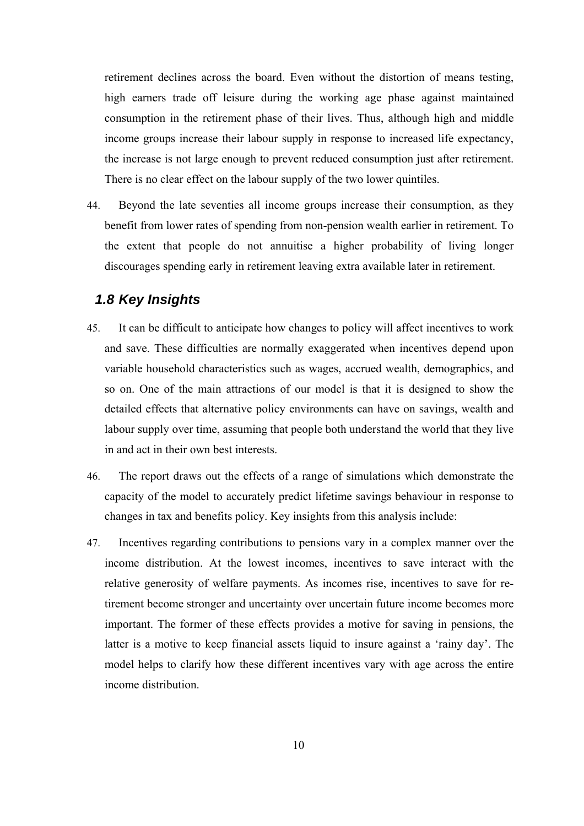retirement declines across the board. Even without the distortion of means testing, high earners trade off leisure during the working age phase against maintained consumption in the retirement phase of their lives. Thus, although high and middle income groups increase their labour supply in response to increased life expectancy, the increase is not large enough to prevent reduced consumption just after retirement. There is no clear effect on the labour supply of the two lower quintiles.

44. Beyond the late seventies all income groups increase their consumption, as they benefit from lower rates of spending from non-pension wealth earlier in retirement. To the extent that people do not annuitise a higher probability of living longer discourages spending early in retirement leaving extra available later in retirement.

#### *1.8 Key Insights*

- 45. It can be difficult to anticipate how changes to policy will affect incentives to work and save. These difficulties are normally exaggerated when incentives depend upon variable household characteristics such as wages, accrued wealth, demographics, and so on. One of the main attractions of our model is that it is designed to show the detailed effects that alternative policy environments can have on savings, wealth and labour supply over time, assuming that people both understand the world that they live in and act in their own best interests.
- 46. The report draws out the effects of a range of simulations which demonstrate the capacity of the model to accurately predict lifetime savings behaviour in response to changes in tax and benefits policy. Key insights from this analysis include:
- 47. Incentives regarding contributions to pensions vary in a complex manner over the income distribution. At the lowest incomes, incentives to save interact with the relative generosity of welfare payments. As incomes rise, incentives to save for retirement become stronger and uncertainty over uncertain future income becomes more important. The former of these effects provides a motive for saving in pensions, the latter is a motive to keep financial assets liquid to insure against a 'rainy day'. The model helps to clarify how these different incentives vary with age across the entire income distribution.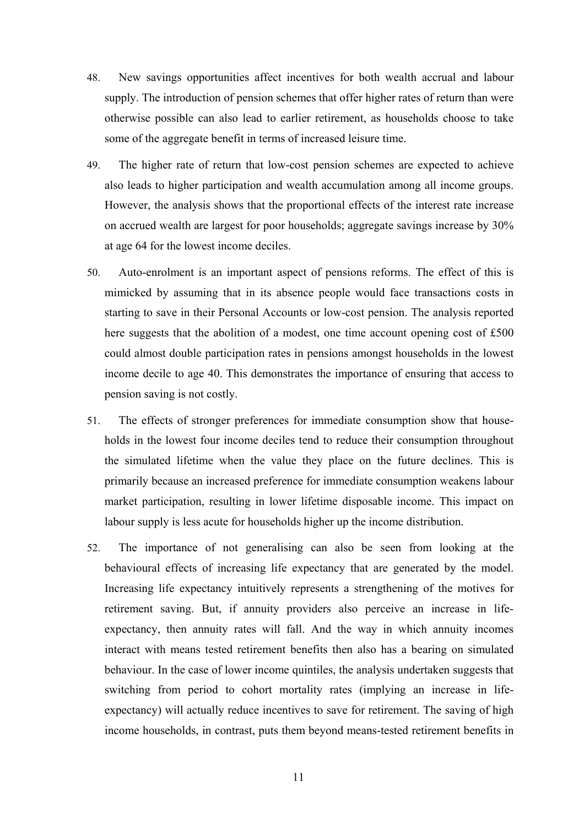- 48. New savings opportunities affect incentives for both wealth accrual and labour supply. The introduction of pension schemes that offer higher rates of return than were otherwise possible can also lead to earlier retirement, as households choose to take some of the aggregate benefit in terms of increased leisure time.
- 49. The higher rate of return that low-cost pension schemes are expected to achieve also leads to higher participation and wealth accumulation among all income groups. However, the analysis shows that the proportional effects of the interest rate increase on accrued wealth are largest for poor households; aggregate savings increase by 30% at age 64 for the lowest income deciles.
- 50. Auto-enrolment is an important aspect of pensions reforms. The effect of this is mimicked by assuming that in its absence people would face transactions costs in starting to save in their Personal Accounts or low-cost pension. The analysis reported here suggests that the abolition of a modest, one time account opening cost of £500 could almost double participation rates in pensions amongst households in the lowest income decile to age 40. This demonstrates the importance of ensuring that access to pension saving is not costly.
- 51. The effects of stronger preferences for immediate consumption show that households in the lowest four income deciles tend to reduce their consumption throughout the simulated lifetime when the value they place on the future declines. This is primarily because an increased preference for immediate consumption weakens labour market participation, resulting in lower lifetime disposable income. This impact on labour supply is less acute for households higher up the income distribution.
- 52. The importance of not generalising can also be seen from looking at the behavioural effects of increasing life expectancy that are generated by the model. Increasing life expectancy intuitively represents a strengthening of the motives for retirement saving. But, if annuity providers also perceive an increase in lifeexpectancy, then annuity rates will fall. And the way in which annuity incomes interact with means tested retirement benefits then also has a bearing on simulated behaviour. In the case of lower income quintiles, the analysis undertaken suggests that switching from period to cohort mortality rates (implying an increase in lifeexpectancy) will actually reduce incentives to save for retirement. The saving of high income households, in contrast, puts them beyond means-tested retirement benefits in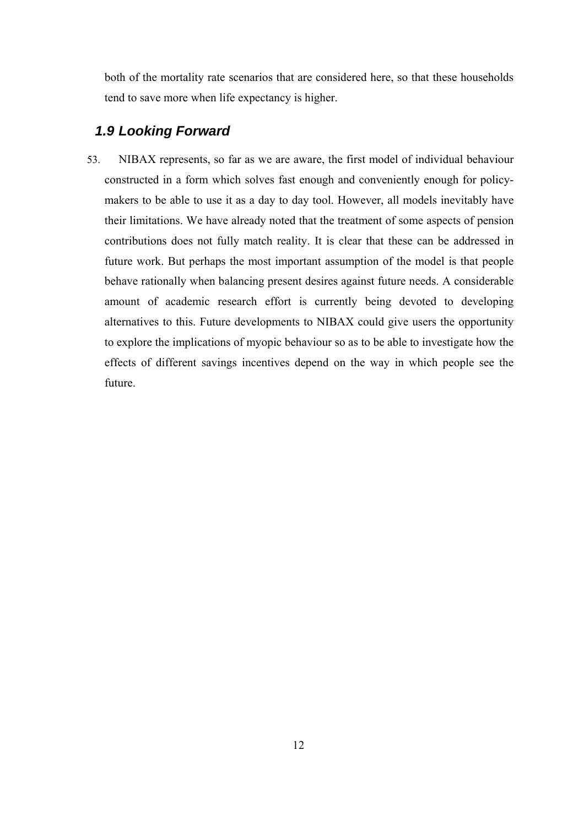both of the mortality rate scenarios that are considered here, so that these households tend to save more when life expectancy is higher.

## *1.9 Looking Forward*

53. NIBAX represents, so far as we are aware, the first model of individual behaviour constructed in a form which solves fast enough and conveniently enough for policymakers to be able to use it as a day to day tool. However, all models inevitably have their limitations. We have already noted that the treatment of some aspects of pension contributions does not fully match reality. It is clear that these can be addressed in future work. But perhaps the most important assumption of the model is that people behave rationally when balancing present desires against future needs. A considerable amount of academic research effort is currently being devoted to developing alternatives to this. Future developments to NIBAX could give users the opportunity to explore the implications of myopic behaviour so as to be able to investigate how the effects of different savings incentives depend on the way in which people see the future.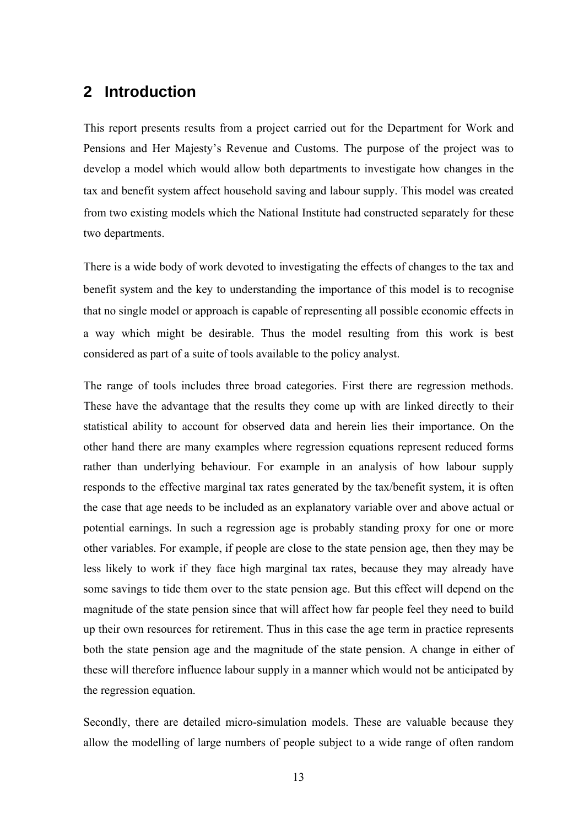## **2 Introduction**

This report presents results from a project carried out for the Department for Work and Pensions and Her Majesty's Revenue and Customs. The purpose of the project was to develop a model which would allow both departments to investigate how changes in the tax and benefit system affect household saving and labour supply. This model was created from two existing models which the National Institute had constructed separately for these two departments.

There is a wide body of work devoted to investigating the effects of changes to the tax and benefit system and the key to understanding the importance of this model is to recognise that no single model or approach is capable of representing all possible economic effects in a way which might be desirable. Thus the model resulting from this work is best considered as part of a suite of tools available to the policy analyst.

The range of tools includes three broad categories. First there are regression methods. These have the advantage that the results they come up with are linked directly to their statistical ability to account for observed data and herein lies their importance. On the other hand there are many examples where regression equations represent reduced forms rather than underlying behaviour. For example in an analysis of how labour supply responds to the effective marginal tax rates generated by the tax/benefit system, it is often the case that age needs to be included as an explanatory variable over and above actual or potential earnings. In such a regression age is probably standing proxy for one or more other variables. For example, if people are close to the state pension age, then they may be less likely to work if they face high marginal tax rates, because they may already have some savings to tide them over to the state pension age. But this effect will depend on the magnitude of the state pension since that will affect how far people feel they need to build up their own resources for retirement. Thus in this case the age term in practice represents both the state pension age and the magnitude of the state pension. A change in either of these will therefore influence labour supply in a manner which would not be anticipated by the regression equation.

Secondly, there are detailed micro-simulation models. These are valuable because they allow the modelling of large numbers of people subject to a wide range of often random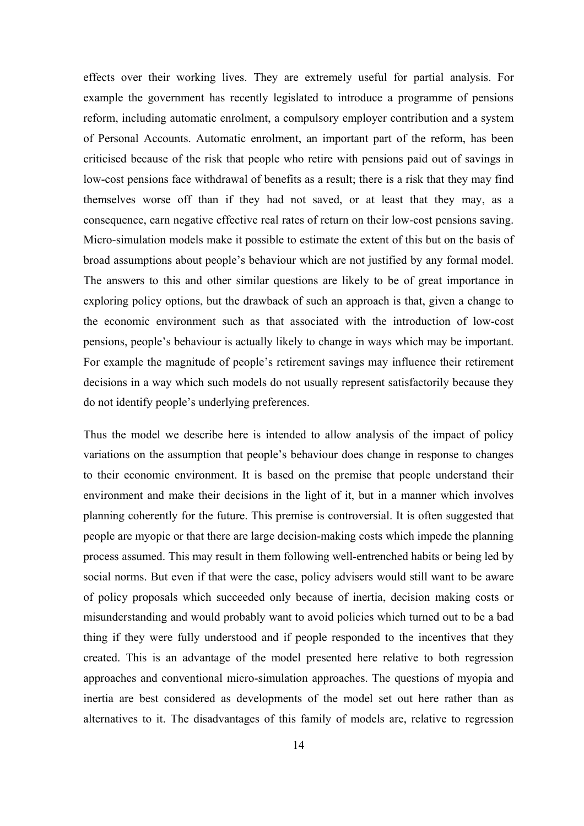effects over their working lives. They are extremely useful for partial analysis. For example the government has recently legislated to introduce a programme of pensions reform, including automatic enrolment, a compulsory employer contribution and a system of Personal Accounts. Automatic enrolment, an important part of the reform, has been criticised because of the risk that people who retire with pensions paid out of savings in low-cost pensions face withdrawal of benefits as a result; there is a risk that they may find themselves worse off than if they had not saved, or at least that they may, as a consequence, earn negative effective real rates of return on their low-cost pensions saving. Micro-simulation models make it possible to estimate the extent of this but on the basis of broad assumptions about people's behaviour which are not justified by any formal model. The answers to this and other similar questions are likely to be of great importance in exploring policy options, but the drawback of such an approach is that, given a change to the economic environment such as that associated with the introduction of low-cost pensions, people's behaviour is actually likely to change in ways which may be important. For example the magnitude of people's retirement savings may influence their retirement decisions in a way which such models do not usually represent satisfactorily because they do not identify people's underlying preferences.

Thus the model we describe here is intended to allow analysis of the impact of policy variations on the assumption that people's behaviour does change in response to changes to their economic environment. It is based on the premise that people understand their environment and make their decisions in the light of it, but in a manner which involves planning coherently for the future. This premise is controversial. It is often suggested that people are myopic or that there are large decision-making costs which impede the planning process assumed. This may result in them following well-entrenched habits or being led by social norms. But even if that were the case, policy advisers would still want to be aware of policy proposals which succeeded only because of inertia, decision making costs or misunderstanding and would probably want to avoid policies which turned out to be a bad thing if they were fully understood and if people responded to the incentives that they created. This is an advantage of the model presented here relative to both regression approaches and conventional micro-simulation approaches. The questions of myopia and inertia are best considered as developments of the model set out here rather than as alternatives to it. The disadvantages of this family of models are, relative to regression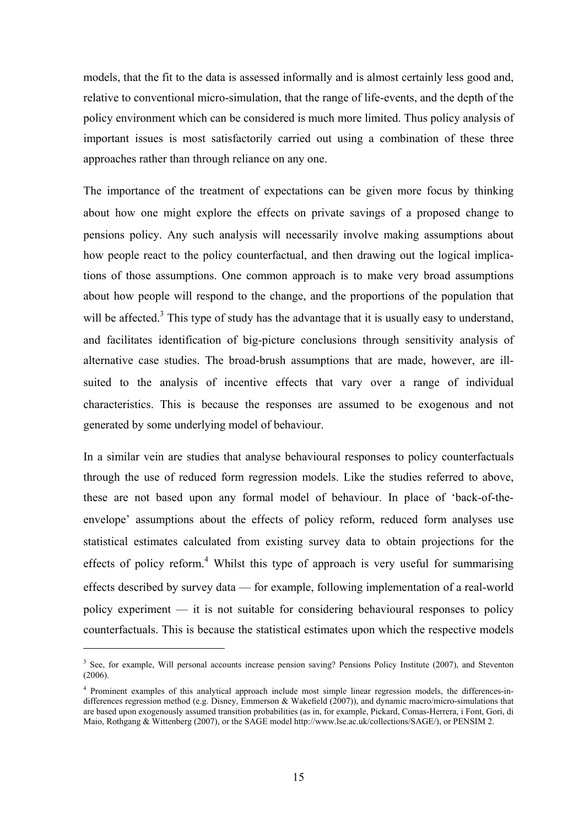models, that the fit to the data is assessed informally and is almost certainly less good and, relative to conventional micro-simulation, that the range of life-events, and the depth of the policy environment which can be considered is much more limited. Thus policy analysis of important issues is most satisfactorily carried out using a combination of these three approaches rather than through reliance on any one.

The importance of the treatment of expectations can be given more focus by thinking about how one might explore the effects on private savings of a proposed change to pensions policy. Any such analysis will necessarily involve making assumptions about how people react to the policy counterfactual, and then drawing out the logical implications of those assumptions. One common approach is to make very broad assumptions about how people will respond to the change, and the proportions of the population that will be affected.<sup>3</sup> This type of study has the advantage that it is usually easy to understand, and facilitates identification of big-picture conclusions through sensitivity analysis of alternative case studies. The broad-brush assumptions that are made, however, are illsuited to the analysis of incentive effects that vary over a range of individual characteristics. This is because the responses are assumed to be exogenous and not generated by some underlying model of behaviour.

In a similar vein are studies that analyse behavioural responses to policy counterfactuals through the use of reduced form regression models. Like the studies referred to above, these are not based upon any formal model of behaviour. In place of 'back-of-theenvelope' assumptions about the effects of policy reform, reduced form analyses use statistical estimates calculated from existing survey data to obtain projections for the effects of policy reform.<sup>4</sup> Whilst this type of approach is very useful for summarising effects described by survey data — for example, following implementation of a real-world policy experiment — it is not suitable for considering behavioural responses to policy counterfactuals. This is because the statistical estimates upon which the respective models

 $\overline{a}$ 

<sup>&</sup>lt;sup>3</sup> See, for example, Will personal accounts increase pension saving? Pensions Policy Institute (2007), and Steventon (2006).

<sup>4</sup> Prominent examples of this analytical approach include most simple linear regression models, the differences-indifferences regression method (e.g. Disney, Emmerson & Wakefield (2007)), and dynamic macro/micro-simulations that are based upon exogenously assumed transition probabilities (as in, for example, Pickard, Comas-Herrera, i Font, Gori, di Maio, Rothgang & Wittenberg (2007), or the SAGE model http://www.lse.ac.uk/collections/SAGE/), or PENSIM 2.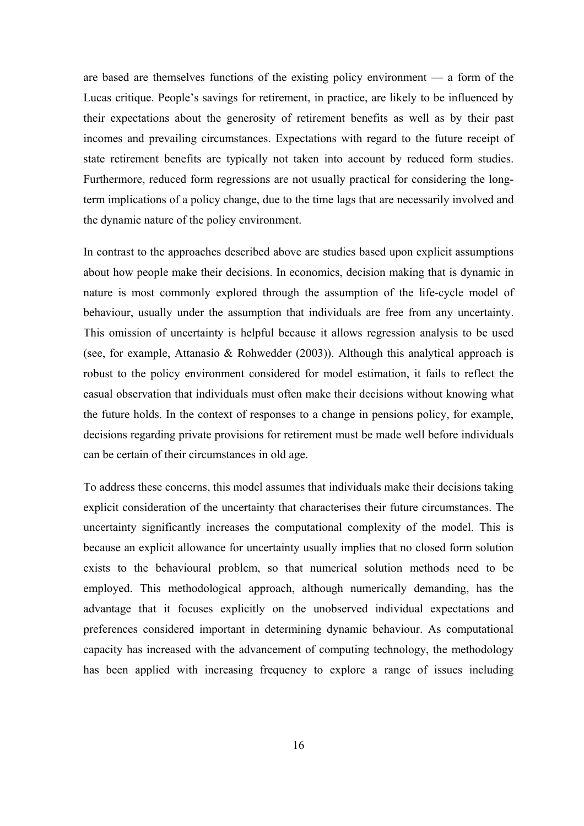are based are themselves functions of the existing policy environment — a form of the Lucas critique. People's savings for retirement, in practice, are likely to be influenced by their expectations about the generosity of retirement benefits as well as by their past incomes and prevailing circumstances. Expectations with regard to the future receipt of state retirement benefits are typically not taken into account by reduced form studies. Furthermore, reduced form regressions are not usually practical for considering the longterm implications of a policy change, due to the time lags that are necessarily involved and the dynamic nature of the policy environment.

In contrast to the approaches described above are studies based upon explicit assumptions about how people make their decisions. In economics, decision making that is dynamic in nature is most commonly explored through the assumption of the life-cycle model of behaviour, usually under the assumption that individuals are free from any uncertainty. This omission of uncertainty is helpful because it allows regression analysis to be used (see, for example, Attanasio & Rohwedder (2003)). Although this analytical approach is robust to the policy environment considered for model estimation, it fails to reflect the casual observation that individuals must often make their decisions without knowing what the future holds. In the context of responses to a change in pensions policy, for example, decisions regarding private provisions for retirement must be made well before individuals can be certain of their circumstances in old age.

To address these concerns, this model assumes that individuals make their decisions taking explicit consideration of the uncertainty that characterises their future circumstances. The uncertainty significantly increases the computational complexity of the model. This is because an explicit allowance for uncertainty usually implies that no closed form solution exists to the behavioural problem, so that numerical solution methods need to be employed. This methodological approach, although numerically demanding, has the advantage that it focuses explicitly on the unobserved individual expectations and preferences considered important in determining dynamic behaviour. As computational capacity has increased with the advancement of computing technology, the methodology has been applied with increasing frequency to explore a range of issues including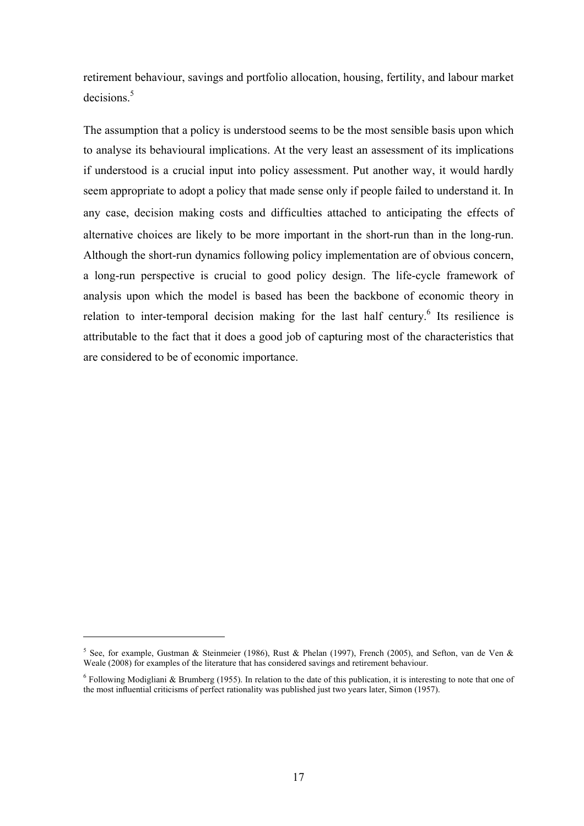retirement behaviour, savings and portfolio allocation, housing, fertility, and labour market decisions.<sup>5</sup>

The assumption that a policy is understood seems to be the most sensible basis upon which to analyse its behavioural implications. At the very least an assessment of its implications if understood is a crucial input into policy assessment. Put another way, it would hardly seem appropriate to adopt a policy that made sense only if people failed to understand it. In any case, decision making costs and difficulties attached to anticipating the effects of alternative choices are likely to be more important in the short-run than in the long-run. Although the short-run dynamics following policy implementation are of obvious concern, a long-run perspective is crucial to good policy design. The life-cycle framework of analysis upon which the model is based has been the backbone of economic theory in relation to inter-temporal decision making for the last half century.<sup>6</sup> Its resilience is attributable to the fact that it does a good job of capturing most of the characteristics that are considered to be of economic importance.

 $\overline{a}$ 

<sup>&</sup>lt;sup>5</sup> See, for example, Gustman & Steinmeier (1986), Rust & Phelan (1997), French (2005), and Sefton, van de Ven & Weale (2008) for examples of the literature that has considered savings and retirement behaviour.

 $6$  Following Modigliani & Brumberg (1955). In relation to the date of this publication, it is interesting to note that one of the most influential criticisms of perfect rationality was published just two years later, Simon (1957).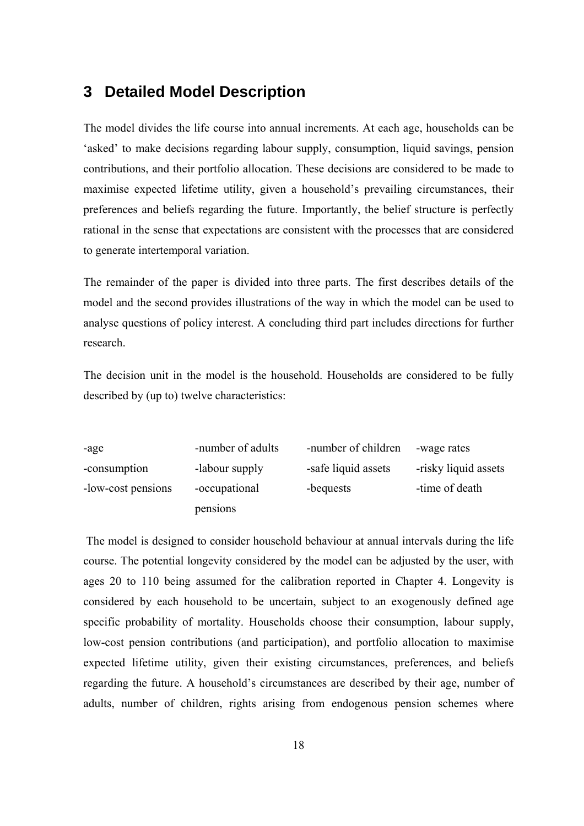## **3 Detailed Model Description**

The model divides the life course into annual increments. At each age, households can be 'asked' to make decisions regarding labour supply, consumption, liquid savings, pension contributions, and their portfolio allocation. These decisions are considered to be made to maximise expected lifetime utility, given a household's prevailing circumstances, their preferences and beliefs regarding the future. Importantly, the belief structure is perfectly rational in the sense that expectations are consistent with the processes that are considered to generate intertemporal variation.

The remainder of the paper is divided into three parts. The first describes details of the model and the second provides illustrations of the way in which the model can be used to analyse questions of policy interest. A concluding third part includes directions for further research.

The decision unit in the model is the household. Households are considered to be fully described by (up to) twelve characteristics:

| -age               | -number of adults | -number of children | -wage rates          |
|--------------------|-------------------|---------------------|----------------------|
| -consumption       | -labour supply    | -safe liquid assets | -risky liquid assets |
| -low-cost pensions | -occupational     | -bequests           | -time of death       |
|                    | pensions          |                     |                      |

 The model is designed to consider household behaviour at annual intervals during the life course. The potential longevity considered by the model can be adjusted by the user, with ages 20 to 110 being assumed for the calibration reported in Chapter 4. Longevity is considered by each household to be uncertain, subject to an exogenously defined age specific probability of mortality. Households choose their consumption, labour supply, low-cost pension contributions (and participation), and portfolio allocation to maximise expected lifetime utility, given their existing circumstances, preferences, and beliefs regarding the future. A household's circumstances are described by their age, number of adults, number of children, rights arising from endogenous pension schemes where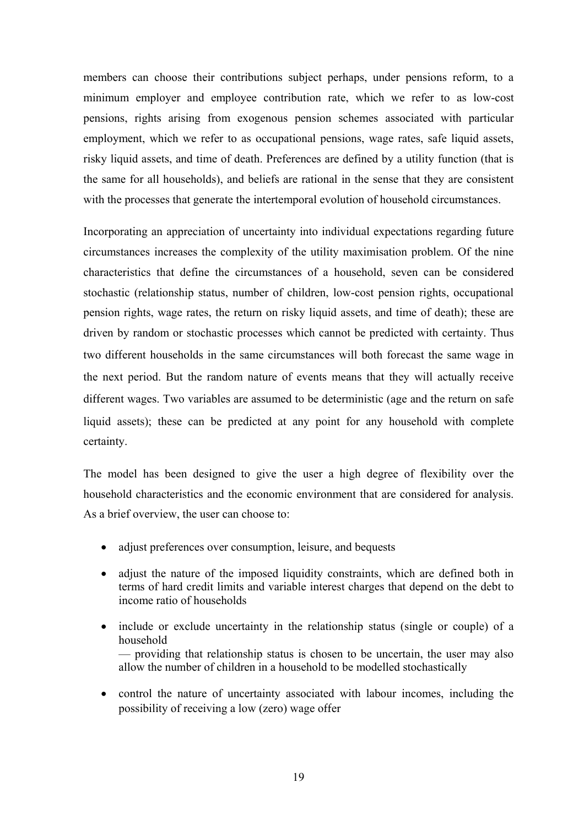members can choose their contributions subject perhaps, under pensions reform, to a minimum employer and employee contribution rate, which we refer to as low-cost pensions, rights arising from exogenous pension schemes associated with particular employment, which we refer to as occupational pensions, wage rates, safe liquid assets, risky liquid assets, and time of death. Preferences are defined by a utility function (that is the same for all households), and beliefs are rational in the sense that they are consistent with the processes that generate the intertemporal evolution of household circumstances.

Incorporating an appreciation of uncertainty into individual expectations regarding future circumstances increases the complexity of the utility maximisation problem. Of the nine characteristics that define the circumstances of a household, seven can be considered stochastic (relationship status, number of children, low-cost pension rights, occupational pension rights, wage rates, the return on risky liquid assets, and time of death); these are driven by random or stochastic processes which cannot be predicted with certainty. Thus two different households in the same circumstances will both forecast the same wage in the next period. But the random nature of events means that they will actually receive different wages. Two variables are assumed to be deterministic (age and the return on safe liquid assets); these can be predicted at any point for any household with complete certainty.

The model has been designed to give the user a high degree of flexibility over the household characteristics and the economic environment that are considered for analysis. As a brief overview, the user can choose to:

- adjust preferences over consumption, leisure, and bequests
- adjust the nature of the imposed liquidity constraints, which are defined both in terms of hard credit limits and variable interest charges that depend on the debt to income ratio of households
- include or exclude uncertainty in the relationship status (single or couple) of a household — providing that relationship status is chosen to be uncertain, the user may also allow the number of children in a household to be modelled stochastically
- control the nature of uncertainty associated with labour incomes, including the possibility of receiving a low (zero) wage offer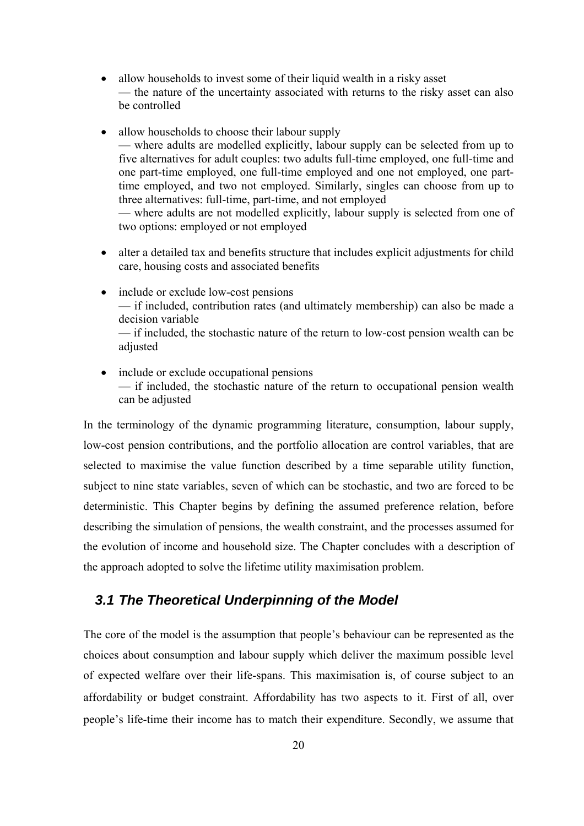- allow households to invest some of their liquid wealth in a risky asset — the nature of the uncertainty associated with returns to the risky asset can also be controlled
- allow households to choose their labour supply — where adults are modelled explicitly, labour supply can be selected from up to five alternatives for adult couples: two adults full-time employed, one full-time and one part-time employed, one full-time employed and one not employed, one parttime employed, and two not employed. Similarly, singles can choose from up to three alternatives: full-time, part-time, and not employed — where adults are not modelled explicitly, labour supply is selected from one of

two options: employed or not employed

- alter a detailed tax and benefits structure that includes explicit adjustments for child care, housing costs and associated benefits
- include or exclude low-cost pensions — if included, contribution rates (and ultimately membership) can also be made a decision variable — if included, the stochastic nature of the return to low-cost pension wealth can be adjusted
- include or exclude occupational pensions — if included, the stochastic nature of the return to occupational pension wealth can be adjusted

In the terminology of the dynamic programming literature, consumption, labour supply, low-cost pension contributions, and the portfolio allocation are control variables, that are selected to maximise the value function described by a time separable utility function, subject to nine state variables, seven of which can be stochastic, and two are forced to be deterministic. This Chapter begins by defining the assumed preference relation, before describing the simulation of pensions, the wealth constraint, and the processes assumed for the evolution of income and household size. The Chapter concludes with a description of the approach adopted to solve the lifetime utility maximisation problem.

#### *3.1 The Theoretical Underpinning of the Model*

The core of the model is the assumption that people's behaviour can be represented as the choices about consumption and labour supply which deliver the maximum possible level of expected welfare over their life-spans. This maximisation is, of course subject to an affordability or budget constraint. Affordability has two aspects to it. First of all, over people's life-time their income has to match their expenditure. Secondly, we assume that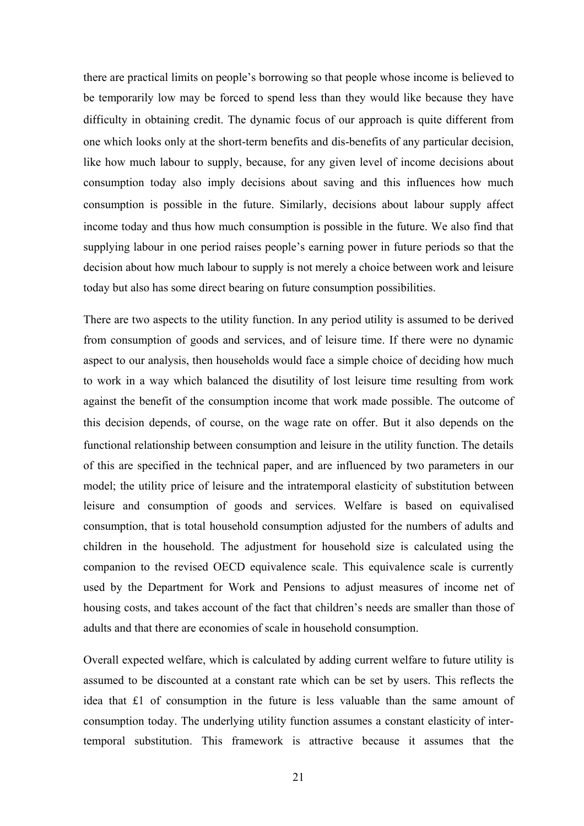there are practical limits on people's borrowing so that people whose income is believed to be temporarily low may be forced to spend less than they would like because they have difficulty in obtaining credit. The dynamic focus of our approach is quite different from one which looks only at the short-term benefits and dis-benefits of any particular decision, like how much labour to supply, because, for any given level of income decisions about consumption today also imply decisions about saving and this influences how much consumption is possible in the future. Similarly, decisions about labour supply affect income today and thus how much consumption is possible in the future. We also find that supplying labour in one period raises people's earning power in future periods so that the decision about how much labour to supply is not merely a choice between work and leisure today but also has some direct bearing on future consumption possibilities.

There are two aspects to the utility function. In any period utility is assumed to be derived from consumption of goods and services, and of leisure time. If there were no dynamic aspect to our analysis, then households would face a simple choice of deciding how much to work in a way which balanced the disutility of lost leisure time resulting from work against the benefit of the consumption income that work made possible. The outcome of this decision depends, of course, on the wage rate on offer. But it also depends on the functional relationship between consumption and leisure in the utility function. The details of this are specified in the technical paper, and are influenced by two parameters in our model; the utility price of leisure and the intratemporal elasticity of substitution between leisure and consumption of goods and services. Welfare is based on equivalised consumption, that is total household consumption adjusted for the numbers of adults and children in the household. The adjustment for household size is calculated using the companion to the revised OECD equivalence scale. This equivalence scale is currently used by the Department for Work and Pensions to adjust measures of income net of housing costs, and takes account of the fact that children's needs are smaller than those of adults and that there are economies of scale in household consumption.

Overall expected welfare, which is calculated by adding current welfare to future utility is assumed to be discounted at a constant rate which can be set by users. This reflects the idea that £1 of consumption in the future is less valuable than the same amount of consumption today. The underlying utility function assumes a constant elasticity of intertemporal substitution. This framework is attractive because it assumes that the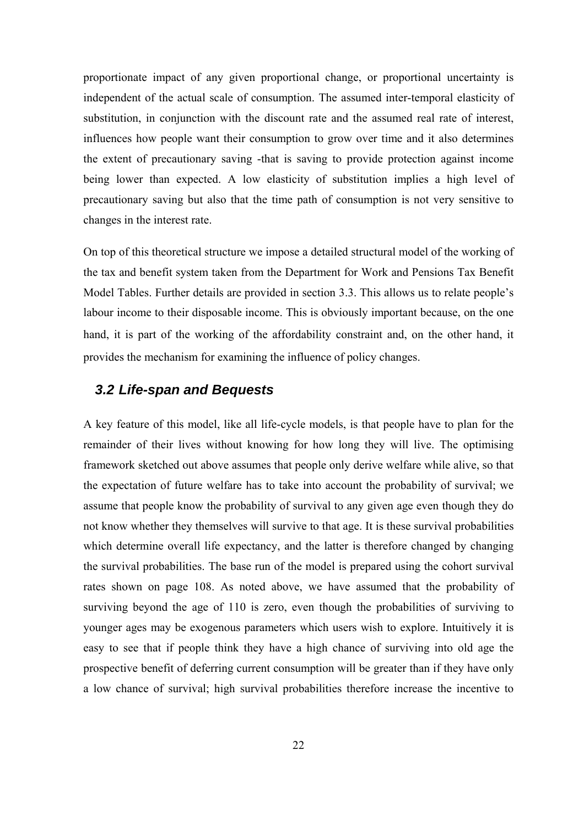proportionate impact of any given proportional change, or proportional uncertainty is independent of the actual scale of consumption. The assumed inter-temporal elasticity of substitution, in conjunction with the discount rate and the assumed real rate of interest, influences how people want their consumption to grow over time and it also determines the extent of precautionary saving -that is saving to provide protection against income being lower than expected. A low elasticity of substitution implies a high level of precautionary saving but also that the time path of consumption is not very sensitive to changes in the interest rate.

On top of this theoretical structure we impose a detailed structural model of the working of the tax and benefit system taken from the Department for Work and Pensions Tax Benefit Model Tables. Further details are provided in section 3.3. This allows us to relate people's labour income to their disposable income. This is obviously important because, on the one hand, it is part of the working of the affordability constraint and, on the other hand, it provides the mechanism for examining the influence of policy changes.

#### *3.2 Life-span and Bequests*

A key feature of this model, like all life-cycle models, is that people have to plan for the remainder of their lives without knowing for how long they will live. The optimising framework sketched out above assumes that people only derive welfare while alive, so that the expectation of future welfare has to take into account the probability of survival; we assume that people know the probability of survival to any given age even though they do not know whether they themselves will survive to that age. It is these survival probabilities which determine overall life expectancy, and the latter is therefore changed by changing the survival probabilities. The base run of the model is prepared using the cohort survival rates shown on page 108. As noted above, we have assumed that the probability of surviving beyond the age of 110 is zero, even though the probabilities of surviving to younger ages may be exogenous parameters which users wish to explore. Intuitively it is easy to see that if people think they have a high chance of surviving into old age the prospective benefit of deferring current consumption will be greater than if they have only a low chance of survival; high survival probabilities therefore increase the incentive to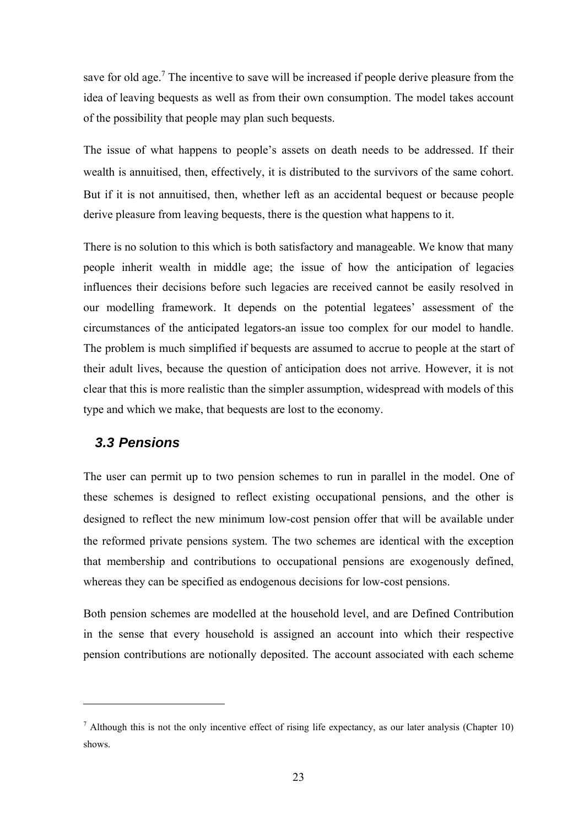save for old age.<sup>7</sup> The incentive to save will be increased if people derive pleasure from the idea of leaving bequests as well as from their own consumption. The model takes account of the possibility that people may plan such bequests.

The issue of what happens to people's assets on death needs to be addressed. If their wealth is annuitised, then, effectively, it is distributed to the survivors of the same cohort. But if it is not annuitised, then, whether left as an accidental bequest or because people derive pleasure from leaving bequests, there is the question what happens to it.

There is no solution to this which is both satisfactory and manageable. We know that many people inherit wealth in middle age; the issue of how the anticipation of legacies influences their decisions before such legacies are received cannot be easily resolved in our modelling framework. It depends on the potential legatees' assessment of the circumstances of the anticipated legators-an issue too complex for our model to handle. The problem is much simplified if bequests are assumed to accrue to people at the start of their adult lives, because the question of anticipation does not arrive. However, it is not clear that this is more realistic than the simpler assumption, widespread with models of this type and which we make, that bequests are lost to the economy.

### *3.3 Pensions*

 $\overline{a}$ 

The user can permit up to two pension schemes to run in parallel in the model. One of these schemes is designed to reflect existing occupational pensions, and the other is designed to reflect the new minimum low-cost pension offer that will be available under the reformed private pensions system. The two schemes are identical with the exception that membership and contributions to occupational pensions are exogenously defined, whereas they can be specified as endogenous decisions for low-cost pensions.

Both pension schemes are modelled at the household level, and are Defined Contribution in the sense that every household is assigned an account into which their respective pension contributions are notionally deposited. The account associated with each scheme

<sup>&</sup>lt;sup>7</sup> Although this is not the only incentive effect of rising life expectancy, as our later analysis (Chapter 10) shows.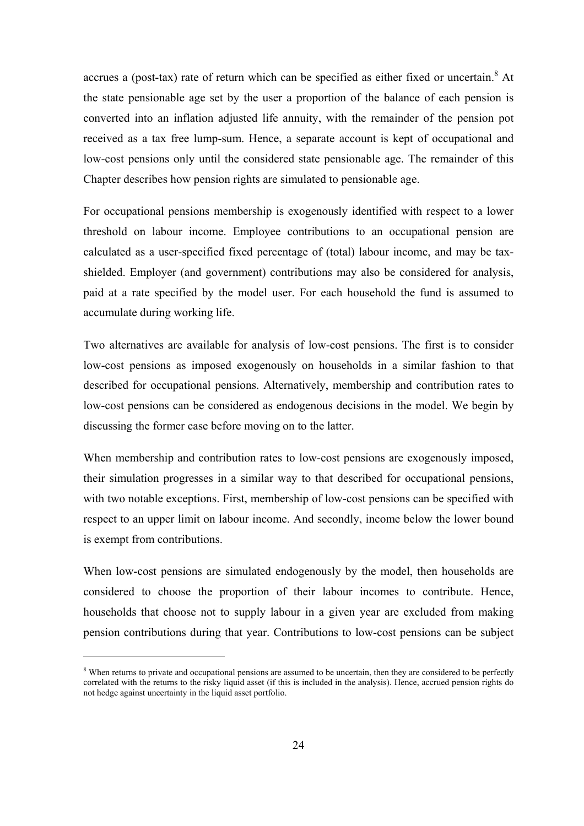accrues a (post-tax) rate of return which can be specified as either fixed or uncertain.<sup>8</sup> At the state pensionable age set by the user a proportion of the balance of each pension is converted into an inflation adjusted life annuity, with the remainder of the pension pot received as a tax free lump-sum. Hence, a separate account is kept of occupational and low-cost pensions only until the considered state pensionable age. The remainder of this Chapter describes how pension rights are simulated to pensionable age.

For occupational pensions membership is exogenously identified with respect to a lower threshold on labour income. Employee contributions to an occupational pension are calculated as a user-specified fixed percentage of (total) labour income, and may be taxshielded. Employer (and government) contributions may also be considered for analysis, paid at a rate specified by the model user. For each household the fund is assumed to accumulate during working life.

Two alternatives are available for analysis of low-cost pensions. The first is to consider low-cost pensions as imposed exogenously on households in a similar fashion to that described for occupational pensions. Alternatively, membership and contribution rates to low-cost pensions can be considered as endogenous decisions in the model. We begin by discussing the former case before moving on to the latter.

When membership and contribution rates to low-cost pensions are exogenously imposed, their simulation progresses in a similar way to that described for occupational pensions, with two notable exceptions. First, membership of low-cost pensions can be specified with respect to an upper limit on labour income. And secondly, income below the lower bound is exempt from contributions.

When low-cost pensions are simulated endogenously by the model, then households are considered to choose the proportion of their labour incomes to contribute. Hence, households that choose not to supply labour in a given year are excluded from making pension contributions during that year. Contributions to low-cost pensions can be subject

 $\overline{a}$ 

<sup>&</sup>lt;sup>8</sup> When returns to private and occupational pensions are assumed to be uncertain, then they are considered to be perfectly correlated with the returns to the risky liquid asset (if this is included in the analysis). Hence, accrued pension rights do not hedge against uncertainty in the liquid asset portfolio.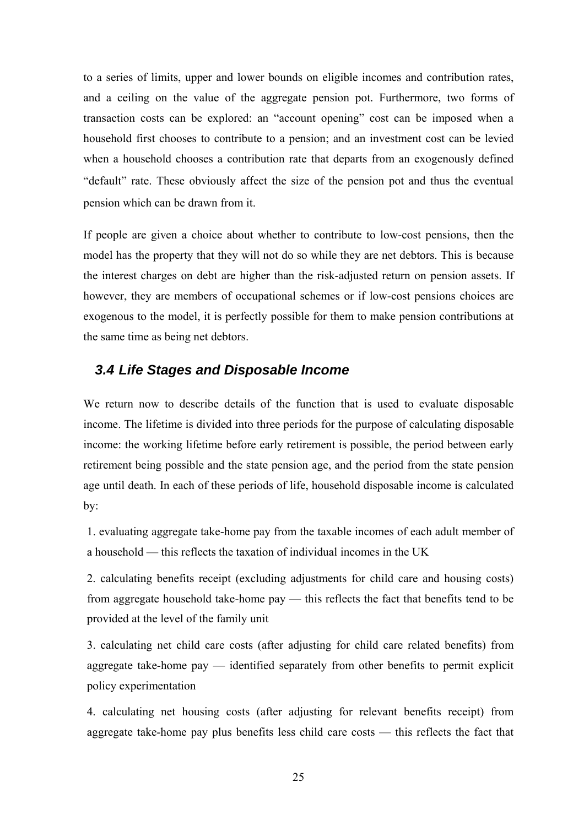to a series of limits, upper and lower bounds on eligible incomes and contribution rates, and a ceiling on the value of the aggregate pension pot. Furthermore, two forms of transaction costs can be explored: an "account opening" cost can be imposed when a household first chooses to contribute to a pension; and an investment cost can be levied when a household chooses a contribution rate that departs from an exogenously defined "default" rate. These obviously affect the size of the pension pot and thus the eventual pension which can be drawn from it.

If people are given a choice about whether to contribute to low-cost pensions, then the model has the property that they will not do so while they are net debtors. This is because the interest charges on debt are higher than the risk-adjusted return on pension assets. If however, they are members of occupational schemes or if low-cost pensions choices are exogenous to the model, it is perfectly possible for them to make pension contributions at the same time as being net debtors.

#### *3.4 Life Stages and Disposable Income*

We return now to describe details of the function that is used to evaluate disposable income. The lifetime is divided into three periods for the purpose of calculating disposable income: the working lifetime before early retirement is possible, the period between early retirement being possible and the state pension age, and the period from the state pension age until death. In each of these periods of life, household disposable income is calculated by:

1. evaluating aggregate take-home pay from the taxable incomes of each adult member of a household — this reflects the taxation of individual incomes in the UK

2. calculating benefits receipt (excluding adjustments for child care and housing costs) from aggregate household take-home pay — this reflects the fact that benefits tend to be provided at the level of the family unit

3. calculating net child care costs (after adjusting for child care related benefits) from aggregate take-home pay — identified separately from other benefits to permit explicit policy experimentation

4. calculating net housing costs (after adjusting for relevant benefits receipt) from aggregate take-home pay plus benefits less child care costs — this reflects the fact that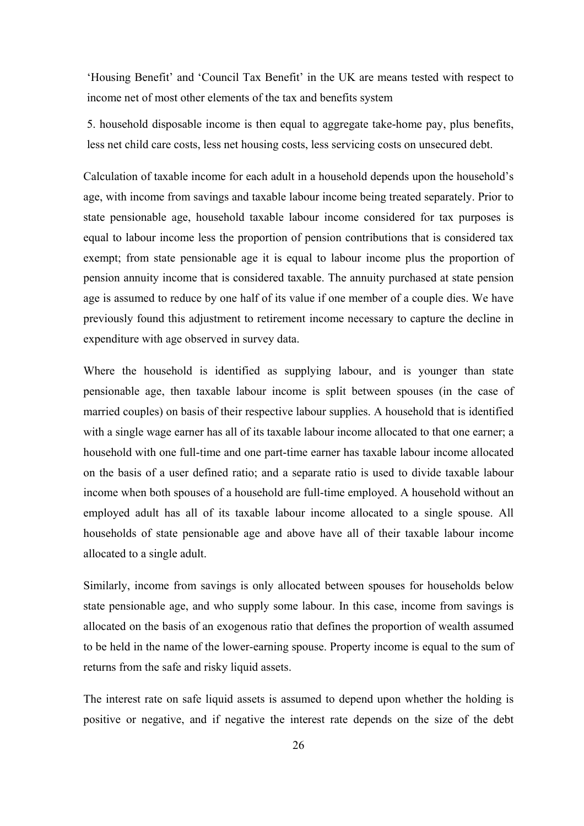'Housing Benefit' and 'Council Tax Benefit' in the UK are means tested with respect to income net of most other elements of the tax and benefits system

5. household disposable income is then equal to aggregate take-home pay, plus benefits, less net child care costs, less net housing costs, less servicing costs on unsecured debt.

Calculation of taxable income for each adult in a household depends upon the household's age, with income from savings and taxable labour income being treated separately. Prior to state pensionable age, household taxable labour income considered for tax purposes is equal to labour income less the proportion of pension contributions that is considered tax exempt; from state pensionable age it is equal to labour income plus the proportion of pension annuity income that is considered taxable. The annuity purchased at state pension age is assumed to reduce by one half of its value if one member of a couple dies. We have previously found this adjustment to retirement income necessary to capture the decline in expenditure with age observed in survey data.

Where the household is identified as supplying labour, and is younger than state pensionable age, then taxable labour income is split between spouses (in the case of married couples) on basis of their respective labour supplies. A household that is identified with a single wage earner has all of its taxable labour income allocated to that one earner; a household with one full-time and one part-time earner has taxable labour income allocated on the basis of a user defined ratio; and a separate ratio is used to divide taxable labour income when both spouses of a household are full-time employed. A household without an employed adult has all of its taxable labour income allocated to a single spouse. All households of state pensionable age and above have all of their taxable labour income allocated to a single adult.

Similarly, income from savings is only allocated between spouses for households below state pensionable age, and who supply some labour. In this case, income from savings is allocated on the basis of an exogenous ratio that defines the proportion of wealth assumed to be held in the name of the lower-earning spouse. Property income is equal to the sum of returns from the safe and risky liquid assets.

The interest rate on safe liquid assets is assumed to depend upon whether the holding is positive or negative, and if negative the interest rate depends on the size of the debt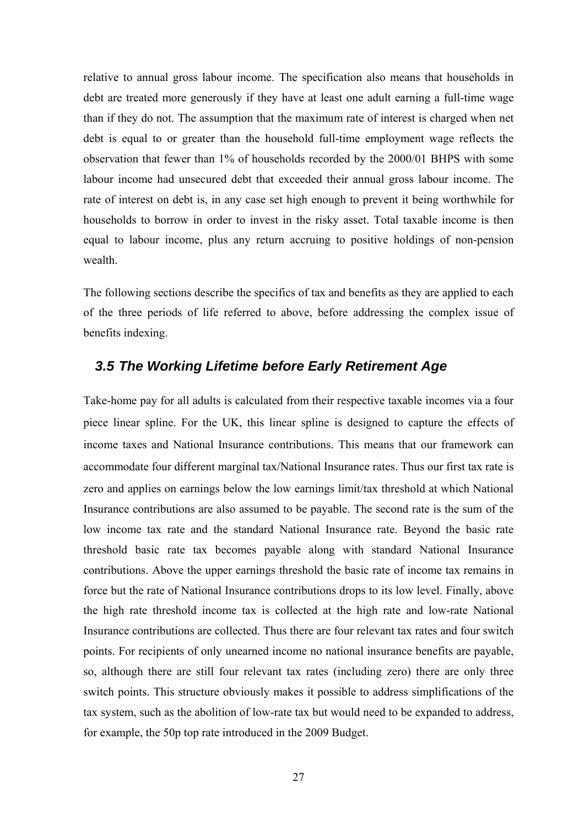relative to annual gross labour income. The specification also means that households in debt are treated more generously if they have at least one adult earning a full-time wage than if they do not. The assumption that the maximum rate of interest is charged when net debt is equal to or greater than the household full-time employment wage reflects the observation that fewer than 1% of households recorded by the 2000/01 BHPS with some labour income had unsecured debt that exceeded their annual gross labour income. The rate of interest on debt is, in any case set high enough to prevent it being worthwhile for households to borrow in order to invest in the risky asset. Total taxable income is then equal to labour income, plus any return accruing to positive holdings of non-pension wealth

The following sections describe the specifics of tax and benefits as they are applied to each of the three periods of life referred to above, before addressing the complex issue of benefits indexing.

#### *3.5 The Working Lifetime before Early Retirement Age*

Take-home pay for all adults is calculated from their respective taxable incomes via a four piece linear spline. For the UK, this linear spline is designed to capture the effects of income taxes and National Insurance contributions. This means that our framework can accommodate four different marginal tax/National Insurance rates. Thus our first tax rate is zero and applies on earnings below the low earnings limit/tax threshold at which National Insurance contributions are also assumed to be payable. The second rate is the sum of the low income tax rate and the standard National Insurance rate. Beyond the basic rate threshold basic rate tax becomes payable along with standard National Insurance contributions. Above the upper earnings threshold the basic rate of income tax remains in force but the rate of National Insurance contributions drops to its low level. Finally, above the high rate threshold income tax is collected at the high rate and low-rate National Insurance contributions are collected. Thus there are four relevant tax rates and four switch points. For recipients of only unearned income no national insurance benefits are payable, so, although there are still four relevant tax rates (including zero) there are only three switch points. This structure obviously makes it possible to address simplifications of the tax system, such as the abolition of low-rate tax but would need to be expanded to address, for example, the 50p top rate introduced in the 2009 Budget.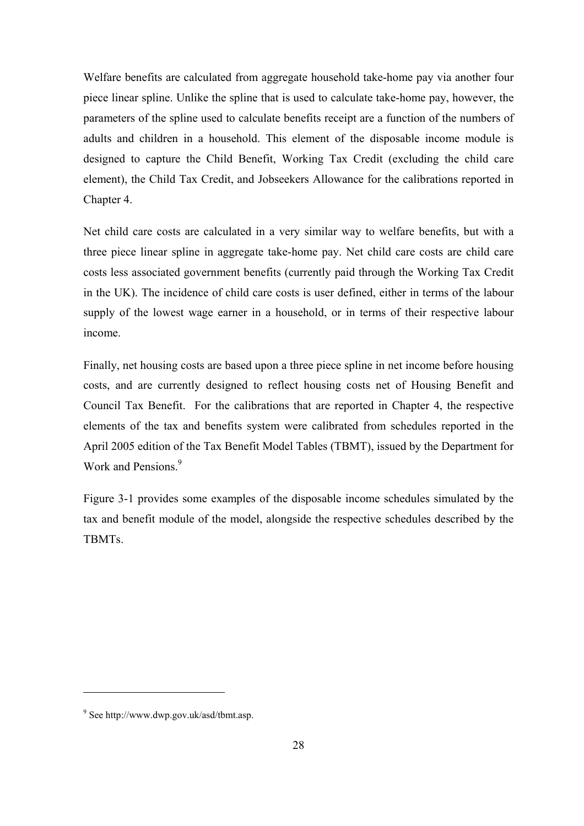Welfare benefits are calculated from aggregate household take-home pay via another four piece linear spline. Unlike the spline that is used to calculate take-home pay, however, the parameters of the spline used to calculate benefits receipt are a function of the numbers of adults and children in a household. This element of the disposable income module is designed to capture the Child Benefit, Working Tax Credit (excluding the child care element), the Child Tax Credit, and Jobseekers Allowance for the calibrations reported in Chapter 4.

Net child care costs are calculated in a very similar way to welfare benefits, but with a three piece linear spline in aggregate take-home pay. Net child care costs are child care costs less associated government benefits (currently paid through the Working Tax Credit in the UK). The incidence of child care costs is user defined, either in terms of the labour supply of the lowest wage earner in a household, or in terms of their respective labour income.

Finally, net housing costs are based upon a three piece spline in net income before housing costs, and are currently designed to reflect housing costs net of Housing Benefit and Council Tax Benefit. For the calibrations that are reported in Chapter 4, the respective elements of the tax and benefits system were calibrated from schedules reported in the April 2005 edition of the Tax Benefit Model Tables (TBMT), issued by the Department for Work and Pensions.<sup>9</sup>

Figure 3-1 provides some examples of the disposable income schedules simulated by the tax and benefit module of the model, alongside the respective schedules described by the TBMTs.

 $\overline{a}$ 

<sup>9</sup> See http://www.dwp.gov.uk/asd/tbmt.asp.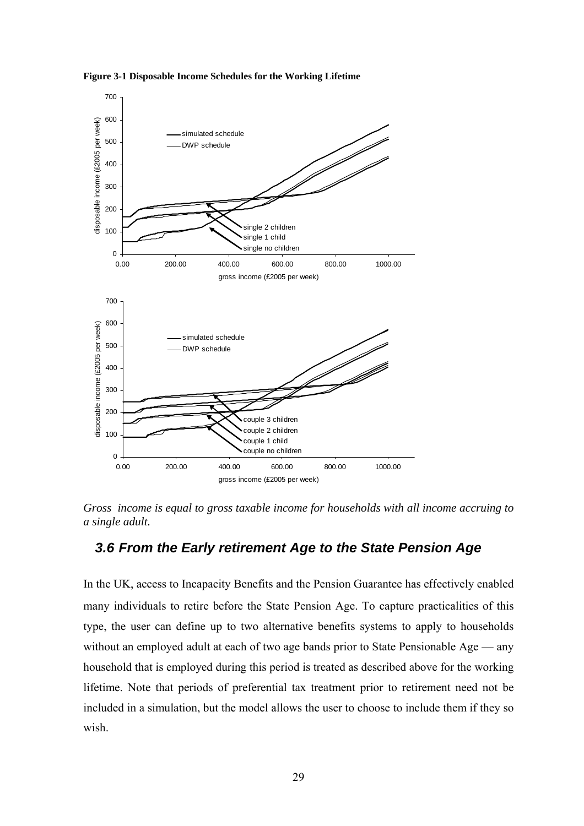

**Figure 3-1 Disposable Income Schedules for the Working Lifetime** 

*Gross income is equal to gross taxable income for households with all income accruing to a single adult.* 

#### *3.6 From the Early retirement Age to the State Pension Age*

In the UK, access to Incapacity Benefits and the Pension Guarantee has effectively enabled many individuals to retire before the State Pension Age. To capture practicalities of this type, the user can define up to two alternative benefits systems to apply to households without an employed adult at each of two age bands prior to State Pensionable Age — any household that is employed during this period is treated as described above for the working lifetime. Note that periods of preferential tax treatment prior to retirement need not be included in a simulation, but the model allows the user to choose to include them if they so wish.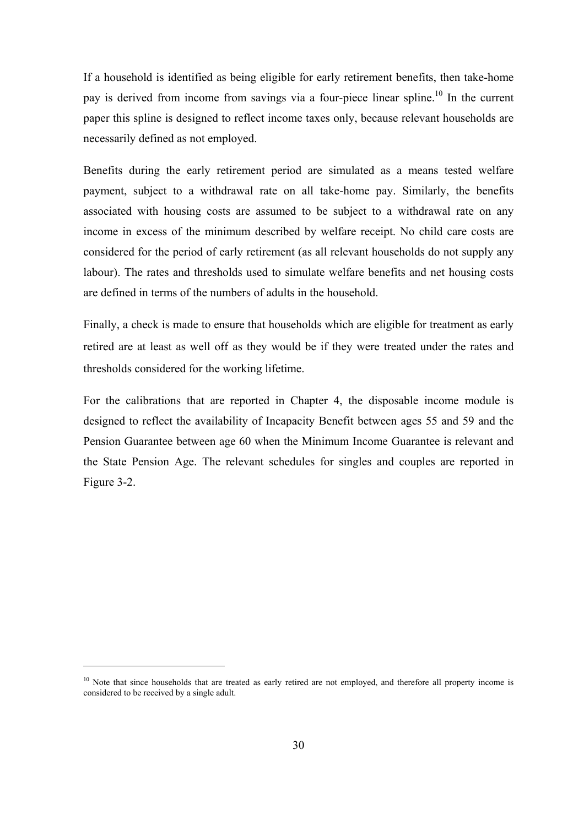If a household is identified as being eligible for early retirement benefits, then take-home pay is derived from income from savings via a four-piece linear spline.<sup>10</sup> In the current paper this spline is designed to reflect income taxes only, because relevant households are necessarily defined as not employed.

Benefits during the early retirement period are simulated as a means tested welfare payment, subject to a withdrawal rate on all take-home pay. Similarly, the benefits associated with housing costs are assumed to be subject to a withdrawal rate on any income in excess of the minimum described by welfare receipt. No child care costs are considered for the period of early retirement (as all relevant households do not supply any labour). The rates and thresholds used to simulate welfare benefits and net housing costs are defined in terms of the numbers of adults in the household.

Finally, a check is made to ensure that households which are eligible for treatment as early retired are at least as well off as they would be if they were treated under the rates and thresholds considered for the working lifetime.

For the calibrations that are reported in Chapter 4, the disposable income module is designed to reflect the availability of Incapacity Benefit between ages 55 and 59 and the Pension Guarantee between age 60 when the Minimum Income Guarantee is relevant and the State Pension Age. The relevant schedules for singles and couples are reported in Figure 3-2.

 $\overline{a}$ 

 $10$  Note that since households that are treated as early retired are not employed, and therefore all property income is considered to be received by a single adult.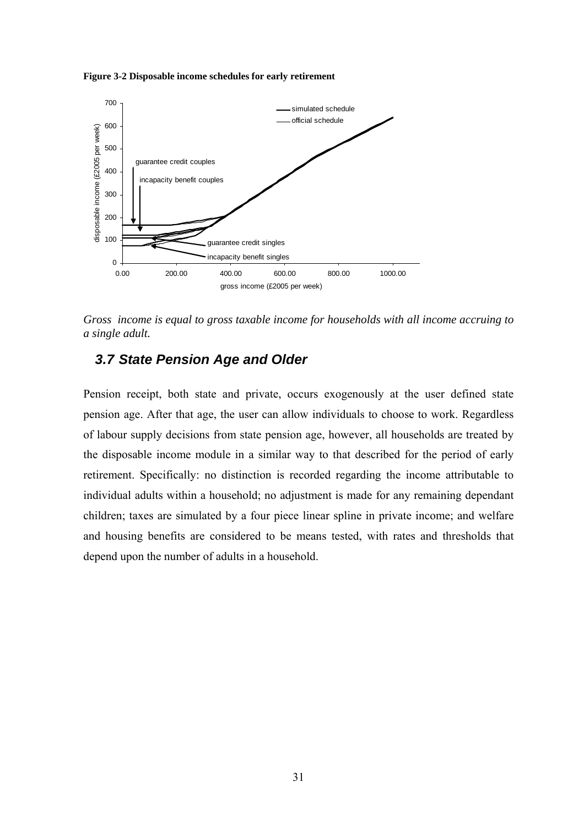**Figure 3-2 Disposable income schedules for early retirement** 



*Gross income is equal to gross taxable income for households with all income accruing to a single adult.* 

### *3.7 State Pension Age and Older*

Pension receipt, both state and private, occurs exogenously at the user defined state pension age. After that age, the user can allow individuals to choose to work. Regardless of labour supply decisions from state pension age, however, all households are treated by the disposable income module in a similar way to that described for the period of early retirement. Specifically: no distinction is recorded regarding the income attributable to individual adults within a household; no adjustment is made for any remaining dependant children; taxes are simulated by a four piece linear spline in private income; and welfare and housing benefits are considered to be means tested, with rates and thresholds that depend upon the number of adults in a household.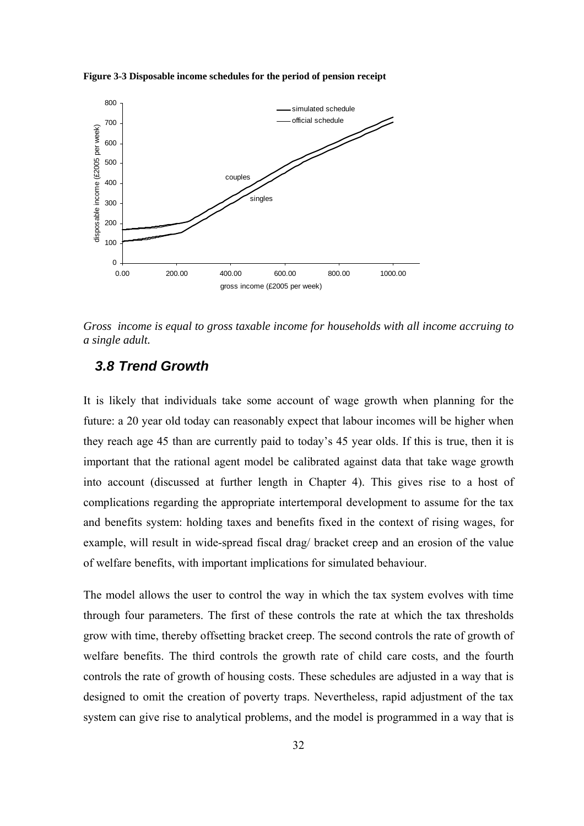



*Gross income is equal to gross taxable income for households with all income accruing to a single adult.* 

## *3.8 Trend Growth*

It is likely that individuals take some account of wage growth when planning for the future: a 20 year old today can reasonably expect that labour incomes will be higher when they reach age 45 than are currently paid to today's 45 year olds. If this is true, then it is important that the rational agent model be calibrated against data that take wage growth into account (discussed at further length in Chapter 4). This gives rise to a host of complications regarding the appropriate intertemporal development to assume for the tax and benefits system: holding taxes and benefits fixed in the context of rising wages, for example, will result in wide-spread fiscal drag/ bracket creep and an erosion of the value of welfare benefits, with important implications for simulated behaviour.

The model allows the user to control the way in which the tax system evolves with time through four parameters. The first of these controls the rate at which the tax thresholds grow with time, thereby offsetting bracket creep. The second controls the rate of growth of welfare benefits. The third controls the growth rate of child care costs, and the fourth controls the rate of growth of housing costs. These schedules are adjusted in a way that is designed to omit the creation of poverty traps. Nevertheless, rapid adjustment of the tax system can give rise to analytical problems, and the model is programmed in a way that is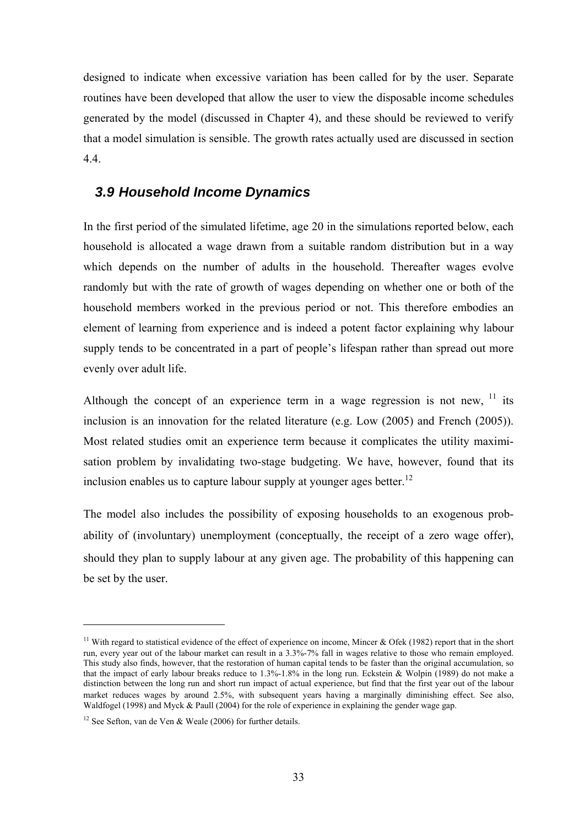designed to indicate when excessive variation has been called for by the user. Separate routines have been developed that allow the user to view the disposable income schedules generated by the model (discussed in Chapter 4), and these should be reviewed to verify that a model simulation is sensible. The growth rates actually used are discussed in section 4.4.

## *3.9 Household Income Dynamics*

In the first period of the simulated lifetime, age 20 in the simulations reported below, each household is allocated a wage drawn from a suitable random distribution but in a way which depends on the number of adults in the household. Thereafter wages evolve randomly but with the rate of growth of wages depending on whether one or both of the household members worked in the previous period or not. This therefore embodies an element of learning from experience and is indeed a potent factor explaining why labour supply tends to be concentrated in a part of people's lifespan rather than spread out more evenly over adult life.

Although the concept of an experience term in a wage regression is not new,  $\frac{11}{1}$  its inclusion is an innovation for the related literature (e.g. Low (2005) and French (2005)). Most related studies omit an experience term because it complicates the utility maximisation problem by invalidating two-stage budgeting. We have, however, found that its inclusion enables us to capture labour supply at younger ages better.<sup>12</sup>

The model also includes the possibility of exposing households to an exogenous probability of (involuntary) unemployment (conceptually, the receipt of a zero wage offer), should they plan to supply labour at any given age. The probability of this happening can be set by the user.

<sup>&</sup>lt;sup>11</sup> With regard to statistical evidence of the effect of experience on income. Mincer & Ofek (1982) report that in the short run, every year out of the labour market can result in a 3.3%-7% fall in wages relative to those who remain employed. This study also finds, however, that the restoration of human capital tends to be faster than the original accumulation, so that the impact of early labour breaks reduce to 1.3%-1.8% in the long run. Eckstein & Wolpin (1989) do not make a distinction between the long run and short run impact of actual experience, but find that the first year out of the labour market reduces wages by around 2.5%, with subsequent years having a marginally diminishing effect. See also, Waldfogel (1998) and Myck & Paull (2004) for the role of experience in explaining the gender wage gap.

<sup>&</sup>lt;sup>12</sup> See Sefton, van de Ven & Weale (2006) for further details.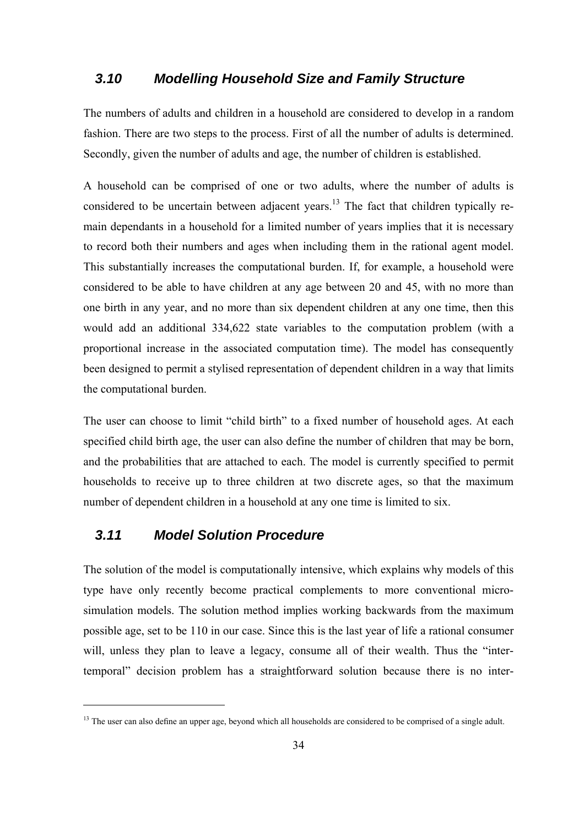### *3.10 Modelling Household Size and Family Structure*

The numbers of adults and children in a household are considered to develop in a random fashion. There are two steps to the process. First of all the number of adults is determined. Secondly, given the number of adults and age, the number of children is established.

A household can be comprised of one or two adults, where the number of adults is considered to be uncertain between adjacent years.<sup>13</sup> The fact that children typically remain dependants in a household for a limited number of years implies that it is necessary to record both their numbers and ages when including them in the rational agent model. This substantially increases the computational burden. If, for example, a household were considered to be able to have children at any age between 20 and 45, with no more than one birth in any year, and no more than six dependent children at any one time, then this would add an additional 334,622 state variables to the computation problem (with a proportional increase in the associated computation time). The model has consequently been designed to permit a stylised representation of dependent children in a way that limits the computational burden.

The user can choose to limit "child birth" to a fixed number of household ages. At each specified child birth age, the user can also define the number of children that may be born, and the probabilities that are attached to each. The model is currently specified to permit households to receive up to three children at two discrete ages, so that the maximum number of dependent children in a household at any one time is limited to six.

## *3.11 Model Solution Procedure*

 $\overline{a}$ 

The solution of the model is computationally intensive, which explains why models of this type have only recently become practical complements to more conventional microsimulation models. The solution method implies working backwards from the maximum possible age, set to be 110 in our case. Since this is the last year of life a rational consumer will, unless they plan to leave a legacy, consume all of their wealth. Thus the "intertemporal" decision problem has a straightforward solution because there is no inter-

<sup>&</sup>lt;sup>13</sup> The user can also define an upper age, beyond which all households are considered to be comprised of a single adult.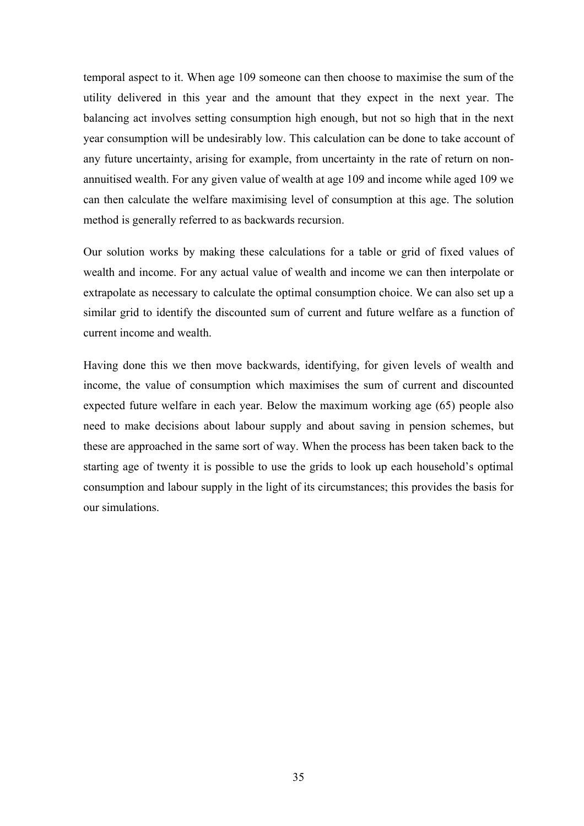temporal aspect to it. When age 109 someone can then choose to maximise the sum of the utility delivered in this year and the amount that they expect in the next year. The balancing act involves setting consumption high enough, but not so high that in the next year consumption will be undesirably low. This calculation can be done to take account of any future uncertainty, arising for example, from uncertainty in the rate of return on nonannuitised wealth. For any given value of wealth at age 109 and income while aged 109 we can then calculate the welfare maximising level of consumption at this age. The solution method is generally referred to as backwards recursion.

Our solution works by making these calculations for a table or grid of fixed values of wealth and income. For any actual value of wealth and income we can then interpolate or extrapolate as necessary to calculate the optimal consumption choice. We can also set up a similar grid to identify the discounted sum of current and future welfare as a function of current income and wealth.

Having done this we then move backwards, identifying, for given levels of wealth and income, the value of consumption which maximises the sum of current and discounted expected future welfare in each year. Below the maximum working age (65) people also need to make decisions about labour supply and about saving in pension schemes, but these are approached in the same sort of way. When the process has been taken back to the starting age of twenty it is possible to use the grids to look up each household's optimal consumption and labour supply in the light of its circumstances; this provides the basis for our simulations.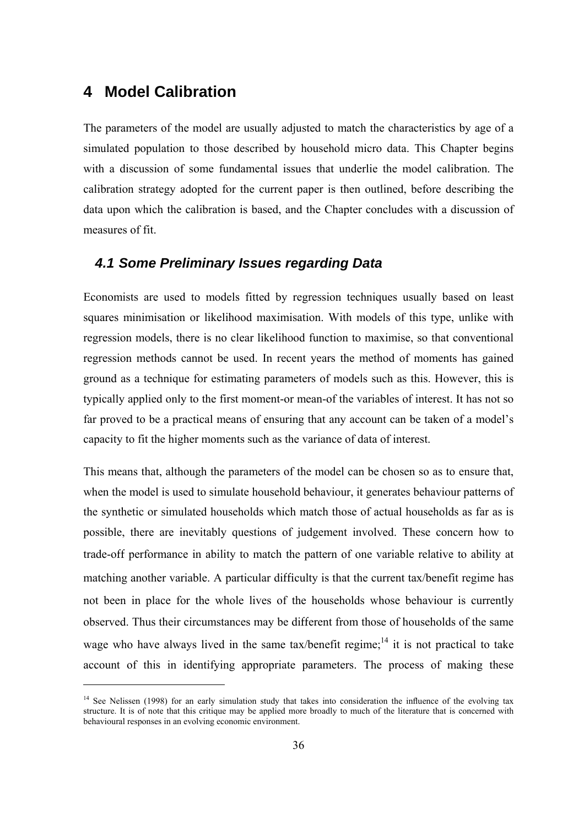# **4 Model Calibration**

 $\overline{a}$ 

The parameters of the model are usually adjusted to match the characteristics by age of a simulated population to those described by household micro data. This Chapter begins with a discussion of some fundamental issues that underlie the model calibration. The calibration strategy adopted for the current paper is then outlined, before describing the data upon which the calibration is based, and the Chapter concludes with a discussion of measures of fit.

### *4.1 Some Preliminary Issues regarding Data*

Economists are used to models fitted by regression techniques usually based on least squares minimisation or likelihood maximisation. With models of this type, unlike with regression models, there is no clear likelihood function to maximise, so that conventional regression methods cannot be used. In recent years the method of moments has gained ground as a technique for estimating parameters of models such as this. However, this is typically applied only to the first moment-or mean-of the variables of interest. It has not so far proved to be a practical means of ensuring that any account can be taken of a model's capacity to fit the higher moments such as the variance of data of interest.

This means that, although the parameters of the model can be chosen so as to ensure that, when the model is used to simulate household behaviour, it generates behaviour patterns of the synthetic or simulated households which match those of actual households as far as is possible, there are inevitably questions of judgement involved. These concern how to trade-off performance in ability to match the pattern of one variable relative to ability at matching another variable. A particular difficulty is that the current tax/benefit regime has not been in place for the whole lives of the households whose behaviour is currently observed. Thus their circumstances may be different from those of households of the same wage who have always lived in the same tax/benefit regime;<sup>14</sup> it is not practical to take account of this in identifying appropriate parameters. The process of making these

<sup>&</sup>lt;sup>14</sup> See Nelissen (1998) for an early simulation study that takes into consideration the influence of the evolving tax structure. It is of note that this critique may be applied more broadly to much of the literature that is concerned with behavioural responses in an evolving economic environment.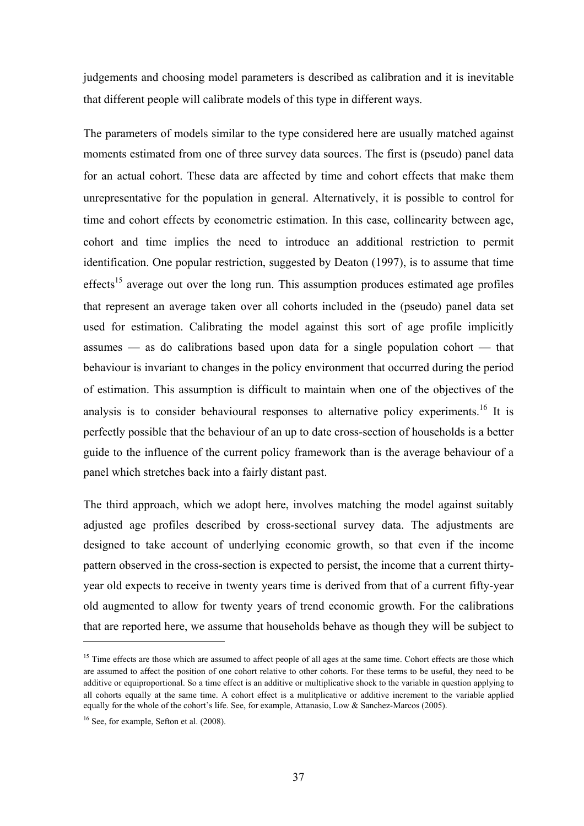judgements and choosing model parameters is described as calibration and it is inevitable that different people will calibrate models of this type in different ways.

The parameters of models similar to the type considered here are usually matched against moments estimated from one of three survey data sources. The first is (pseudo) panel data for an actual cohort. These data are affected by time and cohort effects that make them unrepresentative for the population in general. Alternatively, it is possible to control for time and cohort effects by econometric estimation. In this case, collinearity between age, cohort and time implies the need to introduce an additional restriction to permit identification. One popular restriction, suggested by Deaton (1997), is to assume that time effects<sup>15</sup> average out over the long run. This assumption produces estimated age profiles that represent an average taken over all cohorts included in the (pseudo) panel data set used for estimation. Calibrating the model against this sort of age profile implicitly assumes — as do calibrations based upon data for a single population cohort — that behaviour is invariant to changes in the policy environment that occurred during the period of estimation. This assumption is difficult to maintain when one of the objectives of the analysis is to consider behavioural responses to alternative policy experiments.<sup>16</sup> It is perfectly possible that the behaviour of an up to date cross-section of households is a better guide to the influence of the current policy framework than is the average behaviour of a panel which stretches back into a fairly distant past.

The third approach, which we adopt here, involves matching the model against suitably adjusted age profiles described by cross-sectional survey data. The adjustments are designed to take account of underlying economic growth, so that even if the income pattern observed in the cross-section is expected to persist, the income that a current thirtyyear old expects to receive in twenty years time is derived from that of a current fifty-year old augmented to allow for twenty years of trend economic growth. For the calibrations that are reported here, we assume that households behave as though they will be subject to

<sup>&</sup>lt;sup>15</sup> Time effects are those which are assumed to affect people of all ages at the same time. Cohort effects are those which are assumed to affect the position of one cohort relative to other cohorts. For these terms to be useful, they need to be additive or equiproportional. So a time effect is an additive or multiplicative shock to the variable in question applying to all cohorts equally at the same time. A cohort effect is a mulitplicative or additive increment to the variable applied equally for the whole of the cohort's life. See, for example, Attanasio, Low & Sanchez-Marcos (2005).

<sup>&</sup>lt;sup>16</sup> See, for example, Sefton et al. (2008).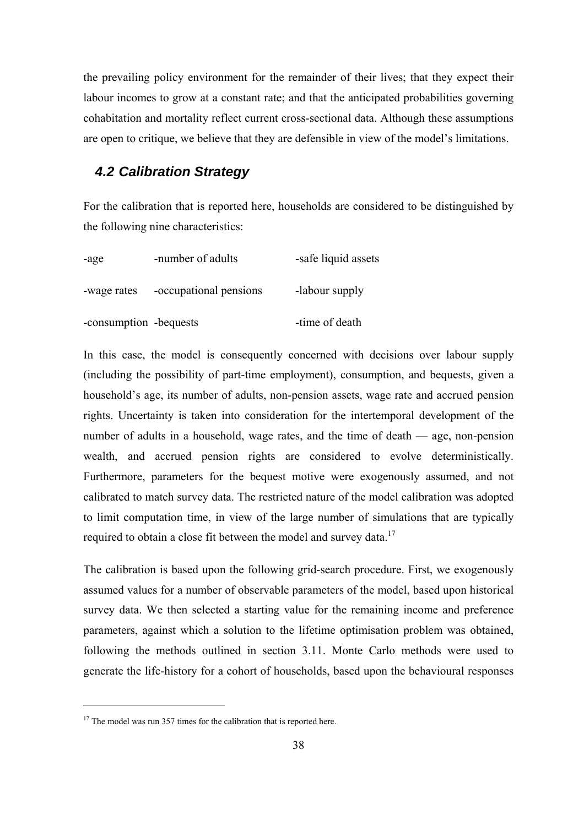the prevailing policy environment for the remainder of their lives; that they expect their labour incomes to grow at a constant rate; and that the anticipated probabilities governing cohabitation and mortality reflect current cross-sectional data. Although these assumptions are open to critique, we believe that they are defensible in view of the model's limitations.

## *4.2 Calibration Strategy*

For the calibration that is reported here, households are considered to be distinguished by the following nine characteristics:

| -age                   | -number of adults      | -safe liquid assets |
|------------------------|------------------------|---------------------|
| -wage rates            | -occupational pensions | -labour supply      |
| -consumption -bequests |                        | -time of death      |

In this case, the model is consequently concerned with decisions over labour supply (including the possibility of part-time employment), consumption, and bequests, given a household's age, its number of adults, non-pension assets, wage rate and accrued pension rights. Uncertainty is taken into consideration for the intertemporal development of the number of adults in a household, wage rates, and the time of death — age, non-pension wealth, and accrued pension rights are considered to evolve deterministically. Furthermore, parameters for the bequest motive were exogenously assumed, and not calibrated to match survey data. The restricted nature of the model calibration was adopted to limit computation time, in view of the large number of simulations that are typically required to obtain a close fit between the model and survey data.<sup>17</sup>

The calibration is based upon the following grid-search procedure. First, we exogenously assumed values for a number of observable parameters of the model, based upon historical survey data. We then selected a starting value for the remaining income and preference parameters, against which a solution to the lifetime optimisation problem was obtained, following the methods outlined in section 3.11. Monte Carlo methods were used to generate the life-history for a cohort of households, based upon the behavioural responses

 $17$  The model was run 357 times for the calibration that is reported here.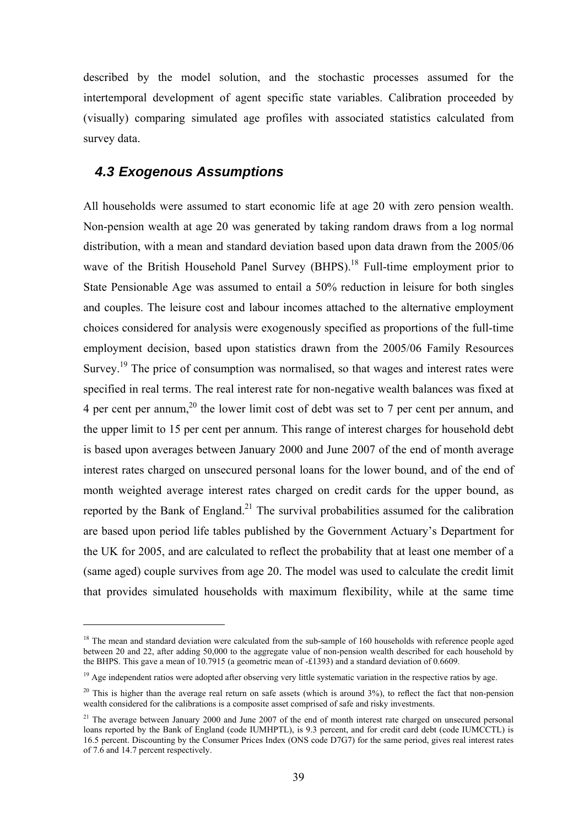described by the model solution, and the stochastic processes assumed for the intertemporal development of agent specific state variables. Calibration proceeded by (visually) comparing simulated age profiles with associated statistics calculated from survey data.

### *4.3 Exogenous Assumptions*

 $\overline{a}$ 

All households were assumed to start economic life at age 20 with zero pension wealth. Non-pension wealth at age 20 was generated by taking random draws from a log normal distribution, with a mean and standard deviation based upon data drawn from the 2005/06 wave of the British Household Panel Survey (BHPS).<sup>18</sup> Full-time employment prior to State Pensionable Age was assumed to entail a 50% reduction in leisure for both singles and couples. The leisure cost and labour incomes attached to the alternative employment choices considered for analysis were exogenously specified as proportions of the full-time employment decision, based upon statistics drawn from the 2005/06 Family Resources Survey.<sup>19</sup> The price of consumption was normalised, so that wages and interest rates were specified in real terms. The real interest rate for non-negative wealth balances was fixed at 4 per cent per annum,<sup>20</sup> the lower limit cost of debt was set to 7 per cent per annum, and the upper limit to 15 per cent per annum. This range of interest charges for household debt is based upon averages between January 2000 and June 2007 of the end of month average interest rates charged on unsecured personal loans for the lower bound, and of the end of month weighted average interest rates charged on credit cards for the upper bound, as reported by the Bank of England.<sup>21</sup> The survival probabilities assumed for the calibration are based upon period life tables published by the Government Actuary's Department for the UK for 2005, and are calculated to reflect the probability that at least one member of a (same aged) couple survives from age 20. The model was used to calculate the credit limit that provides simulated households with maximum flexibility, while at the same time

<sup>&</sup>lt;sup>18</sup> The mean and standard deviation were calculated from the sub-sample of 160 households with reference people aged between 20 and 22, after adding 50,000 to the aggregate value of non-pension wealth described for each household by the BHPS. This gave a mean of 10.7915 (a geometric mean of -£1393) and a standard deviation of 0.6609.

<sup>&</sup>lt;sup>19</sup> Age independent ratios were adopted after observing very little systematic variation in the respective ratios by age.

 $20$  This is higher than the average real return on safe assets (which is around 3%), to reflect the fact that non-pension wealth considered for the calibrations is a composite asset comprised of safe and risky investments.

<sup>&</sup>lt;sup>21</sup> The average between January 2000 and June 2007 of the end of month interest rate charged on unsecured personal loans reported by the Bank of England (code IUMHPTL), is 9.3 percent, and for credit card debt (code IUMCCTL) is 16.5 percent. Discounting by the Consumer Prices Index (ONS code D7G7) for the same period, gives real interest rates of 7.6 and 14.7 percent respectively.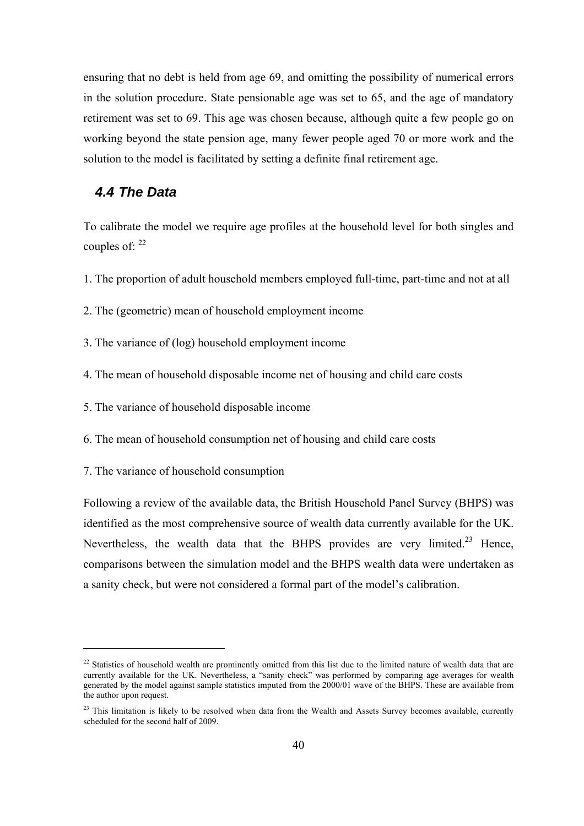ensuring that no debt is held from age 69, and omitting the possibility of numerical errors in the solution procedure. State pensionable age was set to 65, and the age of mandatory retirement was set to 69. This age was chosen because, although quite a few people go on working beyond the state pension age, many fewer people aged 70 or more work and the solution to the model is facilitated by setting a definite final retirement age.

## *4.4 The Data*

To calibrate the model we require age profiles at the household level for both singles and couples of:  $^{22}$ 

1. The proportion of adult household members employed full-time, part-time and not at all

2. The (geometric) mean of household employment income

3. The variance of (log) household employment income

4. The mean of household disposable income net of housing and child care costs

5. The variance of household disposable income

6. The mean of household consumption net of housing and child care costs

7. The variance of household consumption

 $\overline{a}$ 

Following a review of the available data, the British Household Panel Survey (BHPS) was identified as the most comprehensive source of wealth data currently available for the UK. Nevertheless, the wealth data that the BHPS provides are very limited.<sup>23</sup> Hence, comparisons between the simulation model and the BHPS wealth data were undertaken as a sanity check, but were not considered a formal part of the model's calibration.

 $22$  Statistics of household wealth are prominently omitted from this list due to the limited nature of wealth data that are currently available for the UK. Nevertheless, a "sanity check" was performed by comparing age averages for wealth generated by the model against sample statistics imputed from the 2000/01 wave of the BHPS. These are available from the author upon request.

<sup>&</sup>lt;sup>23</sup> This limitation is likely to be resolved when data from the Wealth and Assets Survey becomes available, currently scheduled for the second half of 2009.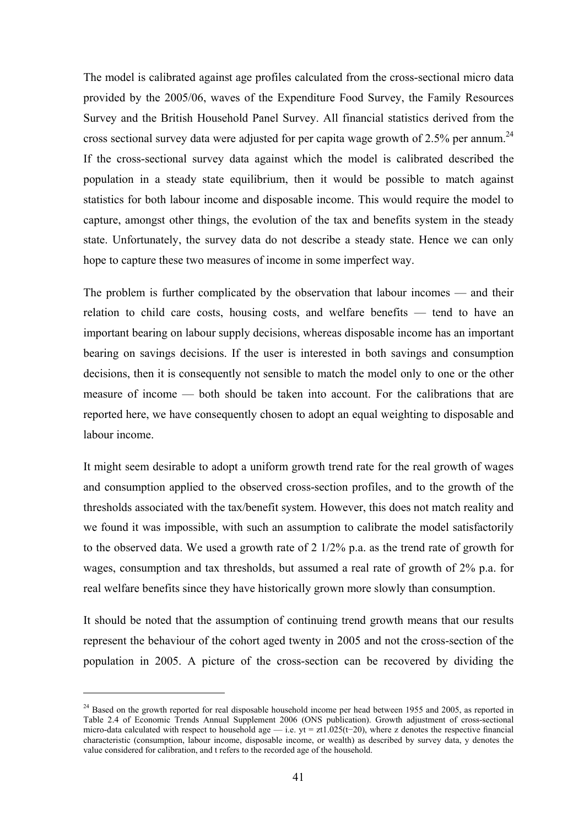The model is calibrated against age profiles calculated from the cross-sectional micro data provided by the 2005/06, waves of the Expenditure Food Survey, the Family Resources Survey and the British Household Panel Survey. All financial statistics derived from the cross sectional survey data were adjusted for per capita wage growth of  $2.5\%$  per annum.<sup>24</sup> If the cross-sectional survey data against which the model is calibrated described the population in a steady state equilibrium, then it would be possible to match against statistics for both labour income and disposable income. This would require the model to capture, amongst other things, the evolution of the tax and benefits system in the steady state. Unfortunately, the survey data do not describe a steady state. Hence we can only hope to capture these two measures of income in some imperfect way.

The problem is further complicated by the observation that labour incomes — and their relation to child care costs, housing costs, and welfare benefits — tend to have an important bearing on labour supply decisions, whereas disposable income has an important bearing on savings decisions. If the user is interested in both savings and consumption decisions, then it is consequently not sensible to match the model only to one or the other measure of income — both should be taken into account. For the calibrations that are reported here, we have consequently chosen to adopt an equal weighting to disposable and labour income.

It might seem desirable to adopt a uniform growth trend rate for the real growth of wages and consumption applied to the observed cross-section profiles, and to the growth of the thresholds associated with the tax/benefit system. However, this does not match reality and we found it was impossible, with such an assumption to calibrate the model satisfactorily to the observed data. We used a growth rate of 2 1/2% p.a. as the trend rate of growth for wages, consumption and tax thresholds, but assumed a real rate of growth of 2% p.a. for real welfare benefits since they have historically grown more slowly than consumption.

It should be noted that the assumption of continuing trend growth means that our results represent the behaviour of the cohort aged twenty in 2005 and not the cross-section of the population in 2005. A picture of the cross-section can be recovered by dividing the

 $24$  Based on the growth reported for real disposable household income per head between 1955 and 2005, as reported in Table 2.4 of Economic Trends Annual Supplement 2006 (ONS publication). Growth adjustment of cross-sectional micro-data calculated with respect to household age — i.e. yt = zt1.025(t-20), where z denotes the respective financial characteristic (consumption, labour income, disposable income, or wealth) as described by survey data, y denotes the value considered for calibration, and t refers to the recorded age of the household.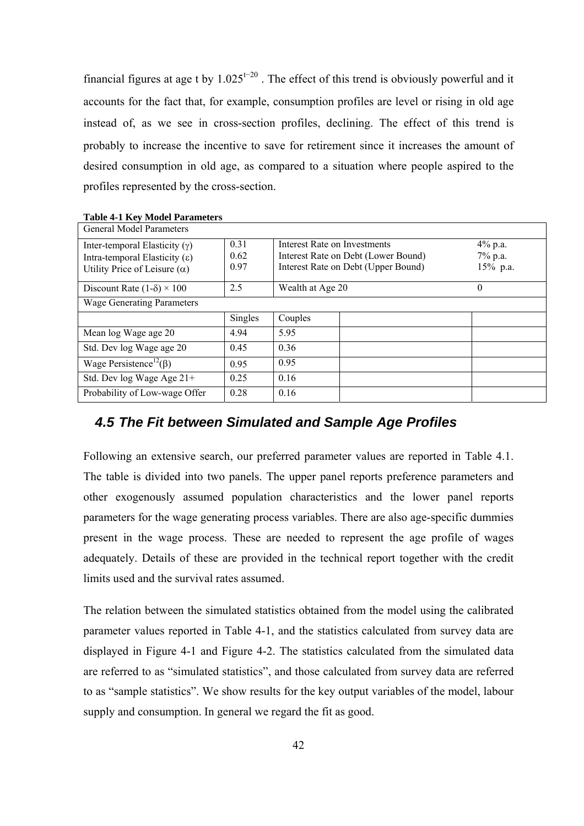financial figures at age t by  $1.025^{t-20}$ . The effect of this trend is obviously powerful and it accounts for the fact that, for example, consumption profiles are level or rising in old age instead of, as we see in cross-section profiles, declining. The effect of this trend is probably to increase the incentive to save for retirement since it increases the amount of desired consumption in old age, as compared to a situation where people aspired to the profiles represented by the cross-section.

| <b>General Model Parameters</b>                                                                         |                      |                                                                                                            |  |                                |  |
|---------------------------------------------------------------------------------------------------------|----------------------|------------------------------------------------------------------------------------------------------------|--|--------------------------------|--|
| Inter-temporal Elasticity $(y)$<br>Intra-temporal Elasticity (ε)<br>Utility Price of Leisure $(\alpha)$ | 0.31<br>0.62<br>0.97 | Interest Rate on Investments<br>Interest Rate on Debt (Lower Bound)<br>Interest Rate on Debt (Upper Bound) |  | 4% p.a.<br>7% p.a.<br>15% p.a. |  |
| Discount Rate $(1-\delta) \times 100$                                                                   | 2.5                  | Wealth at Age 20                                                                                           |  | $\theta$                       |  |
| <b>Wage Generating Parameters</b>                                                                       |                      |                                                                                                            |  |                                |  |
|                                                                                                         | Singles              | Couples                                                                                                    |  |                                |  |
| Mean log Wage age 20                                                                                    | 4.94                 | 5.95                                                                                                       |  |                                |  |
| Std. Dev log Wage age 20                                                                                | 0.45                 | 0.36                                                                                                       |  |                                |  |
| Wage Persistence <sup>12</sup> ( $\beta$ )                                                              | 0.95                 | 0.95                                                                                                       |  |                                |  |
| Std. Dev log Wage Age 21+                                                                               | 0.25                 | 0.16                                                                                                       |  |                                |  |
| Probability of Low-wage Offer                                                                           | 0.28                 | 0.16                                                                                                       |  |                                |  |

**Table 4-1 Key Model Parameters** 

## *4.5 The Fit between Simulated and Sample Age Profiles*

Following an extensive search, our preferred parameter values are reported in Table 4.1. The table is divided into two panels. The upper panel reports preference parameters and other exogenously assumed population characteristics and the lower panel reports parameters for the wage generating process variables. There are also age-specific dummies present in the wage process. These are needed to represent the age profile of wages adequately. Details of these are provided in the technical report together with the credit limits used and the survival rates assumed.

The relation between the simulated statistics obtained from the model using the calibrated parameter values reported in Table 4-1, and the statistics calculated from survey data are displayed in Figure 4-1 and Figure 4-2. The statistics calculated from the simulated data are referred to as "simulated statistics", and those calculated from survey data are referred to as "sample statistics". We show results for the key output variables of the model, labour supply and consumption. In general we regard the fit as good.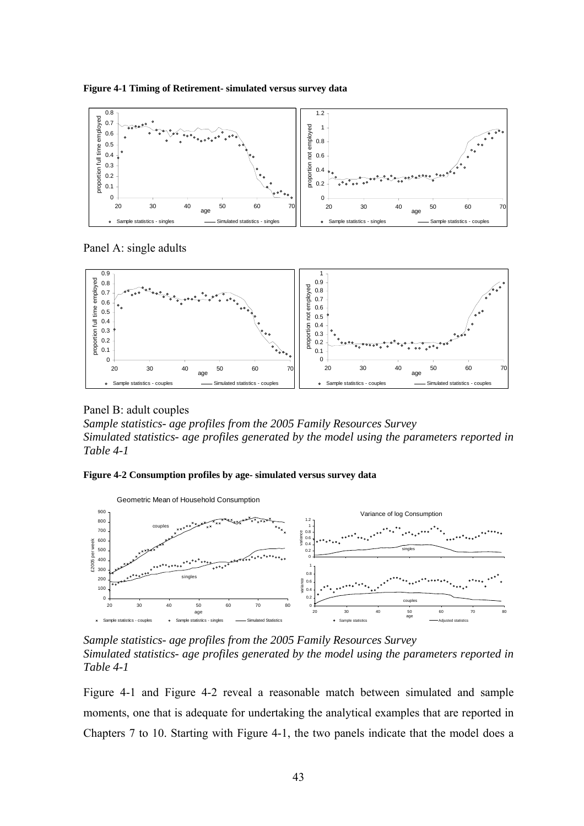



Panel A: single adults



Panel B: adult couples

*Sample statistics- age profiles from the 2005 Family Resources Survey Simulated statistics- age profiles generated by the model using the parameters reported in Table 4-1* 

#### **Figure 4-2 Consumption profiles by age- simulated versus survey data**



*Sample statistics- age profiles from the 2005 Family Resources Survey Simulated statistics- age profiles generated by the model using the parameters reported in Table 4-1* 

Figure 4-1 and Figure 4-2 reveal a reasonable match between simulated and sample moments, one that is adequate for undertaking the analytical examples that are reported in Chapters 7 to 10. Starting with Figure 4-1, the two panels indicate that the model does a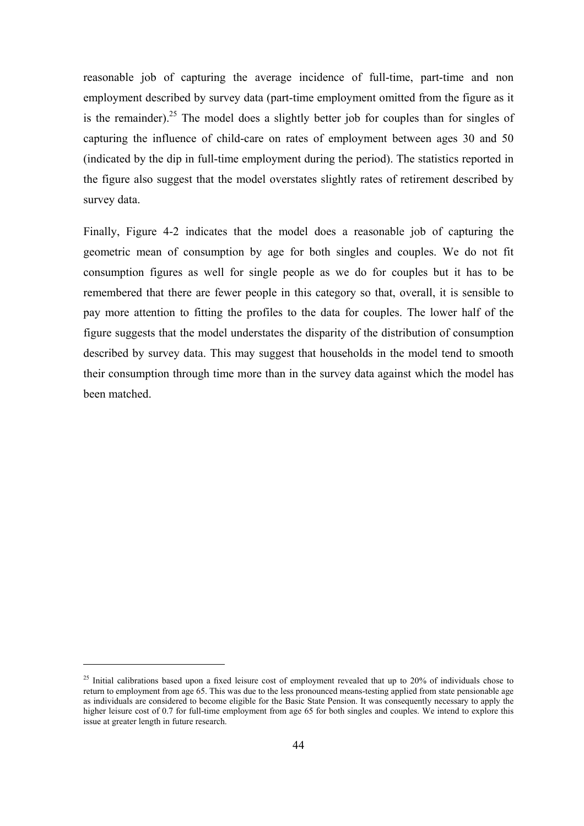reasonable job of capturing the average incidence of full-time, part-time and non employment described by survey data (part-time employment omitted from the figure as it is the remainder).<sup>25</sup> The model does a slightly better job for couples than for singles of capturing the influence of child-care on rates of employment between ages 30 and 50 (indicated by the dip in full-time employment during the period). The statistics reported in the figure also suggest that the model overstates slightly rates of retirement described by survey data.

Finally, Figure 4-2 indicates that the model does a reasonable job of capturing the geometric mean of consumption by age for both singles and couples. We do not fit consumption figures as well for single people as we do for couples but it has to be remembered that there are fewer people in this category so that, overall, it is sensible to pay more attention to fitting the profiles to the data for couples. The lower half of the figure suggests that the model understates the disparity of the distribution of consumption described by survey data. This may suggest that households in the model tend to smooth their consumption through time more than in the survey data against which the model has been matched.

 $25$  Initial calibrations based upon a fixed leisure cost of employment revealed that up to  $20\%$  of individuals chose to return to employment from age 65. This was due to the less pronounced means-testing applied from state pensionable age as individuals are considered to become eligible for the Basic State Pension. It was consequently necessary to apply the higher leisure cost of 0.7 for full-time employment from age 65 for both singles and couples. We intend to explore this issue at greater length in future research.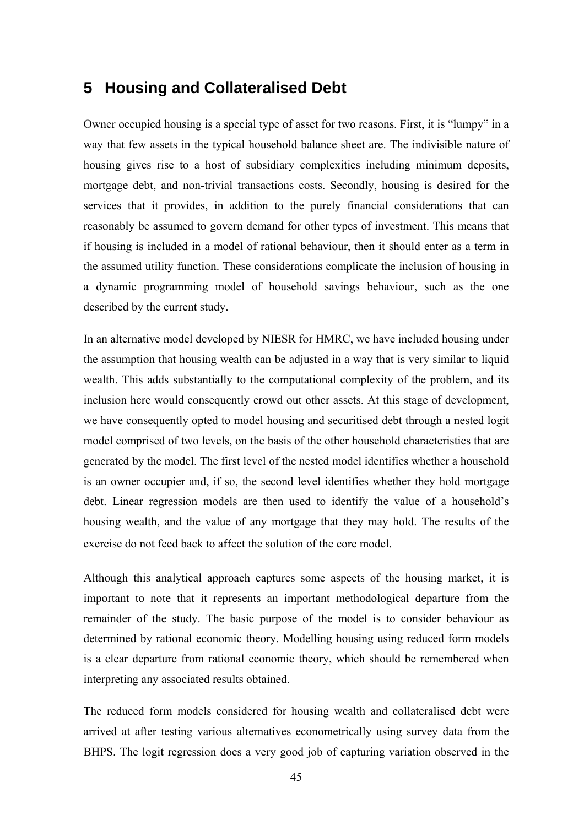# **5 Housing and Collateralised Debt**

Owner occupied housing is a special type of asset for two reasons. First, it is "lumpy" in a way that few assets in the typical household balance sheet are. The indivisible nature of housing gives rise to a host of subsidiary complexities including minimum deposits, mortgage debt, and non-trivial transactions costs. Secondly, housing is desired for the services that it provides, in addition to the purely financial considerations that can reasonably be assumed to govern demand for other types of investment. This means that if housing is included in a model of rational behaviour, then it should enter as a term in the assumed utility function. These considerations complicate the inclusion of housing in a dynamic programming model of household savings behaviour, such as the one described by the current study.

In an alternative model developed by NIESR for HMRC, we have included housing under the assumption that housing wealth can be adjusted in a way that is very similar to liquid wealth. This adds substantially to the computational complexity of the problem, and its inclusion here would consequently crowd out other assets. At this stage of development, we have consequently opted to model housing and securitised debt through a nested logit model comprised of two levels, on the basis of the other household characteristics that are generated by the model. The first level of the nested model identifies whether a household is an owner occupier and, if so, the second level identifies whether they hold mortgage debt. Linear regression models are then used to identify the value of a household's housing wealth, and the value of any mortgage that they may hold. The results of the exercise do not feed back to affect the solution of the core model

Although this analytical approach captures some aspects of the housing market, it is important to note that it represents an important methodological departure from the remainder of the study. The basic purpose of the model is to consider behaviour as determined by rational economic theory. Modelling housing using reduced form models is a clear departure from rational economic theory, which should be remembered when interpreting any associated results obtained.

The reduced form models considered for housing wealth and collateralised debt were arrived at after testing various alternatives econometrically using survey data from the BHPS. The logit regression does a very good job of capturing variation observed in the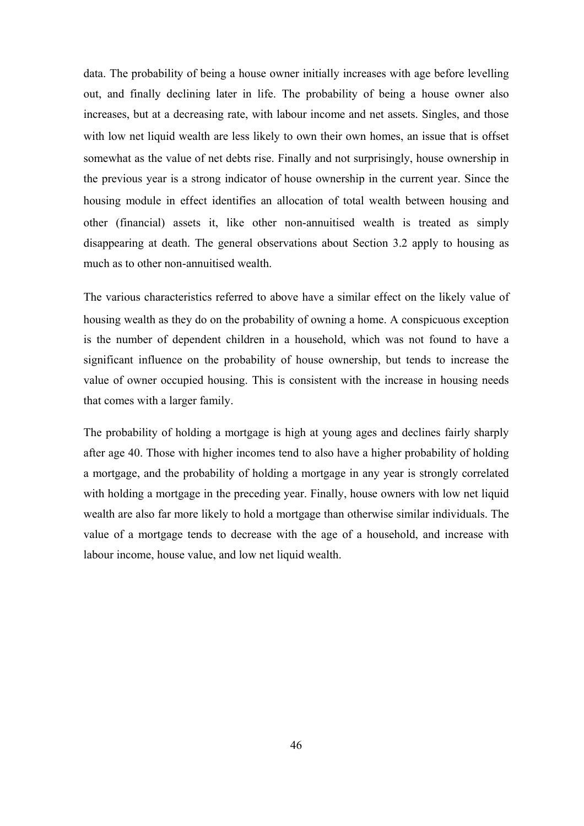data. The probability of being a house owner initially increases with age before levelling out, and finally declining later in life. The probability of being a house owner also increases, but at a decreasing rate, with labour income and net assets. Singles, and those with low net liquid wealth are less likely to own their own homes, an issue that is offset somewhat as the value of net debts rise. Finally and not surprisingly, house ownership in the previous year is a strong indicator of house ownership in the current year. Since the housing module in effect identifies an allocation of total wealth between housing and other (financial) assets it, like other non-annuitised wealth is treated as simply disappearing at death. The general observations about Section 3.2 apply to housing as much as to other non-annuitised wealth.

The various characteristics referred to above have a similar effect on the likely value of housing wealth as they do on the probability of owning a home. A conspicuous exception is the number of dependent children in a household, which was not found to have a significant influence on the probability of house ownership, but tends to increase the value of owner occupied housing. This is consistent with the increase in housing needs that comes with a larger family.

The probability of holding a mortgage is high at young ages and declines fairly sharply after age 40. Those with higher incomes tend to also have a higher probability of holding a mortgage, and the probability of holding a mortgage in any year is strongly correlated with holding a mortgage in the preceding year. Finally, house owners with low net liquid wealth are also far more likely to hold a mortgage than otherwise similar individuals. The value of a mortgage tends to decrease with the age of a household, and increase with labour income, house value, and low net liquid wealth.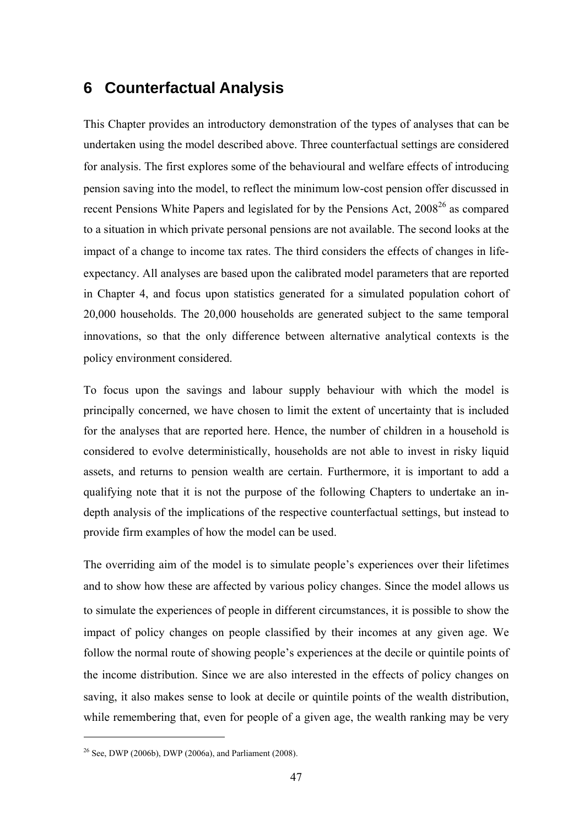# **6 Counterfactual Analysis**

This Chapter provides an introductory demonstration of the types of analyses that can be undertaken using the model described above. Three counterfactual settings are considered for analysis. The first explores some of the behavioural and welfare effects of introducing pension saving into the model, to reflect the minimum low-cost pension offer discussed in recent Pensions White Papers and legislated for by the Pensions Act, 2008<sup>26</sup> as compared to a situation in which private personal pensions are not available. The second looks at the impact of a change to income tax rates. The third considers the effects of changes in lifeexpectancy. All analyses are based upon the calibrated model parameters that are reported in Chapter 4, and focus upon statistics generated for a simulated population cohort of 20,000 households. The 20,000 households are generated subject to the same temporal innovations, so that the only difference between alternative analytical contexts is the policy environment considered.

To focus upon the savings and labour supply behaviour with which the model is principally concerned, we have chosen to limit the extent of uncertainty that is included for the analyses that are reported here. Hence, the number of children in a household is considered to evolve deterministically, households are not able to invest in risky liquid assets, and returns to pension wealth are certain. Furthermore, it is important to add a qualifying note that it is not the purpose of the following Chapters to undertake an indepth analysis of the implications of the respective counterfactual settings, but instead to provide firm examples of how the model can be used.

The overriding aim of the model is to simulate people's experiences over their lifetimes and to show how these are affected by various policy changes. Since the model allows us to simulate the experiences of people in different circumstances, it is possible to show the impact of policy changes on people classified by their incomes at any given age. We follow the normal route of showing people's experiences at the decile or quintile points of the income distribution. Since we are also interested in the effects of policy changes on saving, it also makes sense to look at decile or quintile points of the wealth distribution, while remembering that, even for people of a given age, the wealth ranking may be very

<sup>&</sup>lt;sup>26</sup> See, DWP (2006b), DWP (2006a), and Parliament (2008).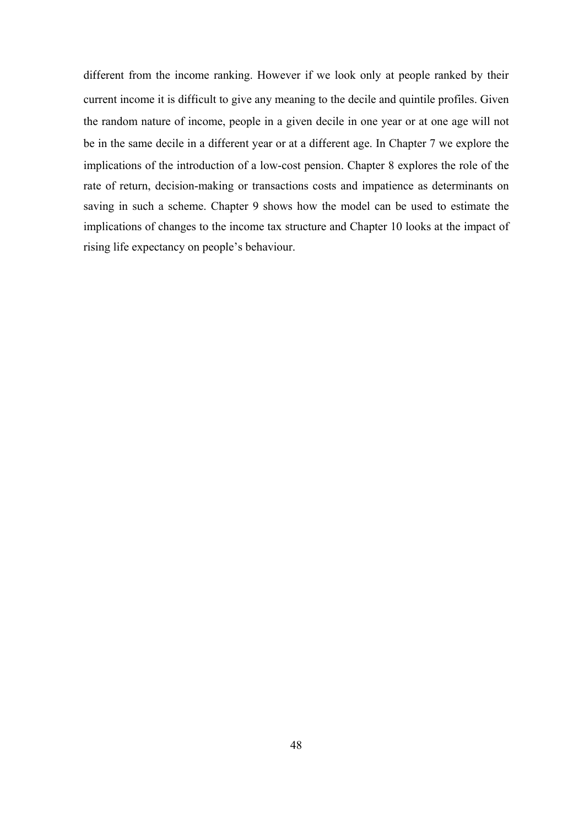different from the income ranking. However if we look only at people ranked by their current income it is difficult to give any meaning to the decile and quintile profiles. Given the random nature of income, people in a given decile in one year or at one age will not be in the same decile in a different year or at a different age. In Chapter 7 we explore the implications of the introduction of a low-cost pension. Chapter 8 explores the role of the rate of return, decision-making or transactions costs and impatience as determinants on saving in such a scheme. Chapter 9 shows how the model can be used to estimate the implications of changes to the income tax structure and Chapter 10 looks at the impact of rising life expectancy on people's behaviour.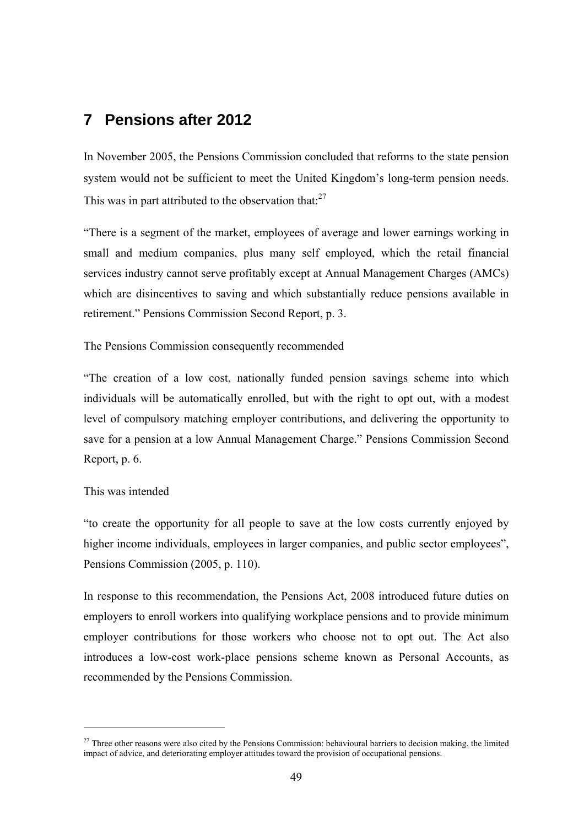# **7 Pensions after 2012**

In November 2005, the Pensions Commission concluded that reforms to the state pension system would not be sufficient to meet the United Kingdom's long-term pension needs. This was in part attributed to the observation that: $27$ 

"There is a segment of the market, employees of average and lower earnings working in small and medium companies, plus many self employed, which the retail financial services industry cannot serve profitably except at Annual Management Charges (AMCs) which are disincentives to saving and which substantially reduce pensions available in retirement." Pensions Commission Second Report, p. 3.

The Pensions Commission consequently recommended

"The creation of a low cost, nationally funded pension savings scheme into which individuals will be automatically enrolled, but with the right to opt out, with a modest level of compulsory matching employer contributions, and delivering the opportunity to save for a pension at a low Annual Management Charge." Pensions Commission Second Report, p. 6.

#### This was intended

 $\overline{a}$ 

"to create the opportunity for all people to save at the low costs currently enjoyed by higher income individuals, employees in larger companies, and public sector employees", Pensions Commission (2005, p. 110).

In response to this recommendation, the Pensions Act, 2008 introduced future duties on employers to enroll workers into qualifying workplace pensions and to provide minimum employer contributions for those workers who choose not to opt out. The Act also introduces a low-cost work-place pensions scheme known as Personal Accounts, as recommended by the Pensions Commission.

 $27$  Three other reasons were also cited by the Pensions Commission: behavioural barriers to decision making, the limited impact of advice, and deteriorating employer attitudes toward the provision of occupational pensions.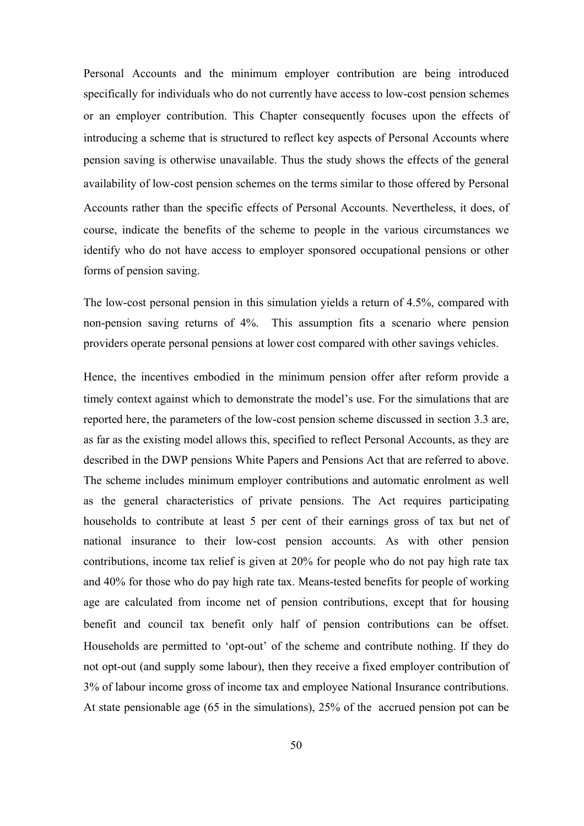Personal Accounts and the minimum employer contribution are being introduced specifically for individuals who do not currently have access to low-cost pension schemes or an employer contribution. This Chapter consequently focuses upon the effects of introducing a scheme that is structured to reflect key aspects of Personal Accounts where pension saving is otherwise unavailable. Thus the study shows the effects of the general availability of low-cost pension schemes on the terms similar to those offered by Personal Accounts rather than the specific effects of Personal Accounts. Nevertheless, it does, of course, indicate the benefits of the scheme to people in the various circumstances we identify who do not have access to employer sponsored occupational pensions or other forms of pension saving.

The low-cost personal pension in this simulation yields a return of 4.5%, compared with non-pension saving returns of 4%. This assumption fits a scenario where pension providers operate personal pensions at lower cost compared with other savings vehicles.

Hence, the incentives embodied in the minimum pension offer after reform provide a timely context against which to demonstrate the model's use. For the simulations that are reported here, the parameters of the low-cost pension scheme discussed in section 3.3 are, as far as the existing model allows this, specified to reflect Personal Accounts, as they are described in the DWP pensions White Papers and Pensions Act that are referred to above. The scheme includes minimum employer contributions and automatic enrolment as well as the general characteristics of private pensions. The Act requires participating households to contribute at least 5 per cent of their earnings gross of tax but net of national insurance to their low-cost pension accounts. As with other pension contributions, income tax relief is given at 20% for people who do not pay high rate tax and 40% for those who do pay high rate tax. Means-tested benefits for people of working age are calculated from income net of pension contributions, except that for housing benefit and council tax benefit only half of pension contributions can be offset. Households are permitted to 'opt-out' of the scheme and contribute nothing. If they do not opt-out (and supply some labour), then they receive a fixed employer contribution of 3% of labour income gross of income tax and employee National Insurance contributions. At state pensionable age (65 in the simulations), 25% of the accrued pension pot can be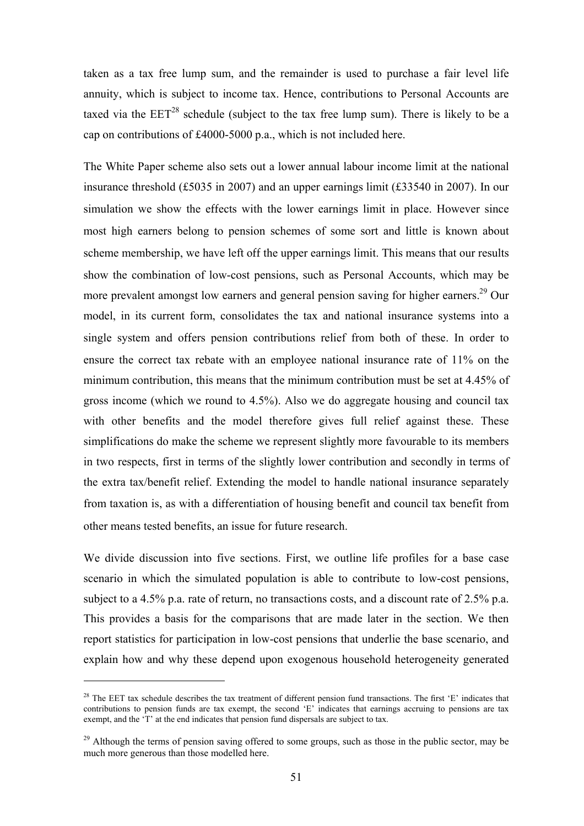taken as a tax free lump sum, and the remainder is used to purchase a fair level life annuity, which is subject to income tax. Hence, contributions to Personal Accounts are taxed via the  $EET^{28}$  schedule (subject to the tax free lump sum). There is likely to be a cap on contributions of £4000-5000 p.a., which is not included here.

The White Paper scheme also sets out a lower annual labour income limit at the national insurance threshold (£5035 in 2007) and an upper earnings limit (£33540 in 2007). In our simulation we show the effects with the lower earnings limit in place. However since most high earners belong to pension schemes of some sort and little is known about scheme membership, we have left off the upper earnings limit. This means that our results show the combination of low-cost pensions, such as Personal Accounts, which may be more prevalent amongst low earners and general pension saving for higher earners.<sup>29</sup> Our model, in its current form, consolidates the tax and national insurance systems into a single system and offers pension contributions relief from both of these. In order to ensure the correct tax rebate with an employee national insurance rate of 11% on the minimum contribution, this means that the minimum contribution must be set at 4.45% of gross income (which we round to 4.5%). Also we do aggregate housing and council tax with other benefits and the model therefore gives full relief against these. These simplifications do make the scheme we represent slightly more favourable to its members in two respects, first in terms of the slightly lower contribution and secondly in terms of the extra tax/benefit relief. Extending the model to handle national insurance separately from taxation is, as with a differentiation of housing benefit and council tax benefit from other means tested benefits, an issue for future research.

We divide discussion into five sections. First, we outline life profiles for a base case scenario in which the simulated population is able to contribute to low-cost pensions, subject to a 4.5% p.a. rate of return, no transactions costs, and a discount rate of 2.5% p.a. This provides a basis for the comparisons that are made later in the section. We then report statistics for participation in low-cost pensions that underlie the base scenario, and explain how and why these depend upon exogenous household heterogeneity generated

 $28$  The EET tax schedule describes the tax treatment of different pension fund transactions. The first 'E' indicates that contributions to pension funds are tax exempt, the second 'E' indicates that earnings accruing to pensions are tax exempt, and the  $\hat{T}$  at the end indicates that pension fund dispersals are subject to tax.

<sup>&</sup>lt;sup>29</sup> Although the terms of pension saving offered to some groups, such as those in the public sector, may be much more generous than those modelled here.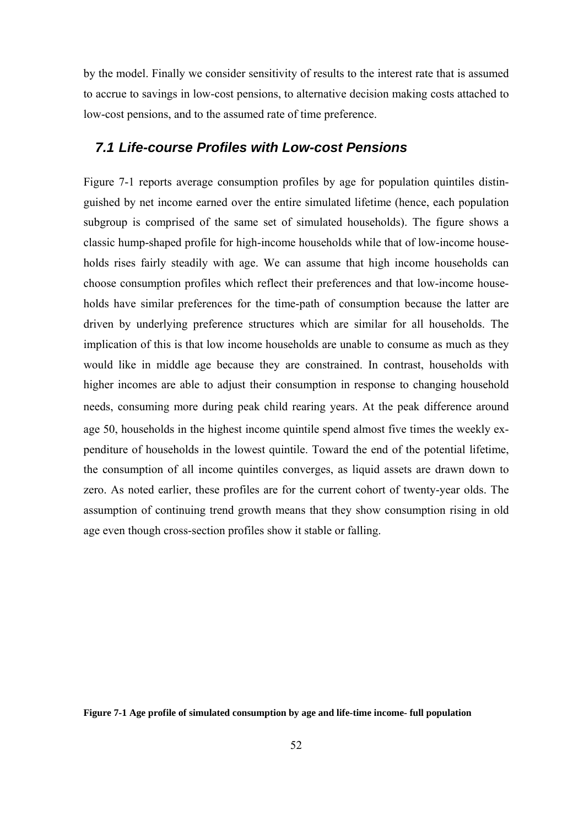by the model. Finally we consider sensitivity of results to the interest rate that is assumed to accrue to savings in low-cost pensions, to alternative decision making costs attached to low-cost pensions, and to the assumed rate of time preference.

# *7.1 Life-course Profiles with Low-cost Pensions*

Figure 7-1 reports average consumption profiles by age for population quintiles distinguished by net income earned over the entire simulated lifetime (hence, each population subgroup is comprised of the same set of simulated households). The figure shows a classic hump-shaped profile for high-income households while that of low-income households rises fairly steadily with age. We can assume that high income households can choose consumption profiles which reflect their preferences and that low-income households have similar preferences for the time-path of consumption because the latter are driven by underlying preference structures which are similar for all households. The implication of this is that low income households are unable to consume as much as they would like in middle age because they are constrained. In contrast, households with higher incomes are able to adjust their consumption in response to changing household needs, consuming more during peak child rearing years. At the peak difference around age 50, households in the highest income quintile spend almost five times the weekly expenditure of households in the lowest quintile. Toward the end of the potential lifetime, the consumption of all income quintiles converges, as liquid assets are drawn down to zero. As noted earlier, these profiles are for the current cohort of twenty-year olds. The assumption of continuing trend growth means that they show consumption rising in old age even though cross-section profiles show it stable or falling.

**Figure 7-1 Age profile of simulated consumption by age and life-time income- full population**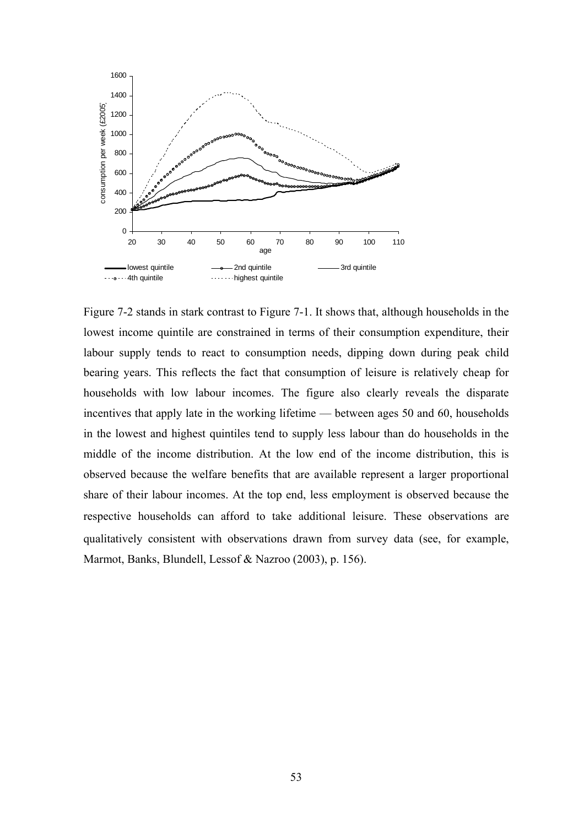

Figure 7-2 stands in stark contrast to Figure 7-1. It shows that, although households in the lowest income quintile are constrained in terms of their consumption expenditure, their labour supply tends to react to consumption needs, dipping down during peak child bearing years. This reflects the fact that consumption of leisure is relatively cheap for households with low labour incomes. The figure also clearly reveals the disparate incentives that apply late in the working lifetime — between ages 50 and 60, households in the lowest and highest quintiles tend to supply less labour than do households in the middle of the income distribution. At the low end of the income distribution, this is observed because the welfare benefits that are available represent a larger proportional share of their labour incomes. At the top end, less employment is observed because the respective households can afford to take additional leisure. These observations are qualitatively consistent with observations drawn from survey data (see, for example, Marmot, Banks, Blundell, Lessof & Nazroo (2003), p. 156).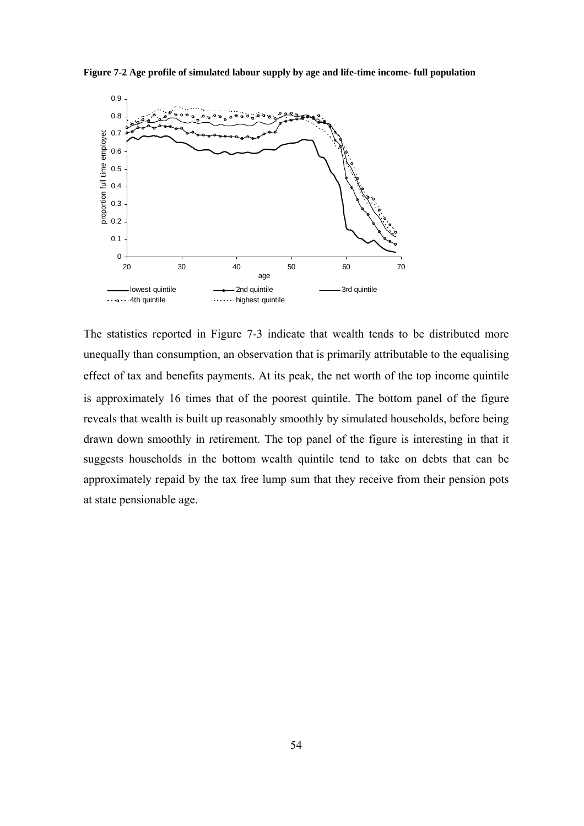



The statistics reported in Figure 7-3 indicate that wealth tends to be distributed more unequally than consumption, an observation that is primarily attributable to the equalising effect of tax and benefits payments. At its peak, the net worth of the top income quintile is approximately 16 times that of the poorest quintile. The bottom panel of the figure reveals that wealth is built up reasonably smoothly by simulated households, before being drawn down smoothly in retirement. The top panel of the figure is interesting in that it suggests households in the bottom wealth quintile tend to take on debts that can be approximately repaid by the tax free lump sum that they receive from their pension pots at state pensionable age.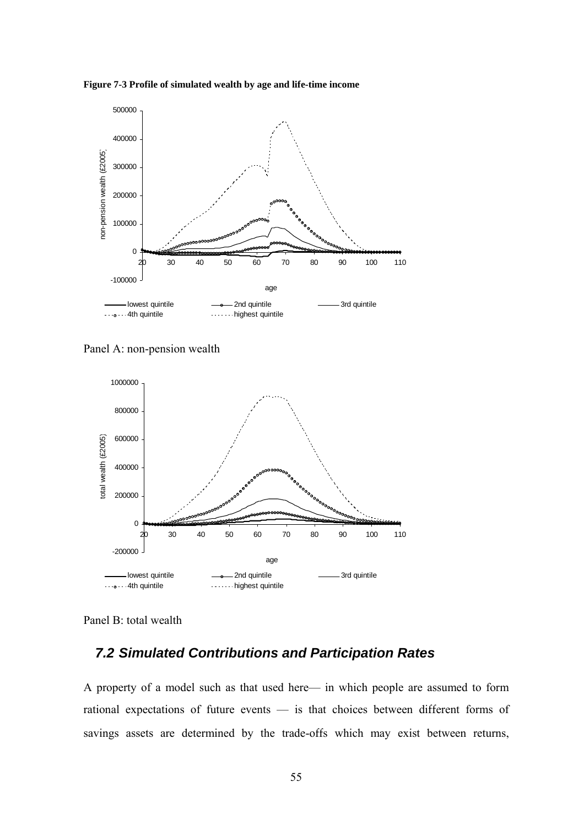**Figure 7-3 Profile of simulated wealth by age and life-time income** 



Panel A: non-pension wealth



Panel B: total wealth

# *7.2 Simulated Contributions and Participation Rates*

A property of a model such as that used here— in which people are assumed to form rational expectations of future events — is that choices between different forms of savings assets are determined by the trade-offs which may exist between returns,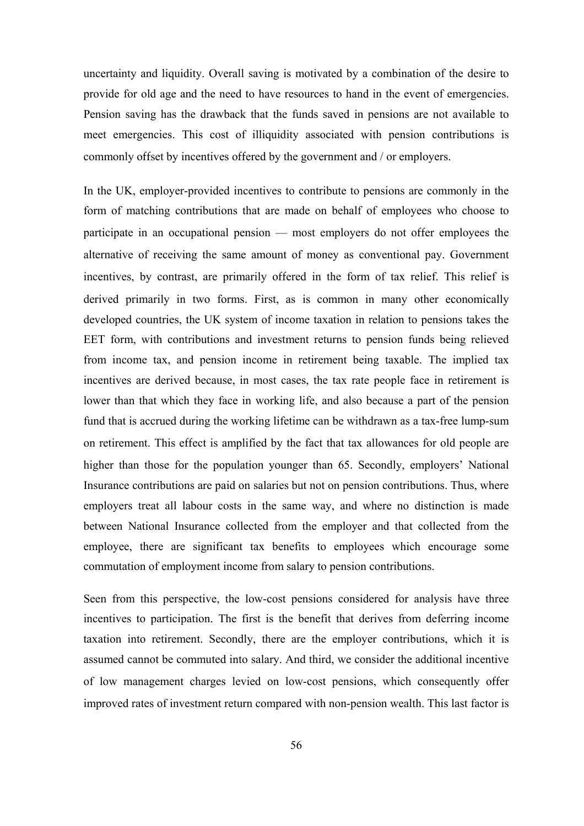uncertainty and liquidity. Overall saving is motivated by a combination of the desire to provide for old age and the need to have resources to hand in the event of emergencies. Pension saving has the drawback that the funds saved in pensions are not available to meet emergencies. This cost of illiquidity associated with pension contributions is commonly offset by incentives offered by the government and / or employers.

In the UK, employer-provided incentives to contribute to pensions are commonly in the form of matching contributions that are made on behalf of employees who choose to participate in an occupational pension — most employers do not offer employees the alternative of receiving the same amount of money as conventional pay. Government incentives, by contrast, are primarily offered in the form of tax relief. This relief is derived primarily in two forms. First, as is common in many other economically developed countries, the UK system of income taxation in relation to pensions takes the EET form, with contributions and investment returns to pension funds being relieved from income tax, and pension income in retirement being taxable. The implied tax incentives are derived because, in most cases, the tax rate people face in retirement is lower than that which they face in working life, and also because a part of the pension fund that is accrued during the working lifetime can be withdrawn as a tax-free lump-sum on retirement. This effect is amplified by the fact that tax allowances for old people are higher than those for the population younger than 65. Secondly, employers' National Insurance contributions are paid on salaries but not on pension contributions. Thus, where employers treat all labour costs in the same way, and where no distinction is made between National Insurance collected from the employer and that collected from the employee, there are significant tax benefits to employees which encourage some commutation of employment income from salary to pension contributions.

Seen from this perspective, the low-cost pensions considered for analysis have three incentives to participation. The first is the benefit that derives from deferring income taxation into retirement. Secondly, there are the employer contributions, which it is assumed cannot be commuted into salary. And third, we consider the additional incentive of low management charges levied on low-cost pensions, which consequently offer improved rates of investment return compared with non-pension wealth. This last factor is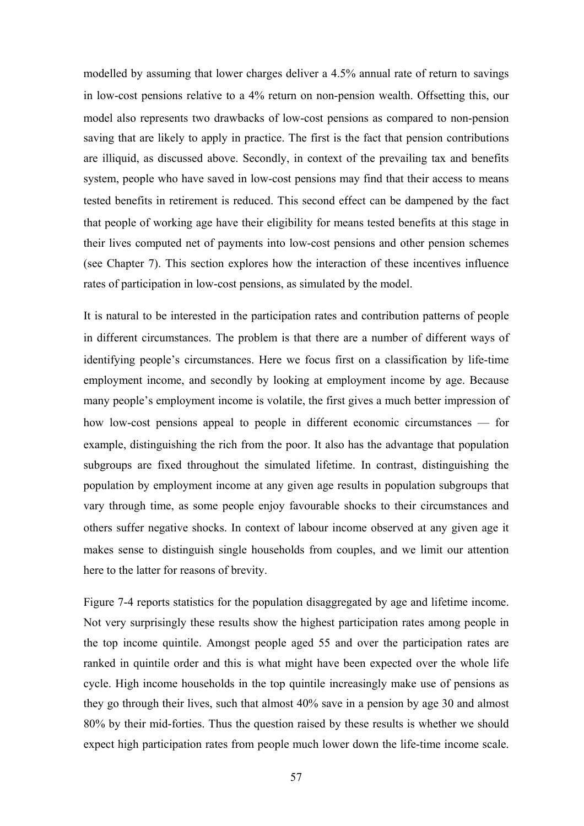modelled by assuming that lower charges deliver a 4.5% annual rate of return to savings in low-cost pensions relative to a 4% return on non-pension wealth. Offsetting this, our model also represents two drawbacks of low-cost pensions as compared to non-pension saving that are likely to apply in practice. The first is the fact that pension contributions are illiquid, as discussed above. Secondly, in context of the prevailing tax and benefits system, people who have saved in low-cost pensions may find that their access to means tested benefits in retirement is reduced. This second effect can be dampened by the fact that people of working age have their eligibility for means tested benefits at this stage in their lives computed net of payments into low-cost pensions and other pension schemes (see Chapter 7). This section explores how the interaction of these incentives influence rates of participation in low-cost pensions, as simulated by the model.

It is natural to be interested in the participation rates and contribution patterns of people in different circumstances. The problem is that there are a number of different ways of identifying people's circumstances. Here we focus first on a classification by life-time employment income, and secondly by looking at employment income by age. Because many people's employment income is volatile, the first gives a much better impression of how low-cost pensions appeal to people in different economic circumstances — for example, distinguishing the rich from the poor. It also has the advantage that population subgroups are fixed throughout the simulated lifetime. In contrast, distinguishing the population by employment income at any given age results in population subgroups that vary through time, as some people enjoy favourable shocks to their circumstances and others suffer negative shocks. In context of labour income observed at any given age it makes sense to distinguish single households from couples, and we limit our attention here to the latter for reasons of brevity.

Figure 7-4 reports statistics for the population disaggregated by age and lifetime income. Not very surprisingly these results show the highest participation rates among people in the top income quintile. Amongst people aged 55 and over the participation rates are ranked in quintile order and this is what might have been expected over the whole life cycle. High income households in the top quintile increasingly make use of pensions as they go through their lives, such that almost 40% save in a pension by age 30 and almost 80% by their mid-forties. Thus the question raised by these results is whether we should expect high participation rates from people much lower down the life-time income scale.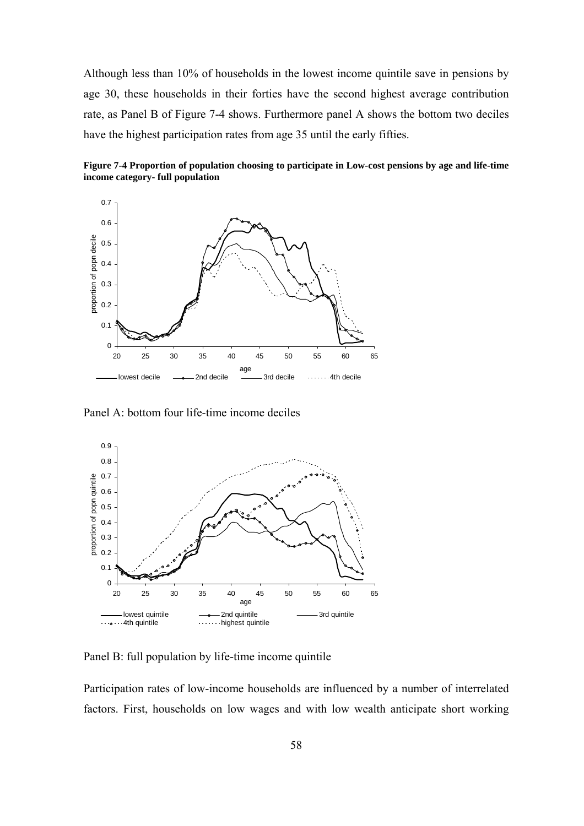Although less than 10% of households in the lowest income quintile save in pensions by age 30, these households in their forties have the second highest average contribution rate, as Panel B of Figure 7-4 shows. Furthermore panel A shows the bottom two deciles have the highest participation rates from age 35 until the early fifties.

**Figure 7-4 Proportion of population choosing to participate in Low-cost pensions by age and life-time income category- full population** 



Panel A: bottom four life-time income deciles



Panel B: full population by life-time income quintile

Participation rates of low-income households are influenced by a number of interrelated factors. First, households on low wages and with low wealth anticipate short working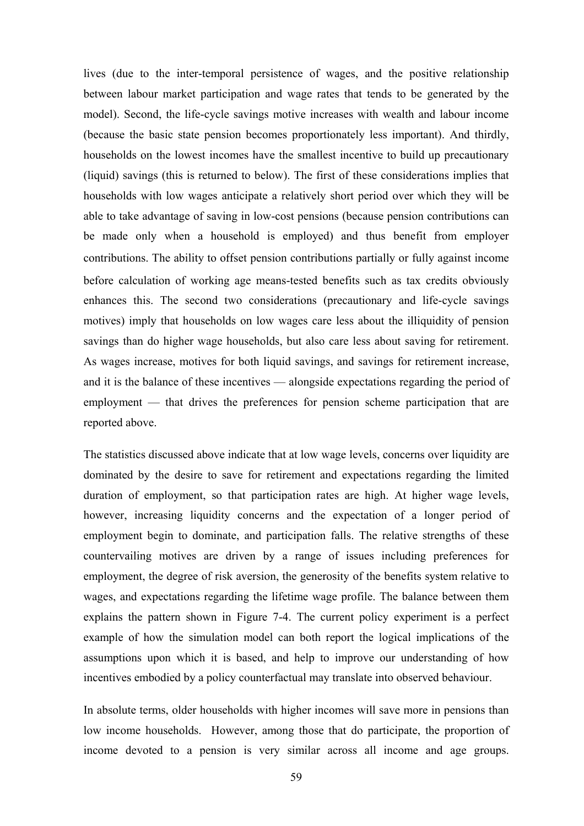lives (due to the inter-temporal persistence of wages, and the positive relationship between labour market participation and wage rates that tends to be generated by the model). Second, the life-cycle savings motive increases with wealth and labour income (because the basic state pension becomes proportionately less important). And thirdly, households on the lowest incomes have the smallest incentive to build up precautionary (liquid) savings (this is returned to below). The first of these considerations implies that households with low wages anticipate a relatively short period over which they will be able to take advantage of saving in low-cost pensions (because pension contributions can be made only when a household is employed) and thus benefit from employer contributions. The ability to offset pension contributions partially or fully against income before calculation of working age means-tested benefits such as tax credits obviously enhances this. The second two considerations (precautionary and life-cycle savings motives) imply that households on low wages care less about the illiquidity of pension savings than do higher wage households, but also care less about saving for retirement. As wages increase, motives for both liquid savings, and savings for retirement increase, and it is the balance of these incentives — alongside expectations regarding the period of employment — that drives the preferences for pension scheme participation that are reported above.

The statistics discussed above indicate that at low wage levels, concerns over liquidity are dominated by the desire to save for retirement and expectations regarding the limited duration of employment, so that participation rates are high. At higher wage levels, however, increasing liquidity concerns and the expectation of a longer period of employment begin to dominate, and participation falls. The relative strengths of these countervailing motives are driven by a range of issues including preferences for employment, the degree of risk aversion, the generosity of the benefits system relative to wages, and expectations regarding the lifetime wage profile. The balance between them explains the pattern shown in Figure 7-4. The current policy experiment is a perfect example of how the simulation model can both report the logical implications of the assumptions upon which it is based, and help to improve our understanding of how incentives embodied by a policy counterfactual may translate into observed behaviour.

In absolute terms, older households with higher incomes will save more in pensions than low income households. However, among those that do participate, the proportion of income devoted to a pension is very similar across all income and age groups.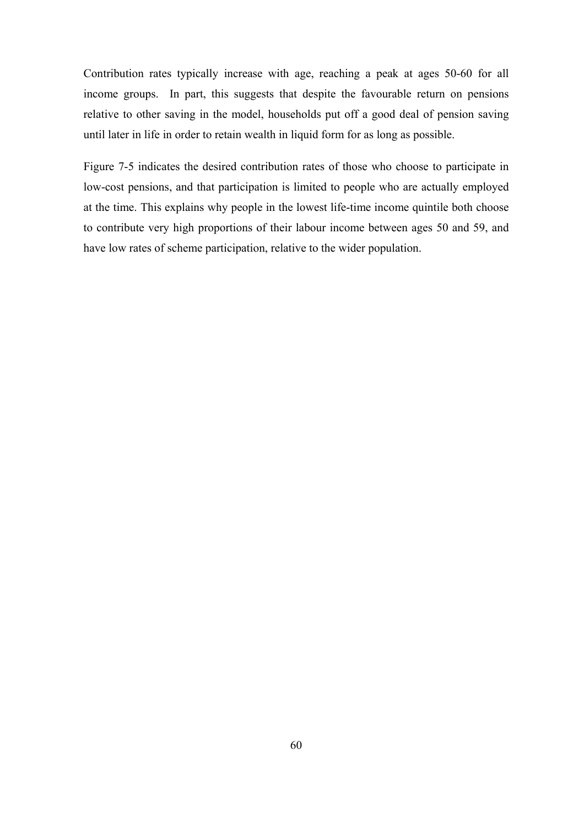Contribution rates typically increase with age, reaching a peak at ages 50-60 for all income groups. In part, this suggests that despite the favourable return on pensions relative to other saving in the model, households put off a good deal of pension saving until later in life in order to retain wealth in liquid form for as long as possible.

Figure 7-5 indicates the desired contribution rates of those who choose to participate in low-cost pensions, and that participation is limited to people who are actually employed at the time. This explains why people in the lowest life-time income quintile both choose to contribute very high proportions of their labour income between ages 50 and 59, and have low rates of scheme participation, relative to the wider population.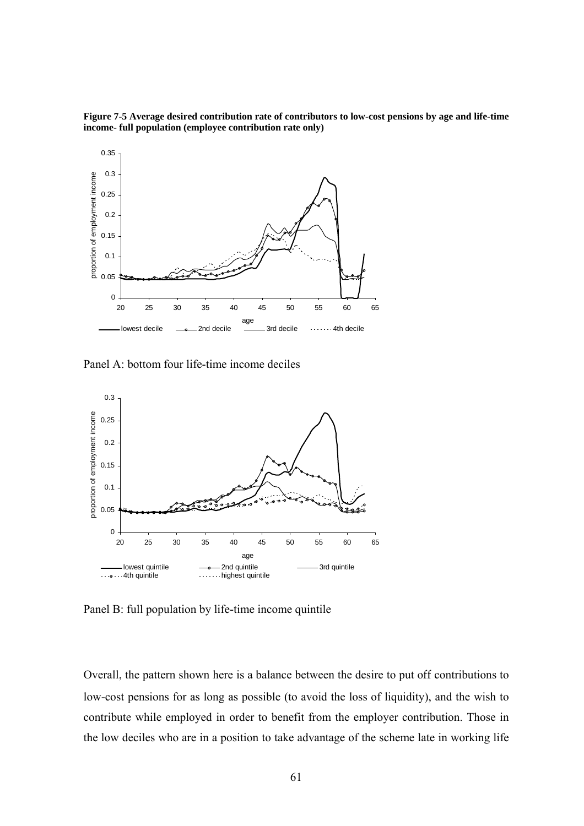**Figure 7-5 Average desired contribution rate of contributors to low-cost pensions by age and life-time income- full population (employee contribution rate only)** 



Panel A: bottom four life-time income deciles



Panel B: full population by life-time income quintile

Overall, the pattern shown here is a balance between the desire to put off contributions to low-cost pensions for as long as possible (to avoid the loss of liquidity), and the wish to contribute while employed in order to benefit from the employer contribution. Those in the low deciles who are in a position to take advantage of the scheme late in working life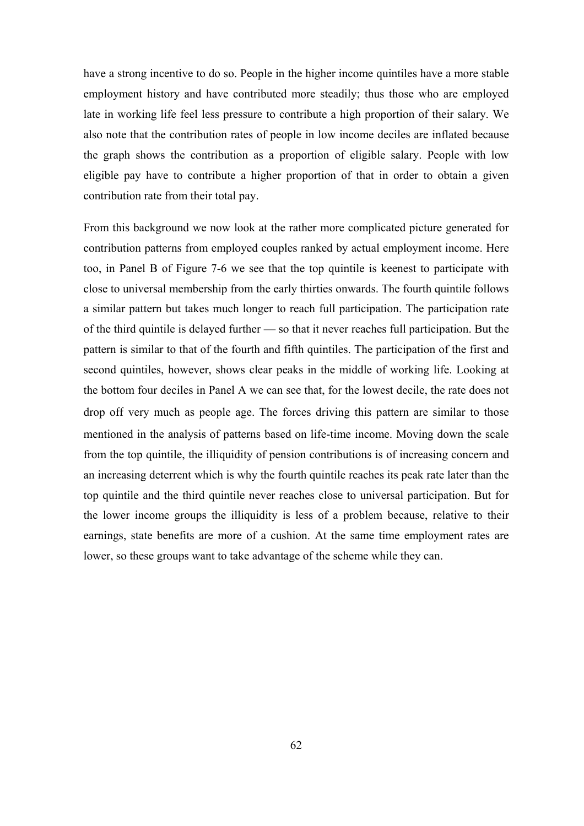have a strong incentive to do so. People in the higher income quintiles have a more stable employment history and have contributed more steadily; thus those who are employed late in working life feel less pressure to contribute a high proportion of their salary. We also note that the contribution rates of people in low income deciles are inflated because the graph shows the contribution as a proportion of eligible salary. People with low eligible pay have to contribute a higher proportion of that in order to obtain a given contribution rate from their total pay.

From this background we now look at the rather more complicated picture generated for contribution patterns from employed couples ranked by actual employment income. Here too, in Panel B of Figure 7-6 we see that the top quintile is keenest to participate with close to universal membership from the early thirties onwards. The fourth quintile follows a similar pattern but takes much longer to reach full participation. The participation rate of the third quintile is delayed further — so that it never reaches full participation. But the pattern is similar to that of the fourth and fifth quintiles. The participation of the first and second quintiles, however, shows clear peaks in the middle of working life. Looking at the bottom four deciles in Panel A we can see that, for the lowest decile, the rate does not drop off very much as people age. The forces driving this pattern are similar to those mentioned in the analysis of patterns based on life-time income. Moving down the scale from the top quintile, the illiquidity of pension contributions is of increasing concern and an increasing deterrent which is why the fourth quintile reaches its peak rate later than the top quintile and the third quintile never reaches close to universal participation. But for the lower income groups the illiquidity is less of a problem because, relative to their earnings, state benefits are more of a cushion. At the same time employment rates are lower, so these groups want to take advantage of the scheme while they can.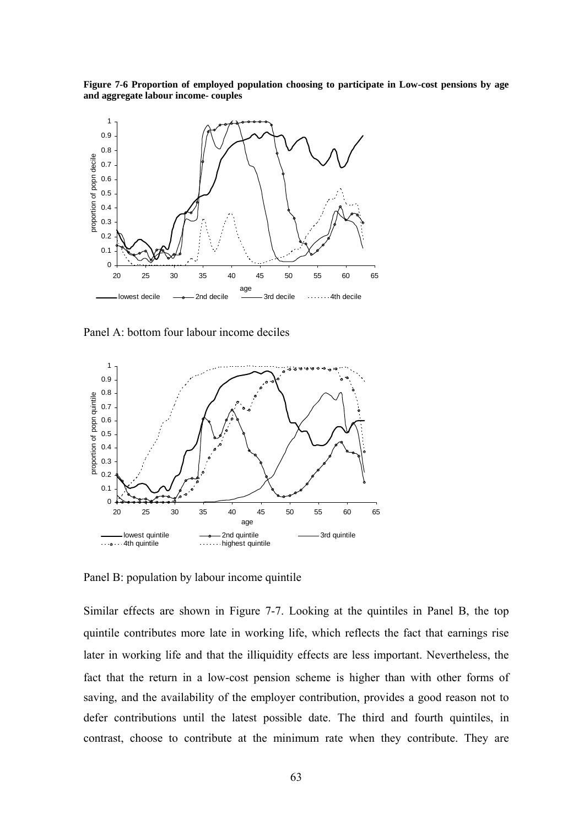**Figure 7-6 Proportion of employed population choosing to participate in Low-cost pensions by age and aggregate labour income- couples** 



Panel A: bottom four labour income deciles



Panel B: population by labour income quintile

Similar effects are shown in Figure 7-7. Looking at the quintiles in Panel B, the top quintile contributes more late in working life, which reflects the fact that earnings rise later in working life and that the illiquidity effects are less important. Nevertheless, the fact that the return in a low-cost pension scheme is higher than with other forms of saving, and the availability of the employer contribution, provides a good reason not to defer contributions until the latest possible date. The third and fourth quintiles, in contrast, choose to contribute at the minimum rate when they contribute. They are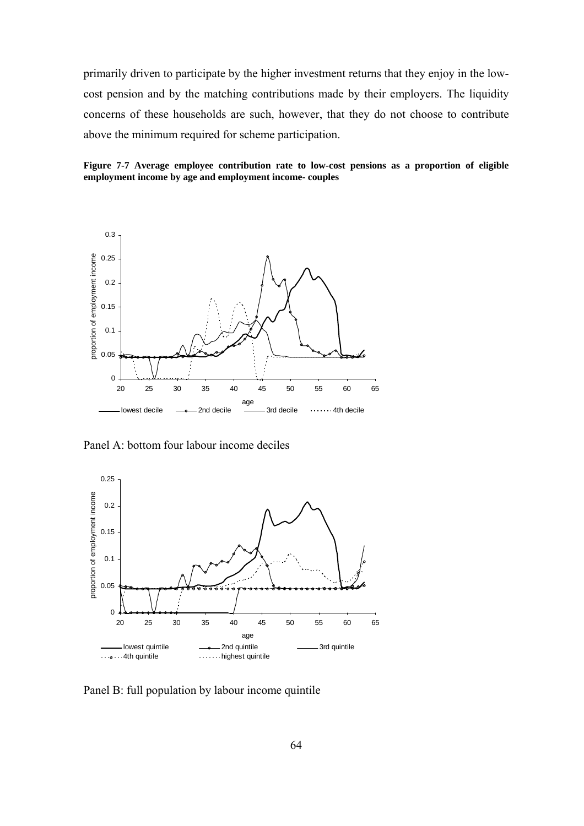primarily driven to participate by the higher investment returns that they enjoy in the lowcost pension and by the matching contributions made by their employers. The liquidity concerns of these households are such, however, that they do not choose to contribute above the minimum required for scheme participation.





Panel A: bottom four labour income deciles



Panel B: full population by labour income quintile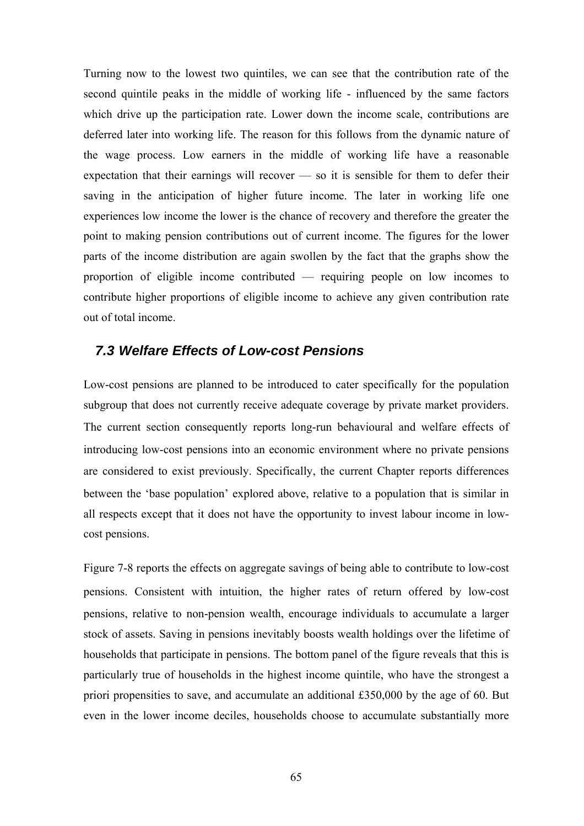Turning now to the lowest two quintiles, we can see that the contribution rate of the second quintile peaks in the middle of working life - influenced by the same factors which drive up the participation rate. Lower down the income scale, contributions are deferred later into working life. The reason for this follows from the dynamic nature of the wage process. Low earners in the middle of working life have a reasonable expectation that their earnings will recover — so it is sensible for them to defer their saving in the anticipation of higher future income. The later in working life one experiences low income the lower is the chance of recovery and therefore the greater the point to making pension contributions out of current income. The figures for the lower parts of the income distribution are again swollen by the fact that the graphs show the proportion of eligible income contributed — requiring people on low incomes to contribute higher proportions of eligible income to achieve any given contribution rate out of total income.

## *7.3 Welfare Effects of Low-cost Pensions*

Low-cost pensions are planned to be introduced to cater specifically for the population subgroup that does not currently receive adequate coverage by private market providers. The current section consequently reports long-run behavioural and welfare effects of introducing low-cost pensions into an economic environment where no private pensions are considered to exist previously. Specifically, the current Chapter reports differences between the 'base population' explored above, relative to a population that is similar in all respects except that it does not have the opportunity to invest labour income in lowcost pensions.

Figure 7-8 reports the effects on aggregate savings of being able to contribute to low-cost pensions. Consistent with intuition, the higher rates of return offered by low-cost pensions, relative to non-pension wealth, encourage individuals to accumulate a larger stock of assets. Saving in pensions inevitably boosts wealth holdings over the lifetime of households that participate in pensions. The bottom panel of the figure reveals that this is particularly true of households in the highest income quintile, who have the strongest a priori propensities to save, and accumulate an additional £350,000 by the age of 60. But even in the lower income deciles, households choose to accumulate substantially more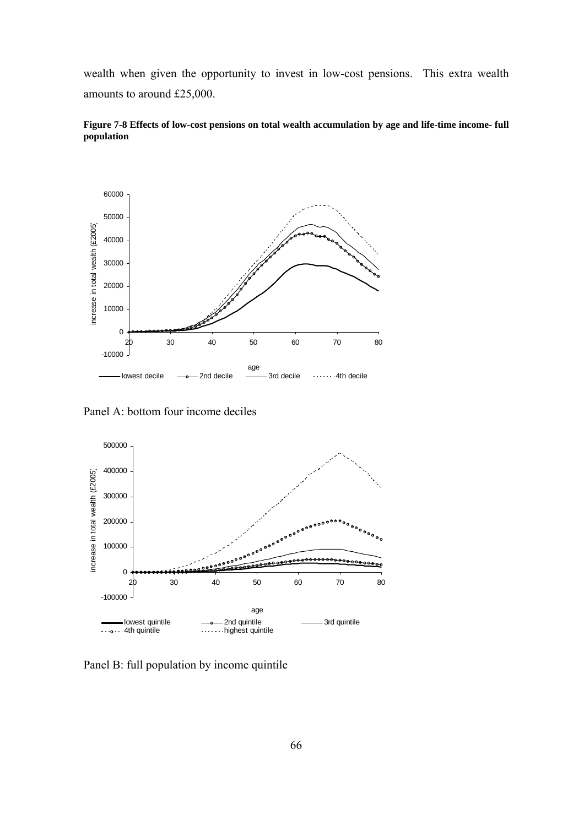wealth when given the opportunity to invest in low-cost pensions. This extra wealth amounts to around £25,000.



**Figure 7-8 Effects of low-cost pensions on total wealth accumulation by age and life-time income- full population** 

Panel A: bottom four income deciles



Panel B: full population by income quintile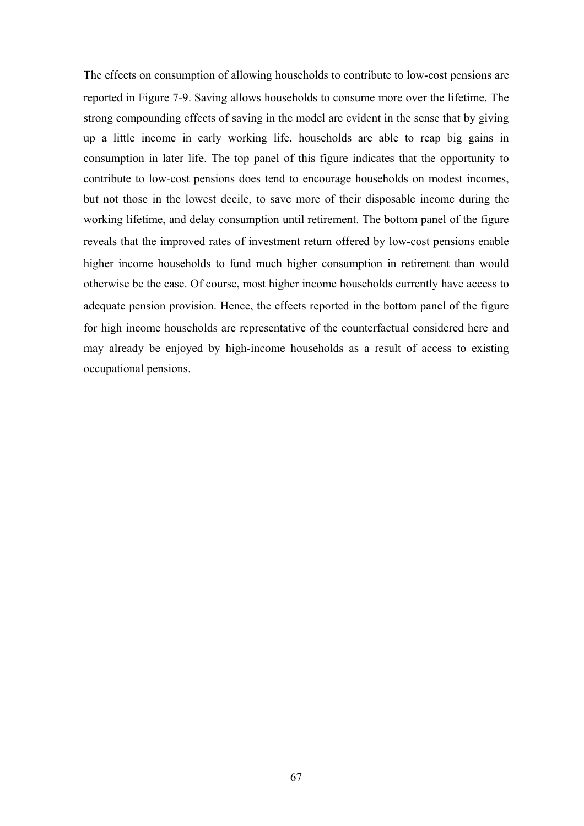The effects on consumption of allowing households to contribute to low-cost pensions are reported in Figure 7-9. Saving allows households to consume more over the lifetime. The strong compounding effects of saving in the model are evident in the sense that by giving up a little income in early working life, households are able to reap big gains in consumption in later life. The top panel of this figure indicates that the opportunity to contribute to low-cost pensions does tend to encourage households on modest incomes, but not those in the lowest decile, to save more of their disposable income during the working lifetime, and delay consumption until retirement. The bottom panel of the figure reveals that the improved rates of investment return offered by low-cost pensions enable higher income households to fund much higher consumption in retirement than would otherwise be the case. Of course, most higher income households currently have access to adequate pension provision. Hence, the effects reported in the bottom panel of the figure for high income households are representative of the counterfactual considered here and may already be enjoyed by high-income households as a result of access to existing occupational pensions.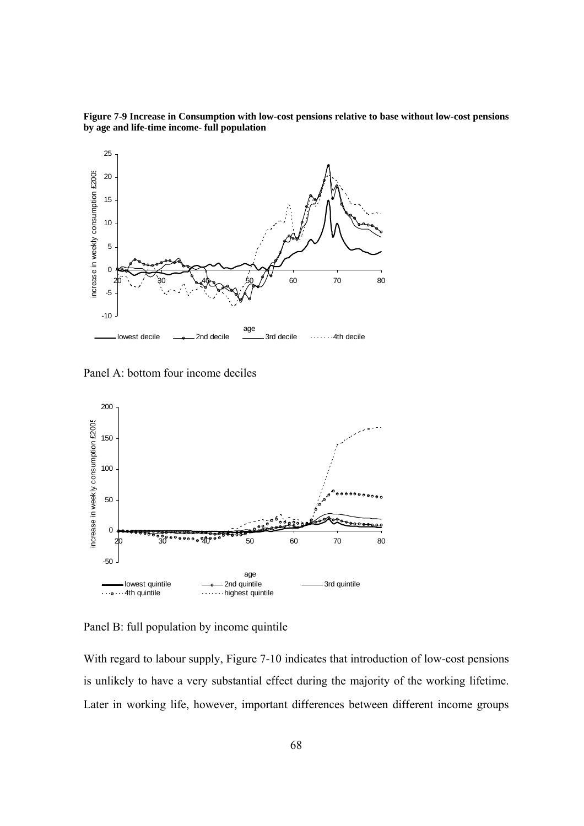**Figure 7-9 Increase in Consumption with low-cost pensions relative to base without low-cost pensions by age and life-time income- full population** 



Panel A: bottom four income deciles



Panel B: full population by income quintile

With regard to labour supply, Figure 7-10 indicates that introduction of low-cost pensions is unlikely to have a very substantial effect during the majority of the working lifetime. Later in working life, however, important differences between different income groups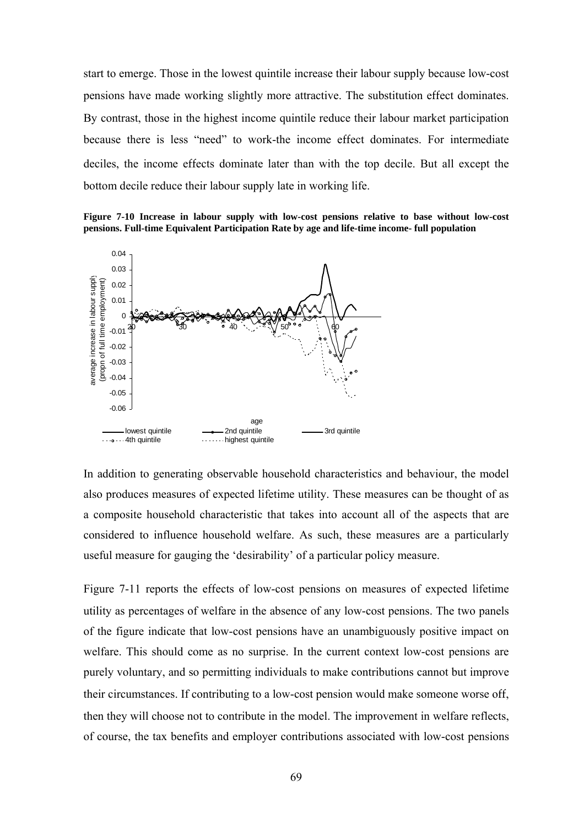start to emerge. Those in the lowest quintile increase their labour supply because low-cost pensions have made working slightly more attractive. The substitution effect dominates. By contrast, those in the highest income quintile reduce their labour market participation because there is less "need" to work-the income effect dominates. For intermediate deciles, the income effects dominate later than with the top decile. But all except the bottom decile reduce their labour supply late in working life.

**Figure 7-10 Increase in labour supply with low-cost pensions relative to base without low-cost pensions. Full-time Equivalent Participation Rate by age and life-time income- full population** 



In addition to generating observable household characteristics and behaviour, the model also produces measures of expected lifetime utility. These measures can be thought of as a composite household characteristic that takes into account all of the aspects that are considered to influence household welfare. As such, these measures are a particularly useful measure for gauging the 'desirability' of a particular policy measure.

Figure 7-11 reports the effects of low-cost pensions on measures of expected lifetime utility as percentages of welfare in the absence of any low-cost pensions. The two panels of the figure indicate that low-cost pensions have an unambiguously positive impact on welfare. This should come as no surprise. In the current context low-cost pensions are purely voluntary, and so permitting individuals to make contributions cannot but improve their circumstances. If contributing to a low-cost pension would make someone worse off, then they will choose not to contribute in the model. The improvement in welfare reflects, of course, the tax benefits and employer contributions associated with low-cost pensions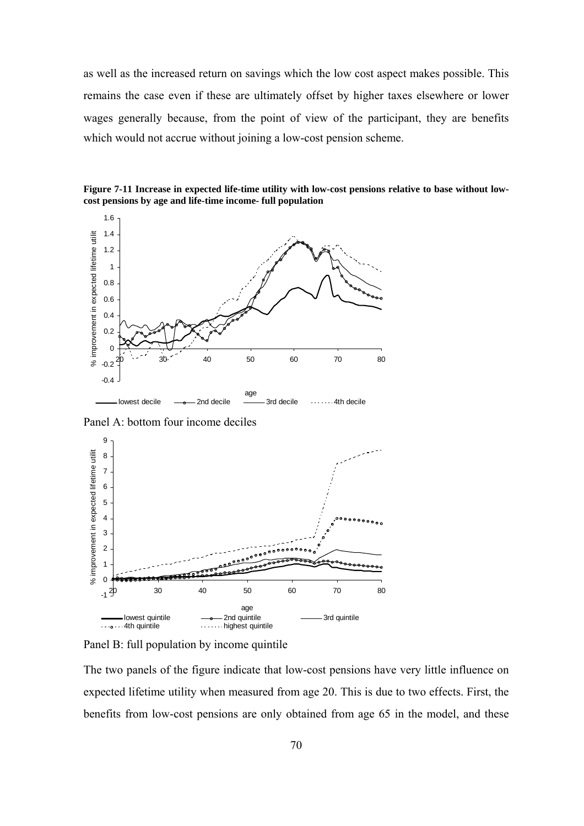as well as the increased return on savings which the low cost aspect makes possible. This remains the case even if these are ultimately offset by higher taxes elsewhere or lower wages generally because, from the point of view of the participant, they are benefits which would not accrue without joining a low-cost pension scheme.





Panel A: bottom four income deciles



Panel B: full population by income quintile

The two panels of the figure indicate that low-cost pensions have very little influence on expected lifetime utility when measured from age 20. This is due to two effects. First, the benefits from low-cost pensions are only obtained from age 65 in the model, and these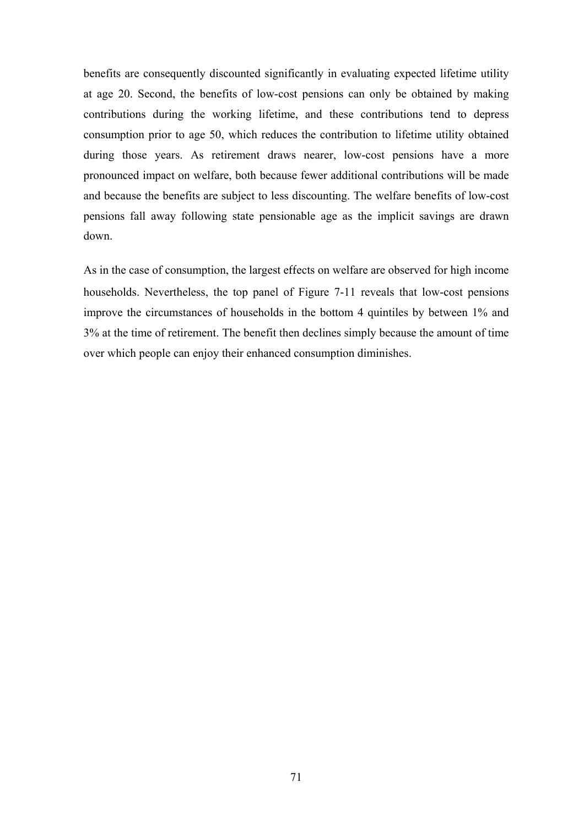benefits are consequently discounted significantly in evaluating expected lifetime utility at age 20. Second, the benefits of low-cost pensions can only be obtained by making contributions during the working lifetime, and these contributions tend to depress consumption prior to age 50, which reduces the contribution to lifetime utility obtained during those years. As retirement draws nearer, low-cost pensions have a more pronounced impact on welfare, both because fewer additional contributions will be made and because the benefits are subject to less discounting. The welfare benefits of low-cost pensions fall away following state pensionable age as the implicit savings are drawn down.

As in the case of consumption, the largest effects on welfare are observed for high income households. Nevertheless, the top panel of Figure 7-11 reveals that low-cost pensions improve the circumstances of households in the bottom 4 quintiles by between 1% and 3% at the time of retirement. The benefit then declines simply because the amount of time over which people can enjoy their enhanced consumption diminishes.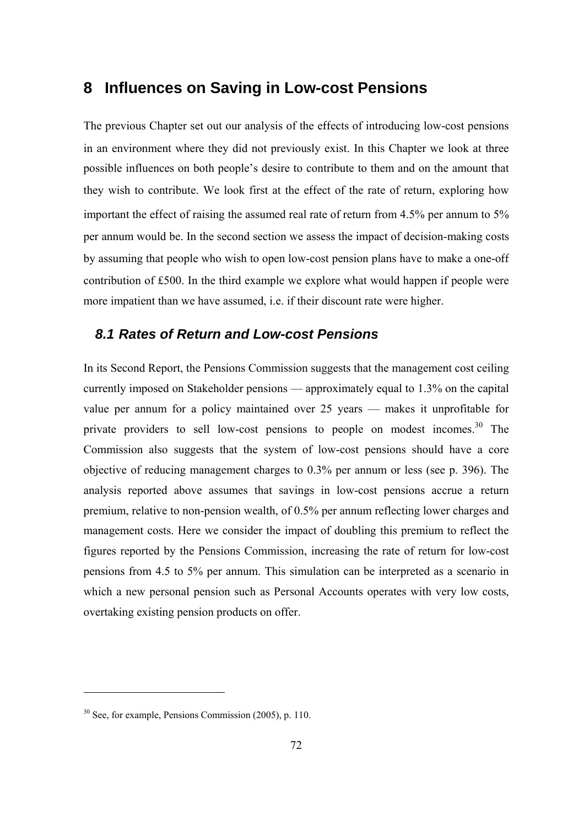# **8 Influences on Saving in Low-cost Pensions**

The previous Chapter set out our analysis of the effects of introducing low-cost pensions in an environment where they did not previously exist. In this Chapter we look at three possible influences on both people's desire to contribute to them and on the amount that they wish to contribute. We look first at the effect of the rate of return, exploring how important the effect of raising the assumed real rate of return from 4.5% per annum to 5% per annum would be. In the second section we assess the impact of decision-making costs by assuming that people who wish to open low-cost pension plans have to make a one-off contribution of £500. In the third example we explore what would happen if people were more impatient than we have assumed, i.e. if their discount rate were higher.

#### *8.1 Rates of Return and Low-cost Pensions*

In its Second Report, the Pensions Commission suggests that the management cost ceiling currently imposed on Stakeholder pensions — approximately equal to 1.3% on the capital value per annum for a policy maintained over 25 years — makes it unprofitable for private providers to sell low-cost pensions to people on modest incomes.<sup>30</sup> The Commission also suggests that the system of low-cost pensions should have a core objective of reducing management charges to 0.3% per annum or less (see p. 396). The analysis reported above assumes that savings in low-cost pensions accrue a return premium, relative to non-pension wealth, of 0.5% per annum reflecting lower charges and management costs. Here we consider the impact of doubling this premium to reflect the figures reported by the Pensions Commission, increasing the rate of return for low-cost pensions from 4.5 to 5% per annum. This simulation can be interpreted as a scenario in which a new personal pension such as Personal Accounts operates with very low costs, overtaking existing pension products on offer.

 $\overline{a}$ 

<sup>30</sup> See, for example, Pensions Commission (2005), p. 110.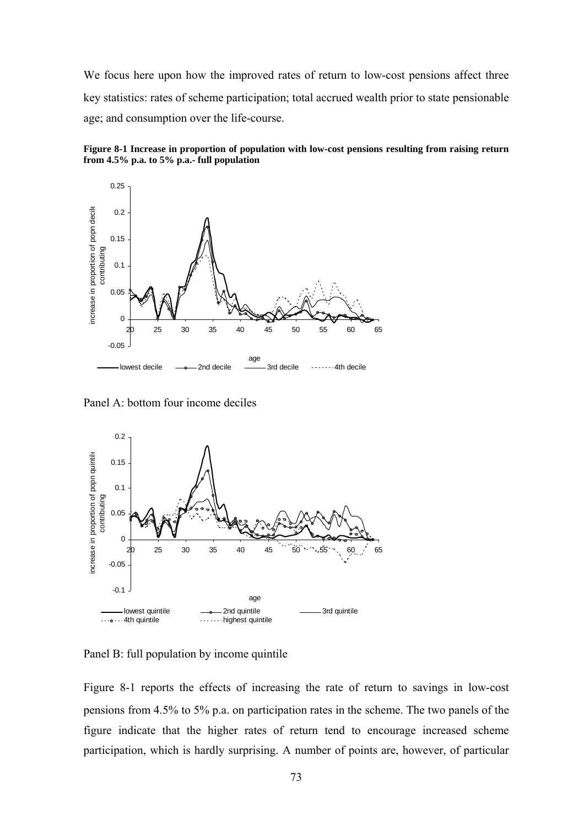We focus here upon how the improved rates of return to low-cost pensions affect three key statistics: rates of scheme participation; total accrued wealth prior to state pensionable age; and consumption over the life-course.





Panel A: bottom four income deciles



Panel B: full population by income quintile

Figure 8-1 reports the effects of increasing the rate of return to savings in low-cost pensions from 4.5% to 5% p.a. on participation rates in the scheme. The two panels of the figure indicate that the higher rates of return tend to encourage increased scheme participation, which is hardly surprising. A number of points are, however, of particular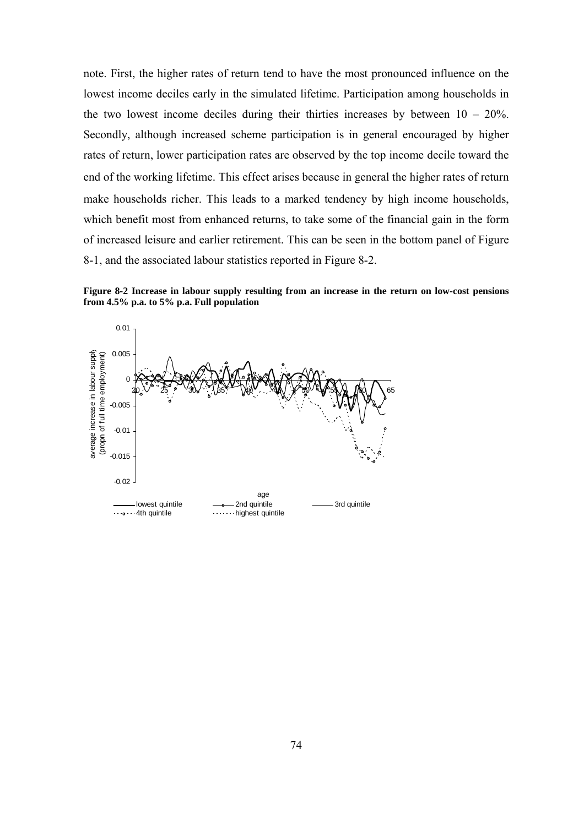note. First, the higher rates of return tend to have the most pronounced influence on the lowest income deciles early in the simulated lifetime. Participation among households in the two lowest income deciles during their thirties increases by between  $10 - 20\%$ . Secondly, although increased scheme participation is in general encouraged by higher rates of return, lower participation rates are observed by the top income decile toward the end of the working lifetime. This effect arises because in general the higher rates of return make households richer. This leads to a marked tendency by high income households, which benefit most from enhanced returns, to take some of the financial gain in the form of increased leisure and earlier retirement. This can be seen in the bottom panel of Figure 8-1, and the associated labour statistics reported in Figure 8-2.

**Figure 8-2 Increase in labour supply resulting from an increase in the return on low-cost pensions from 4.5% p.a. to 5% p.a. Full population** 

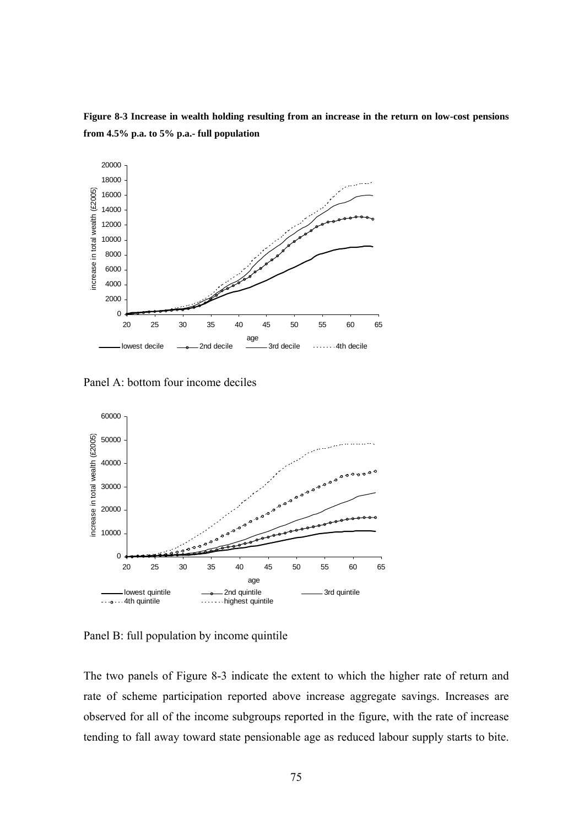**Figure 8-3 Increase in wealth holding resulting from an increase in the return on low-cost pensions from 4.5% p.a. to 5% p.a.- full population** 



Panel A: bottom four income deciles



Panel B: full population by income quintile

The two panels of Figure 8-3 indicate the extent to which the higher rate of return and rate of scheme participation reported above increase aggregate savings. Increases are observed for all of the income subgroups reported in the figure, with the rate of increase tending to fall away toward state pensionable age as reduced labour supply starts to bite.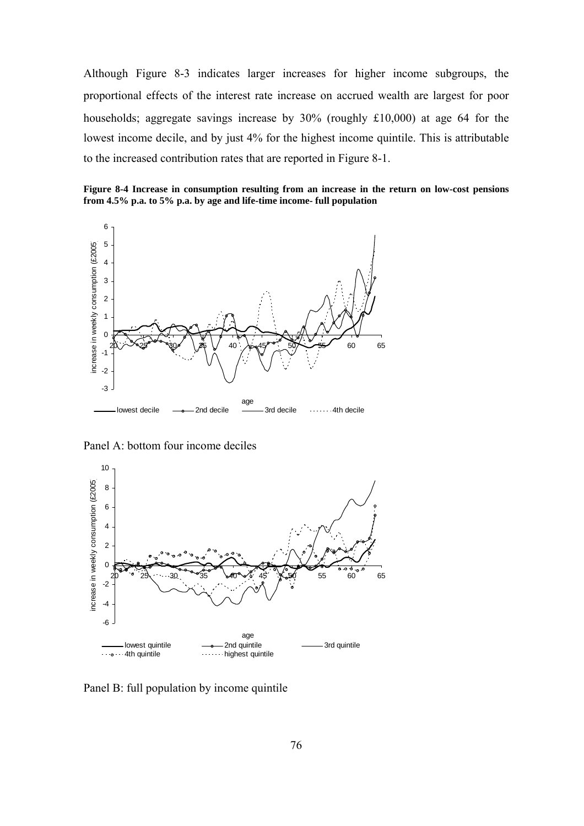Although Figure 8-3 indicates larger increases for higher income subgroups, the proportional effects of the interest rate increase on accrued wealth are largest for poor households; aggregate savings increase by 30% (roughly £10,000) at age 64 for the lowest income decile, and by just 4% for the highest income quintile. This is attributable to the increased contribution rates that are reported in Figure 8-1.

**Figure 8-4 Increase in consumption resulting from an increase in the return on low-cost pensions from 4.5% p.a. to 5% p.a. by age and life-time income- full population** 



Panel A: bottom four income deciles



Panel B: full population by income quintile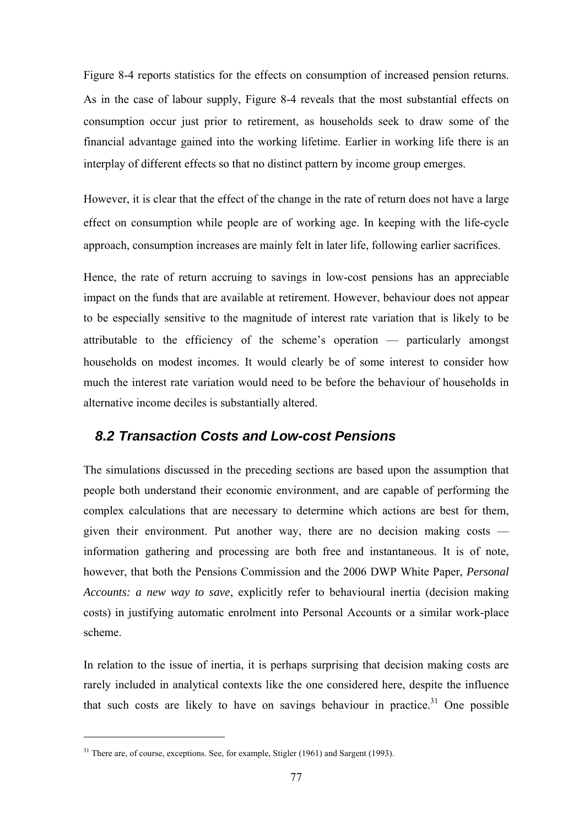Figure 8-4 reports statistics for the effects on consumption of increased pension returns. As in the case of labour supply, Figure 8-4 reveals that the most substantial effects on consumption occur just prior to retirement, as households seek to draw some of the financial advantage gained into the working lifetime. Earlier in working life there is an interplay of different effects so that no distinct pattern by income group emerges.

However, it is clear that the effect of the change in the rate of return does not have a large effect on consumption while people are of working age. In keeping with the life-cycle approach, consumption increases are mainly felt in later life, following earlier sacrifices.

Hence, the rate of return accruing to savings in low-cost pensions has an appreciable impact on the funds that are available at retirement. However, behaviour does not appear to be especially sensitive to the magnitude of interest rate variation that is likely to be attributable to the efficiency of the scheme's operation — particularly amongst households on modest incomes. It would clearly be of some interest to consider how much the interest rate variation would need to be before the behaviour of households in alternative income deciles is substantially altered.

## *8.2 Transaction Costs and Low-cost Pensions*

The simulations discussed in the preceding sections are based upon the assumption that people both understand their economic environment, and are capable of performing the complex calculations that are necessary to determine which actions are best for them, given their environment. Put another way, there are no decision making costs information gathering and processing are both free and instantaneous. It is of note, however, that both the Pensions Commission and the 2006 DWP White Paper, *Personal Accounts: a new way to save*, explicitly refer to behavioural inertia (decision making costs) in justifying automatic enrolment into Personal Accounts or a similar work-place scheme.

In relation to the issue of inertia, it is perhaps surprising that decision making costs are rarely included in analytical contexts like the one considered here, despite the influence that such costs are likely to have on savings behaviour in practice.<sup>31</sup> One possible

 $\overline{a}$ 

<sup>&</sup>lt;sup>31</sup> There are, of course, exceptions. See, for example, Stigler (1961) and Sargent (1993).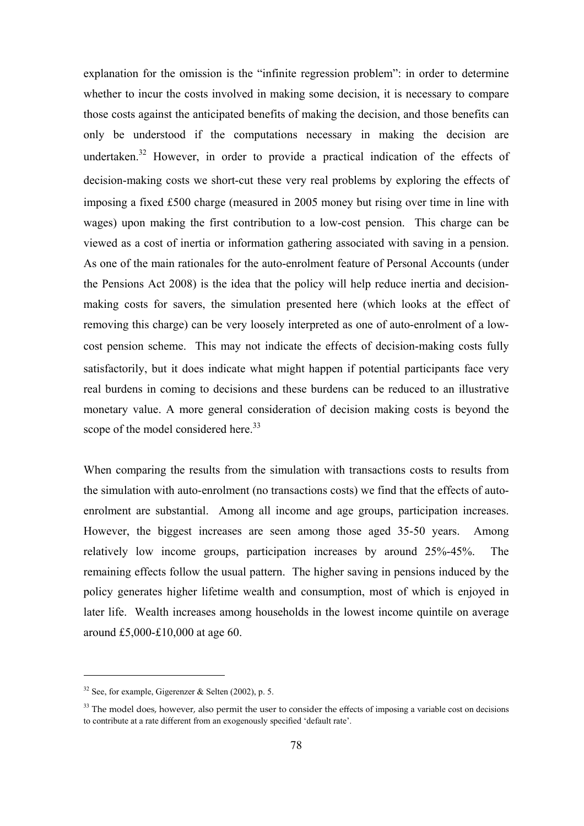explanation for the omission is the "infinite regression problem": in order to determine whether to incur the costs involved in making some decision, it is necessary to compare those costs against the anticipated benefits of making the decision, and those benefits can only be understood if the computations necessary in making the decision are undertaken.<sup>32</sup> However, in order to provide a practical indication of the effects of decision-making costs we short-cut these very real problems by exploring the effects of imposing a fixed £500 charge (measured in 2005 money but rising over time in line with wages) upon making the first contribution to a low-cost pension. This charge can be viewed as a cost of inertia or information gathering associated with saving in a pension. As one of the main rationales for the auto-enrolment feature of Personal Accounts (under the Pensions Act 2008) is the idea that the policy will help reduce inertia and decisionmaking costs for savers, the simulation presented here (which looks at the effect of removing this charge) can be very loosely interpreted as one of auto-enrolment of a lowcost pension scheme. This may not indicate the effects of decision-making costs fully satisfactorily, but it does indicate what might happen if potential participants face very real burdens in coming to decisions and these burdens can be reduced to an illustrative monetary value. A more general consideration of decision making costs is beyond the scope of the model considered here.<sup>33</sup>

When comparing the results from the simulation with transactions costs to results from the simulation with auto-enrolment (no transactions costs) we find that the effects of autoenrolment are substantial. Among all income and age groups, participation increases. However, the biggest increases are seen among those aged 35-50 years. Among relatively low income groups, participation increases by around 25%-45%. The remaining effects follow the usual pattern. The higher saving in pensions induced by the policy generates higher lifetime wealth and consumption, most of which is enjoyed in later life. Wealth increases among households in the lowest income quintile on average around £5,000-£10,000 at age 60.

 $\overline{a}$ 

 $32$  See, for example, Gigerenzer & Selten (2002), p. 5.

 $33$  The model does, however, also permit the user to consider the effects of imposing a variable cost on decisions to contribute at a rate different from an exogenously specified 'default rate'.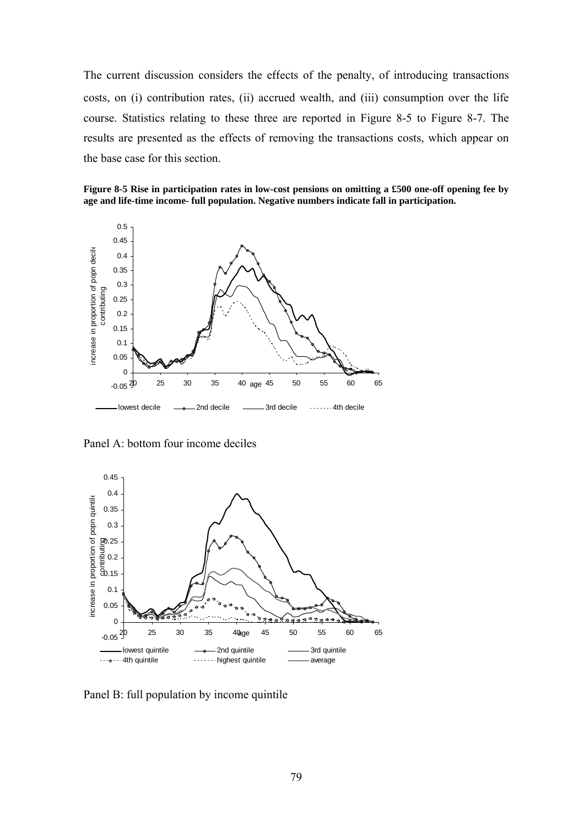The current discussion considers the effects of the penalty, of introducing transactions costs, on (i) contribution rates, (ii) accrued wealth, and (iii) consumption over the life course. Statistics relating to these three are reported in Figure 8-5 to Figure 8-7. The results are presented as the effects of removing the transactions costs, which appear on the base case for this section.

**Figure 8-5 Rise in participation rates in low-cost pensions on omitting a £500 one-off opening fee by age and life-time income- full population. Negative numbers indicate fall in participation.** 



Panel A: bottom four income deciles



Panel B: full population by income quintile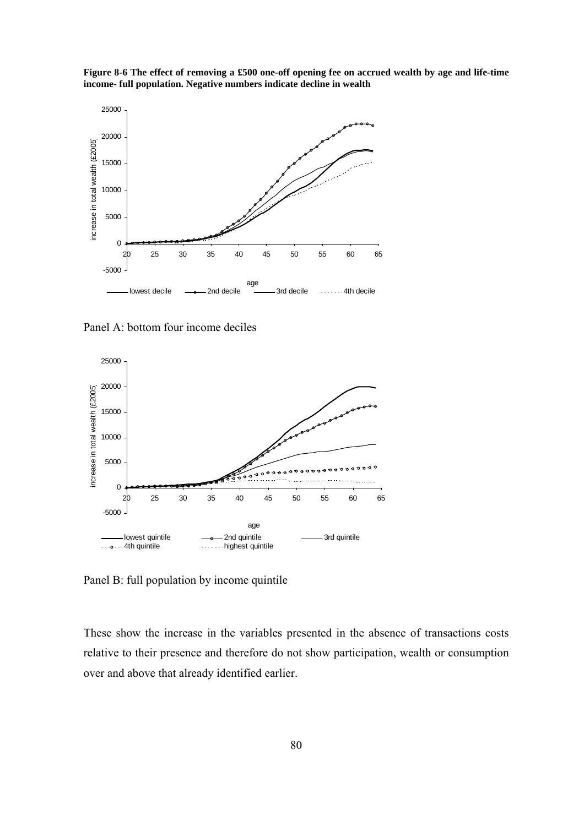



Panel A: bottom four income deciles



Panel B: full population by income quintile

These show the increase in the variables presented in the absence of transactions costs relative to their presence and therefore do not show participation, wealth or consumption over and above that already identified earlier.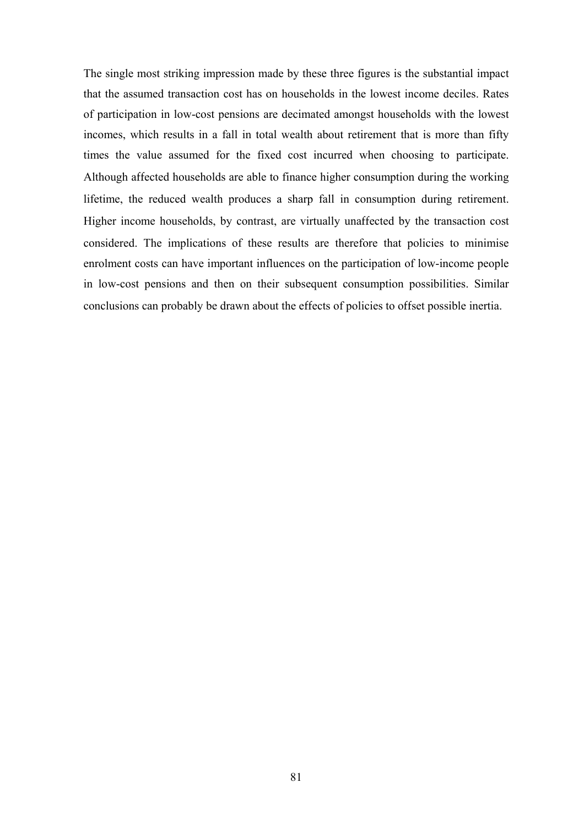The single most striking impression made by these three figures is the substantial impact that the assumed transaction cost has on households in the lowest income deciles. Rates of participation in low-cost pensions are decimated amongst households with the lowest incomes, which results in a fall in total wealth about retirement that is more than fifty times the value assumed for the fixed cost incurred when choosing to participate. Although affected households are able to finance higher consumption during the working lifetime, the reduced wealth produces a sharp fall in consumption during retirement. Higher income households, by contrast, are virtually unaffected by the transaction cost considered. The implications of these results are therefore that policies to minimise enrolment costs can have important influences on the participation of low-income people in low-cost pensions and then on their subsequent consumption possibilities. Similar conclusions can probably be drawn about the effects of policies to offset possible inertia.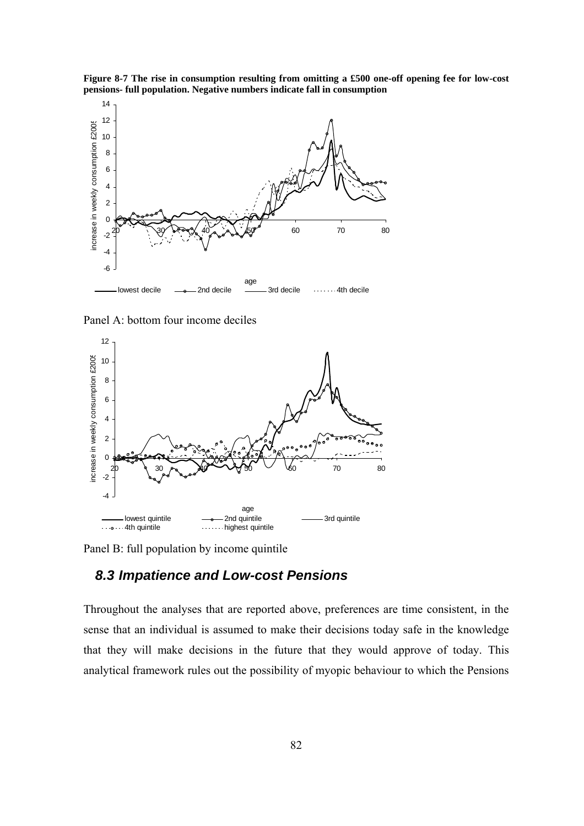



Panel A: bottom four income deciles



Panel B: full population by income quintile

## *8.3 Impatience and Low-cost Pensions*

Throughout the analyses that are reported above, preferences are time consistent, in the sense that an individual is assumed to make their decisions today safe in the knowledge that they will make decisions in the future that they would approve of today. This analytical framework rules out the possibility of myopic behaviour to which the Pensions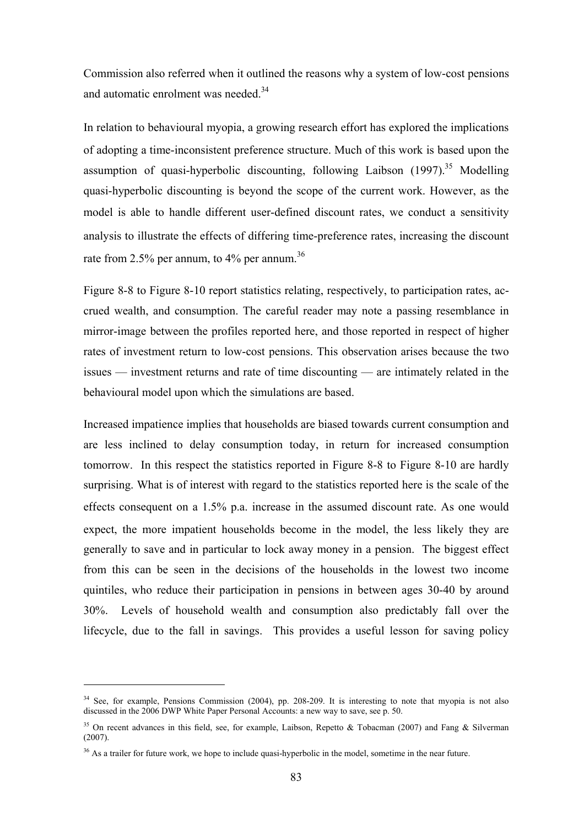Commission also referred when it outlined the reasons why a system of low-cost pensions and automatic enrolment was needed.<sup>34</sup>

In relation to behavioural myopia, a growing research effort has explored the implications of adopting a time-inconsistent preference structure. Much of this work is based upon the assumption of quasi-hyperbolic discounting, following Laibson  $(1997)^{35}$  Modelling quasi-hyperbolic discounting is beyond the scope of the current work. However, as the model is able to handle different user-defined discount rates, we conduct a sensitivity analysis to illustrate the effects of differing time-preference rates, increasing the discount rate from 2.5% per annum, to 4% per annum.<sup>36</sup>

Figure 8-8 to Figure 8-10 report statistics relating, respectively, to participation rates, accrued wealth, and consumption. The careful reader may note a passing resemblance in mirror-image between the profiles reported here, and those reported in respect of higher rates of investment return to low-cost pensions. This observation arises because the two issues — investment returns and rate of time discounting — are intimately related in the behavioural model upon which the simulations are based.

Increased impatience implies that households are biased towards current consumption and are less inclined to delay consumption today, in return for increased consumption tomorrow. In this respect the statistics reported in Figure 8-8 to Figure 8-10 are hardly surprising. What is of interest with regard to the statistics reported here is the scale of the effects consequent on a 1.5% p.a. increase in the assumed discount rate. As one would expect, the more impatient households become in the model, the less likely they are generally to save and in particular to lock away money in a pension. The biggest effect from this can be seen in the decisions of the households in the lowest two income quintiles, who reduce their participation in pensions in between ages 30-40 by around 30%. Levels of household wealth and consumption also predictably fall over the lifecycle, due to the fall in savings. This provides a useful lesson for saving policy

 $\overline{a}$ 

<sup>&</sup>lt;sup>34</sup> See, for example, Pensions Commission (2004), pp. 208-209. It is interesting to note that myopia is not also discussed in the 2006 DWP White Paper Personal Accounts: a new way to save, see p. 50.

<sup>&</sup>lt;sup>35</sup> On recent advances in this field, see, for example, Laibson, Repetto & Tobacman (2007) and Fang & Silverman (2007).

<sup>&</sup>lt;sup>36</sup> As a trailer for future work, we hope to include quasi-hyperbolic in the model, sometime in the near future.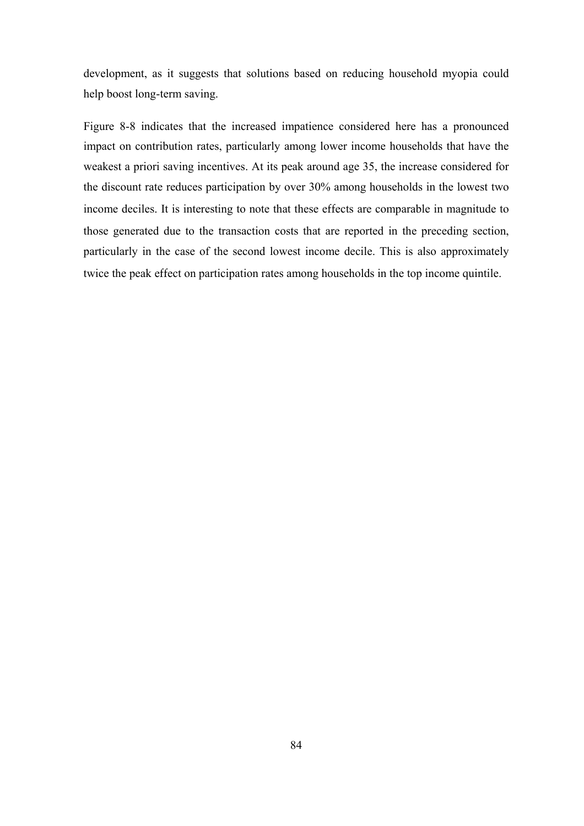development, as it suggests that solutions based on reducing household myopia could help boost long-term saving.

Figure 8-8 indicates that the increased impatience considered here has a pronounced impact on contribution rates, particularly among lower income households that have the weakest a priori saving incentives. At its peak around age 35, the increase considered for the discount rate reduces participation by over 30% among households in the lowest two income deciles. It is interesting to note that these effects are comparable in magnitude to those generated due to the transaction costs that are reported in the preceding section, particularly in the case of the second lowest income decile. This is also approximately twice the peak effect on participation rates among households in the top income quintile.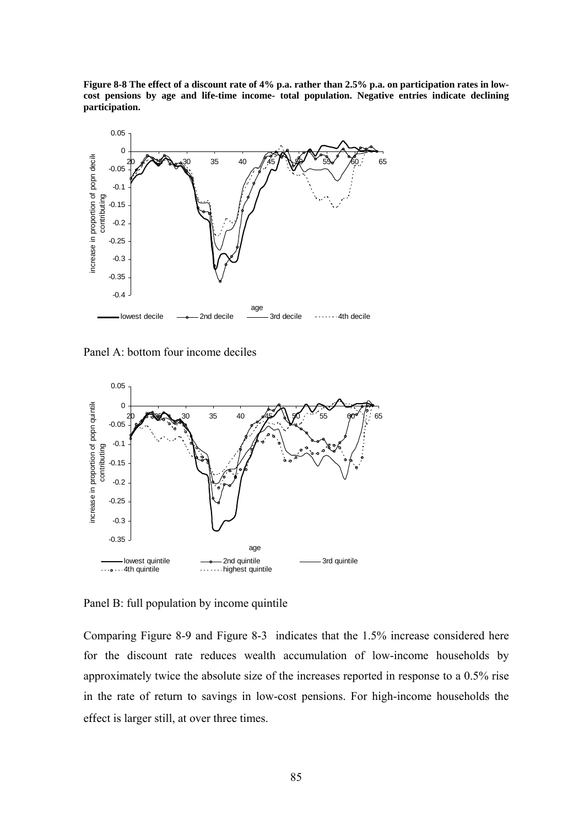**Figure 8-8 The effect of a discount rate of 4% p.a. rather than 2.5% p.a. on participation rates in lowcost pensions by age and life-time income- total population. Negative entries indicate declining participation.** 



Panel A: bottom four income deciles



Panel B: full population by income quintile

Comparing Figure 8-9 and Figure 8-3 indicates that the 1.5% increase considered here for the discount rate reduces wealth accumulation of low-income households by approximately twice the absolute size of the increases reported in response to a 0.5% rise in the rate of return to savings in low-cost pensions. For high-income households the effect is larger still, at over three times.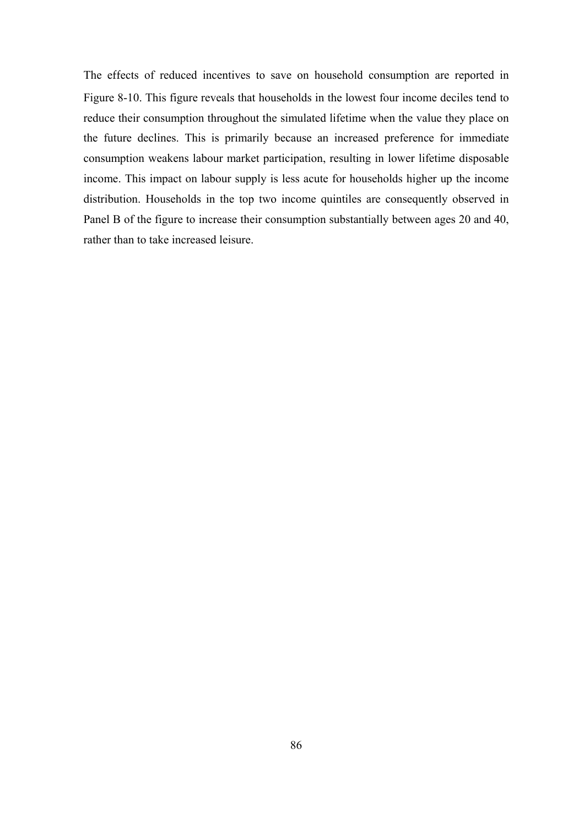The effects of reduced incentives to save on household consumption are reported in Figure 8-10. This figure reveals that households in the lowest four income deciles tend to reduce their consumption throughout the simulated lifetime when the value they place on the future declines. This is primarily because an increased preference for immediate consumption weakens labour market participation, resulting in lower lifetime disposable income. This impact on labour supply is less acute for households higher up the income distribution. Households in the top two income quintiles are consequently observed in Panel B of the figure to increase their consumption substantially between ages 20 and 40, rather than to take increased leisure.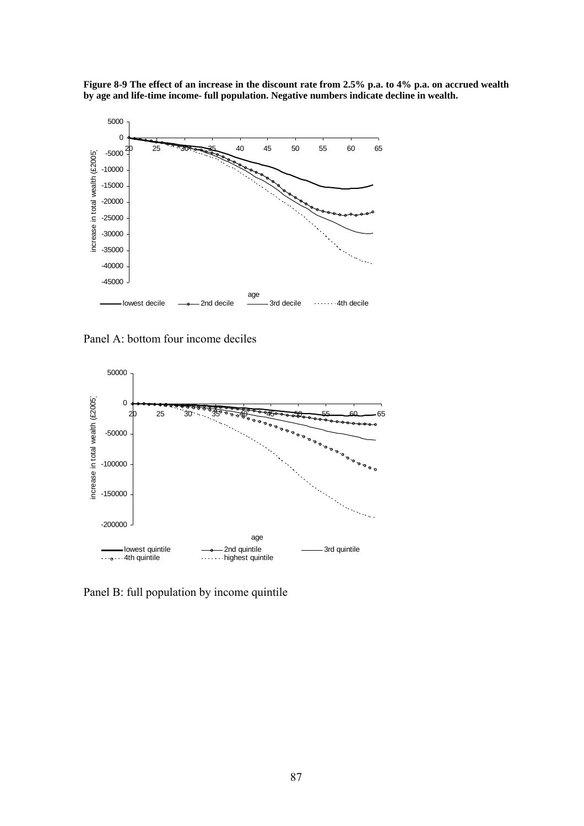



Panel A: bottom four income deciles



Panel B: full population by income quintile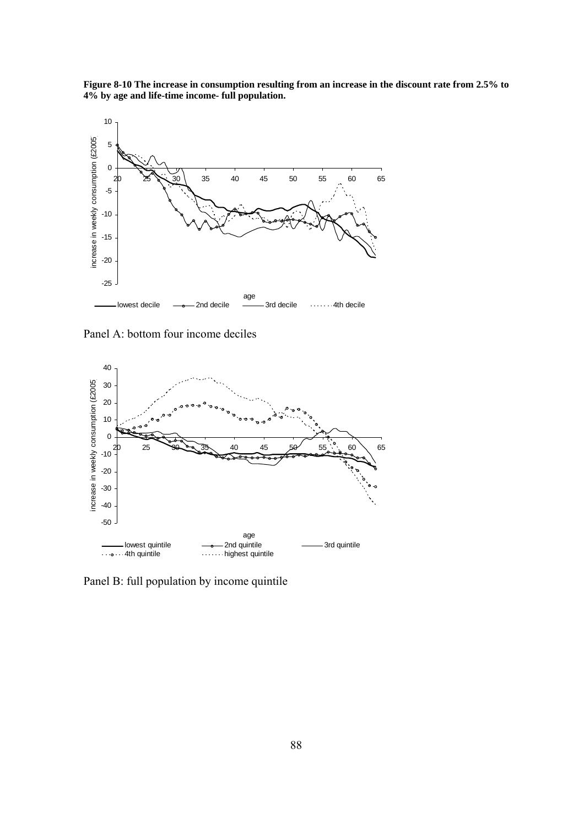**Figure 8-10 The increase in consumption resulting from an increase in the discount rate from 2.5% to 4% by age and life-time income- full population.** 



Panel A: bottom four income deciles



Panel B: full population by income quintile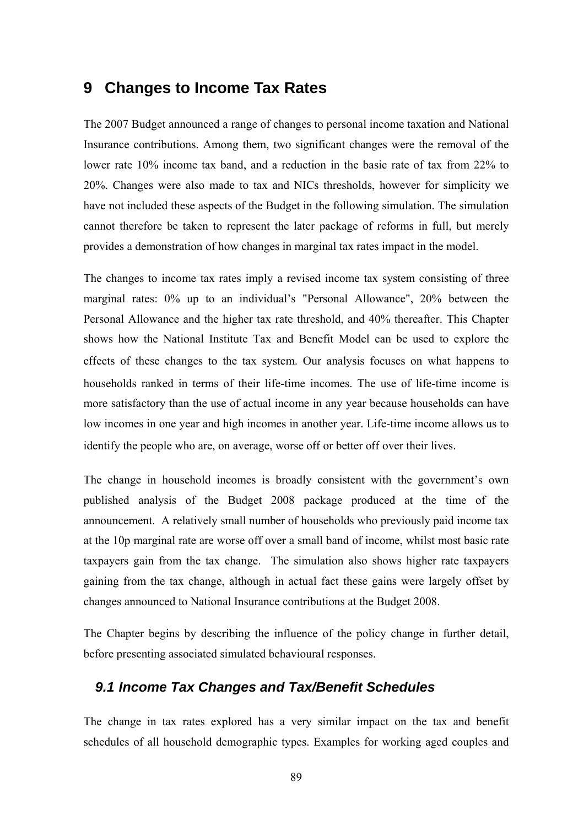# **9 Changes to Income Tax Rates**

The 2007 Budget announced a range of changes to personal income taxation and National Insurance contributions. Among them, two significant changes were the removal of the lower rate 10% income tax band, and a reduction in the basic rate of tax from 22% to 20%. Changes were also made to tax and NICs thresholds, however for simplicity we have not included these aspects of the Budget in the following simulation. The simulation cannot therefore be taken to represent the later package of reforms in full, but merely provides a demonstration of how changes in marginal tax rates impact in the model.

The changes to income tax rates imply a revised income tax system consisting of three marginal rates: 0% up to an individual's "Personal Allowance", 20% between the Personal Allowance and the higher tax rate threshold, and 40% thereafter. This Chapter shows how the National Institute Tax and Benefit Model can be used to explore the effects of these changes to the tax system. Our analysis focuses on what happens to households ranked in terms of their life-time incomes. The use of life-time income is more satisfactory than the use of actual income in any year because households can have low incomes in one year and high incomes in another year. Life-time income allows us to identify the people who are, on average, worse off or better off over their lives.

The change in household incomes is broadly consistent with the government's own published analysis of the Budget 2008 package produced at the time of the announcement. A relatively small number of households who previously paid income tax at the 10p marginal rate are worse off over a small band of income, whilst most basic rate taxpayers gain from the tax change. The simulation also shows higher rate taxpayers gaining from the tax change, although in actual fact these gains were largely offset by changes announced to National Insurance contributions at the Budget 2008.

The Chapter begins by describing the influence of the policy change in further detail, before presenting associated simulated behavioural responses.

#### *9.1 Income Tax Changes and Tax/Benefit Schedules*

The change in tax rates explored has a very similar impact on the tax and benefit schedules of all household demographic types. Examples for working aged couples and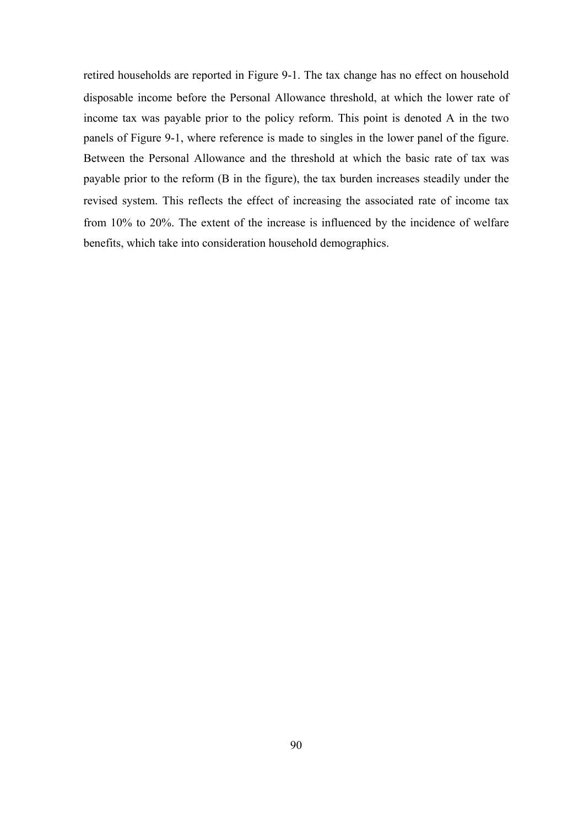retired households are reported in Figure 9-1. The tax change has no effect on household disposable income before the Personal Allowance threshold, at which the lower rate of income tax was payable prior to the policy reform. This point is denoted A in the two panels of Figure 9-1, where reference is made to singles in the lower panel of the figure. Between the Personal Allowance and the threshold at which the basic rate of tax was payable prior to the reform (B in the figure), the tax burden increases steadily under the revised system. This reflects the effect of increasing the associated rate of income tax from 10% to 20%. The extent of the increase is influenced by the incidence of welfare benefits, which take into consideration household demographics.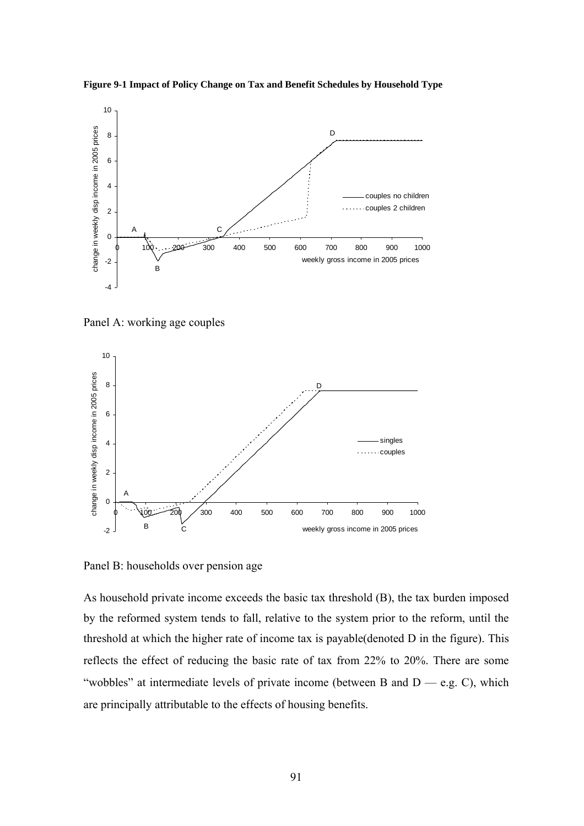

**Figure 9-1 Impact of Policy Change on Tax and Benefit Schedules by Household Type** 

Panel A: working age couples



Panel B: households over pension age

As household private income exceeds the basic tax threshold (B), the tax burden imposed by the reformed system tends to fall, relative to the system prior to the reform, until the threshold at which the higher rate of income tax is payable(denoted D in the figure). This reflects the effect of reducing the basic rate of tax from 22% to 20%. There are some "wobbles" at intermediate levels of private income (between B and  $D - e.g. C$ ), which are principally attributable to the effects of housing benefits.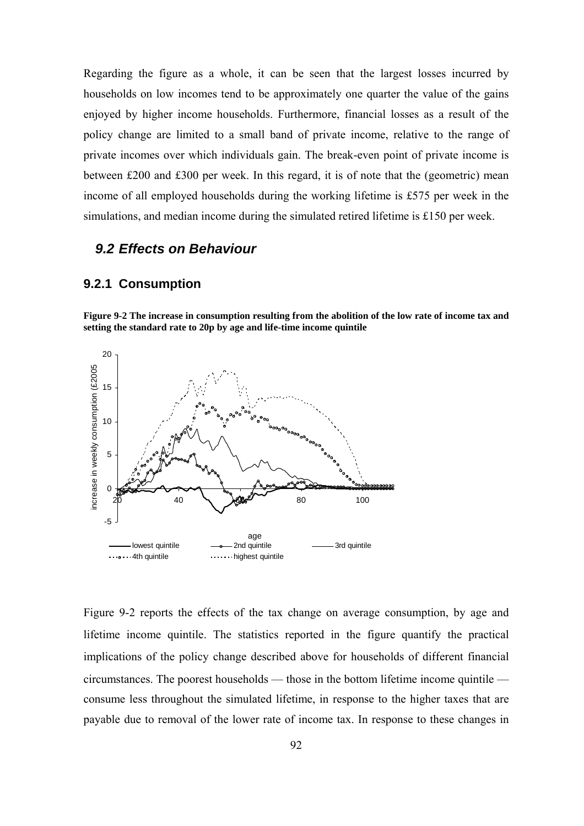Regarding the figure as a whole, it can be seen that the largest losses incurred by households on low incomes tend to be approximately one quarter the value of the gains enjoyed by higher income households. Furthermore, financial losses as a result of the policy change are limited to a small band of private income, relative to the range of private incomes over which individuals gain. The break-even point of private income is between £200 and £300 per week. In this regard, it is of note that the (geometric) mean income of all employed households during the working lifetime is £575 per week in the simulations, and median income during the simulated retired lifetime is £150 per week.

#### *9.2 Effects on Behaviour*

#### **9.2.1 Consumption**

**Figure 9-2 The increase in consumption resulting from the abolition of the low rate of income tax and setting the standard rate to 20p by age and life-time income quintile** 



Figure 9-2 reports the effects of the tax change on average consumption, by age and lifetime income quintile. The statistics reported in the figure quantify the practical implications of the policy change described above for households of different financial circumstances. The poorest households — those in the bottom lifetime income quintile consume less throughout the simulated lifetime, in response to the higher taxes that are payable due to removal of the lower rate of income tax. In response to these changes in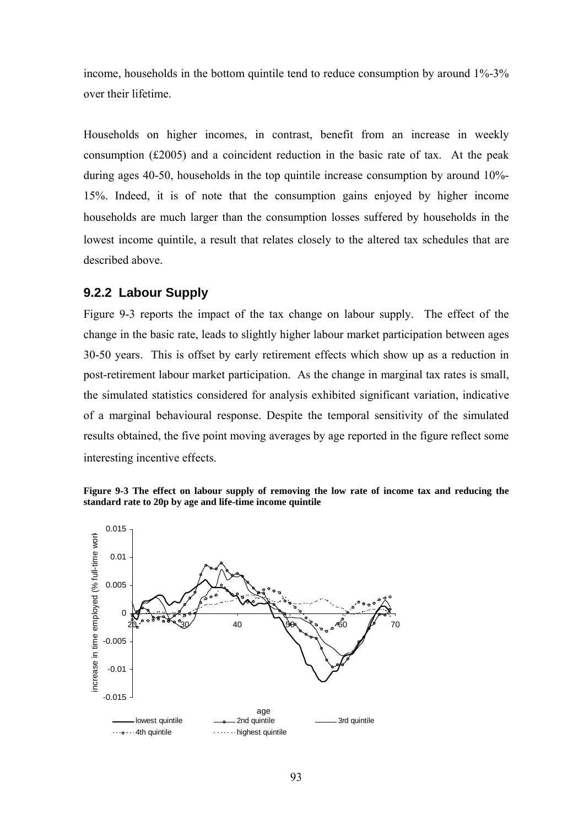income, households in the bottom quintile tend to reduce consumption by around 1%-3% over their lifetime.

Households on higher incomes, in contrast, benefit from an increase in weekly consumption (£2005) and a coincident reduction in the basic rate of tax. At the peak during ages 40-50, households in the top quintile increase consumption by around 10%- 15%. Indeed, it is of note that the consumption gains enjoyed by higher income households are much larger than the consumption losses suffered by households in the lowest income quintile, a result that relates closely to the altered tax schedules that are described above.

#### **9.2.2 Labour Supply**

Figure 9-3 reports the impact of the tax change on labour supply. The effect of the change in the basic rate, leads to slightly higher labour market participation between ages 30-50 years. This is offset by early retirement effects which show up as a reduction in post-retirement labour market participation.As the change in marginal tax rates is small, the simulated statistics considered for analysis exhibited significant variation, indicative of a marginal behavioural response. Despite the temporal sensitivity of the simulated results obtained, the five point moving averages by age reported in the figure reflect some interesting incentive effects.



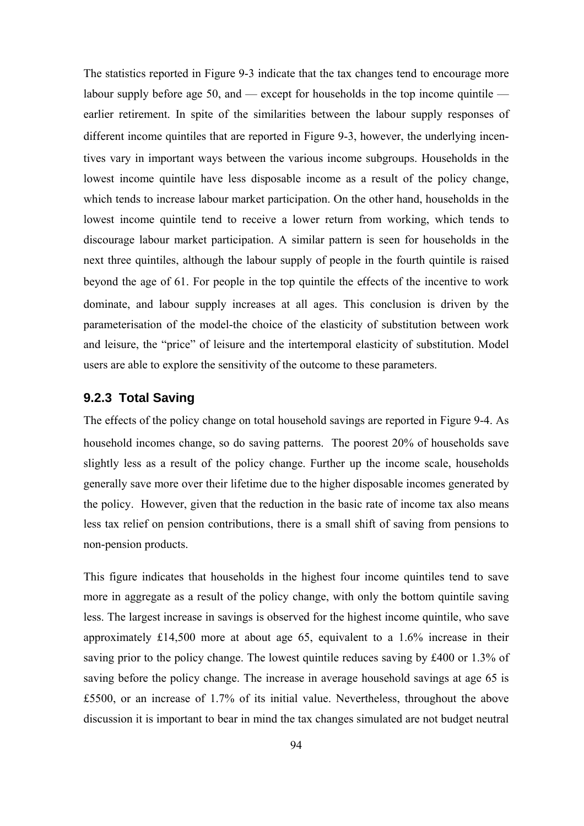The statistics reported in Figure 9-3 indicate that the tax changes tend to encourage more labour supply before age 50, and  $-$  except for households in the top income quintile  $$ earlier retirement. In spite of the similarities between the labour supply responses of different income quintiles that are reported in Figure 9-3, however, the underlying incentives vary in important ways between the various income subgroups. Households in the lowest income quintile have less disposable income as a result of the policy change, which tends to increase labour market participation. On the other hand, households in the lowest income quintile tend to receive a lower return from working, which tends to discourage labour market participation. A similar pattern is seen for households in the next three quintiles, although the labour supply of people in the fourth quintile is raised beyond the age of 61. For people in the top quintile the effects of the incentive to work dominate, and labour supply increases at all ages. This conclusion is driven by the parameterisation of the model-the choice of the elasticity of substitution between work and leisure, the "price" of leisure and the intertemporal elasticity of substitution. Model users are able to explore the sensitivity of the outcome to these parameters.

#### **9.2.3 Total Saving**

The effects of the policy change on total household savings are reported in Figure 9-4. As household incomes change, so do saving patterns. The poorest 20% of households save slightly less as a result of the policy change. Further up the income scale, households generally save more over their lifetime due to the higher disposable incomes generated by the policy. However, given that the reduction in the basic rate of income tax also means less tax relief on pension contributions, there is a small shift of saving from pensions to non-pension products.

This figure indicates that households in the highest four income quintiles tend to save more in aggregate as a result of the policy change, with only the bottom quintile saving less. The largest increase in savings is observed for the highest income quintile, who save approximately £14,500 more at about age 65, equivalent to a 1.6% increase in their saving prior to the policy change. The lowest quintile reduces saving by £400 or 1.3% of saving before the policy change. The increase in average household savings at age 65 is £5500, or an increase of 1.7% of its initial value. Nevertheless, throughout the above discussion it is important to bear in mind the tax changes simulated are not budget neutral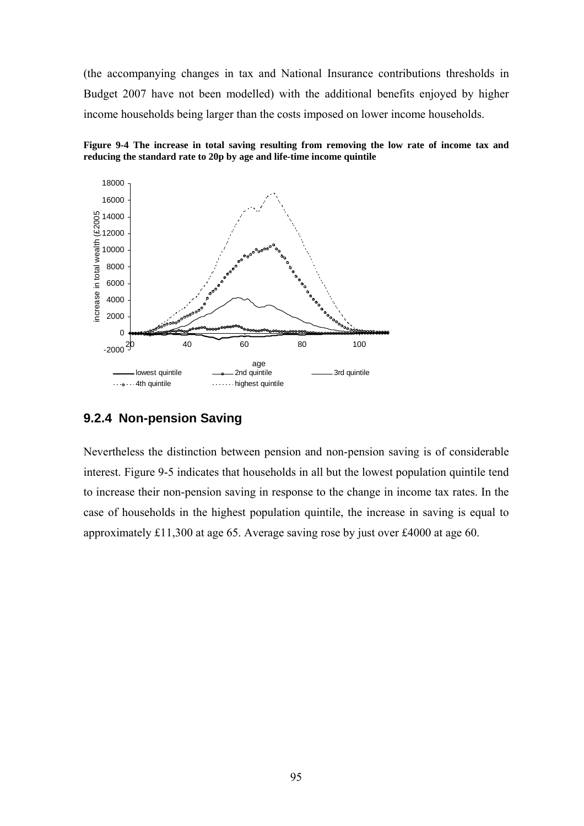(the accompanying changes in tax and National Insurance contributions thresholds in Budget 2007 have not been modelled) with the additional benefits enjoyed by higher income households being larger than the costs imposed on lower income households.





#### **9.2.4 Non-pension Saving**

Nevertheless the distinction between pension and non-pension saving is of considerable interest. Figure 9-5 indicates that households in all but the lowest population quintile tend to increase their non-pension saving in response to the change in income tax rates. In the case of households in the highest population quintile, the increase in saving is equal to approximately £11,300 at age 65. Average saving rose by just over £4000 at age 60.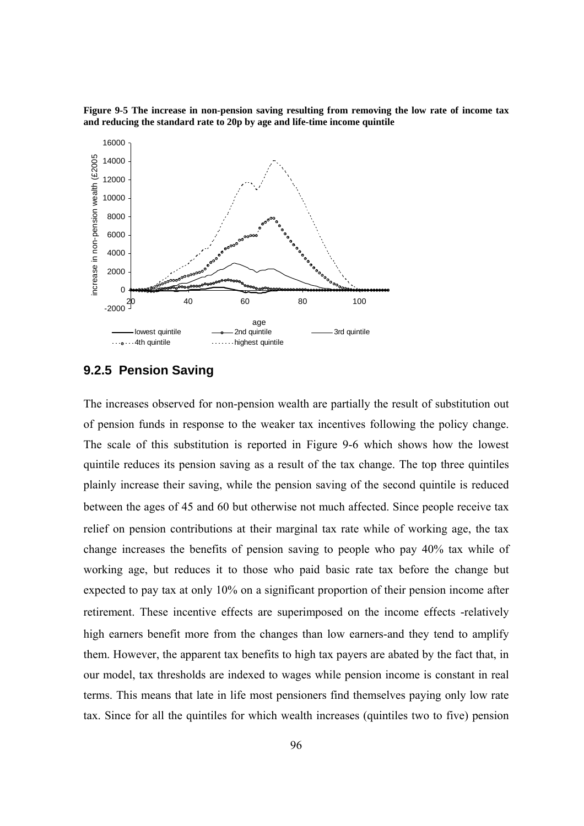**Figure 9-5 The increase in non-pension saving resulting from removing the low rate of income tax and reducing the standard rate to 20p by age and life-time income quintile** 



#### **9.2.5 Pension Saving**

The increases observed for non-pension wealth are partially the result of substitution out of pension funds in response to the weaker tax incentives following the policy change. The scale of this substitution is reported in Figure 9-6 which shows how the lowest quintile reduces its pension saving as a result of the tax change. The top three quintiles plainly increase their saving, while the pension saving of the second quintile is reduced between the ages of 45 and 60 but otherwise not much affected. Since people receive tax relief on pension contributions at their marginal tax rate while of working age, the tax change increases the benefits of pension saving to people who pay 40% tax while of working age, but reduces it to those who paid basic rate tax before the change but expected to pay tax at only 10% on a significant proportion of their pension income after retirement. These incentive effects are superimposed on the income effects -relatively high earners benefit more from the changes than low earners-and they tend to amplify them. However, the apparent tax benefits to high tax payers are abated by the fact that, in our model, tax thresholds are indexed to wages while pension income is constant in real terms. This means that late in life most pensioners find themselves paying only low rate tax. Since for all the quintiles for which wealth increases (quintiles two to five) pension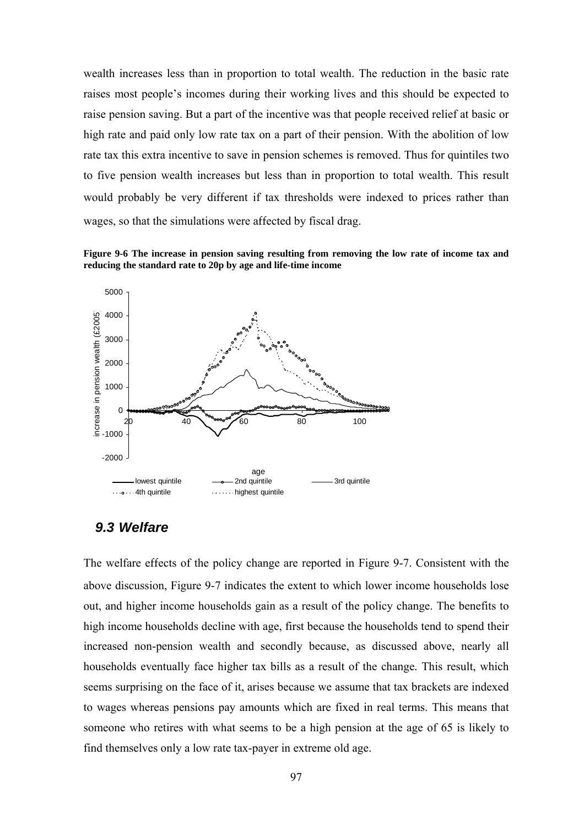wealth increases less than in proportion to total wealth. The reduction in the basic rate raises most people's incomes during their working lives and this should be expected to raise pension saving. But a part of the incentive was that people received relief at basic or high rate and paid only low rate tax on a part of their pension. With the abolition of low rate tax this extra incentive to save in pension schemes is removed. Thus for quintiles two to five pension wealth increases but less than in proportion to total wealth. This result would probably be very different if tax thresholds were indexed to prices rather than wages, so that the simulations were affected by fiscal drag.

**Figure 9-6 The increase in pension saving resulting from removing the low rate of income tax and reducing the standard rate to 20p by age and life-time income** 



### *9.3 Welfare*

The welfare effects of the policy change are reported in Figure 9-7. Consistent with the above discussion, Figure 9-7 indicates the extent to which lower income households lose out, and higher income households gain as a result of the policy change. The benefits to high income households decline with age, first because the households tend to spend their increased non-pension wealth and secondly because, as discussed above, nearly all households eventually face higher tax bills as a result of the change*.* This result, which seems surprising on the face of it, arises because we assume that tax brackets are indexed to wages whereas pensions pay amounts which are fixed in real terms. This means that someone who retires with what seems to be a high pension at the age of 65 is likely to find themselves only a low rate tax-payer in extreme old age.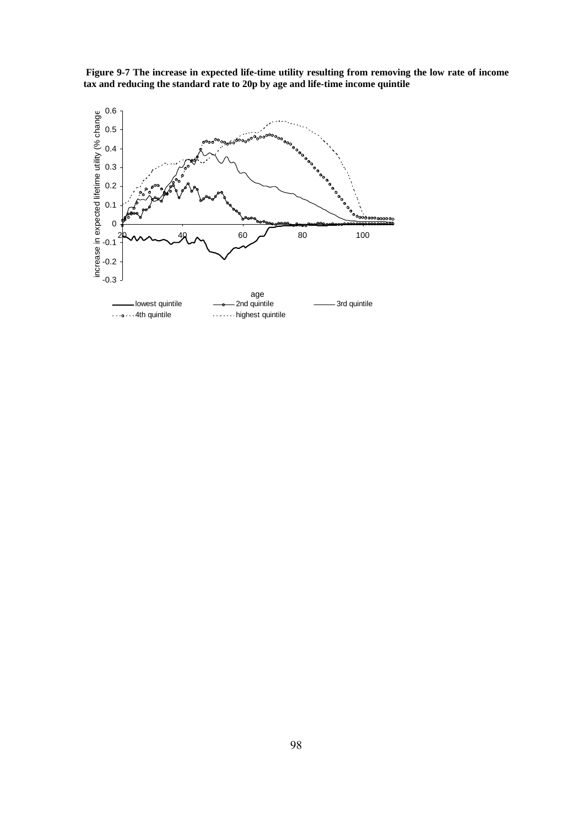

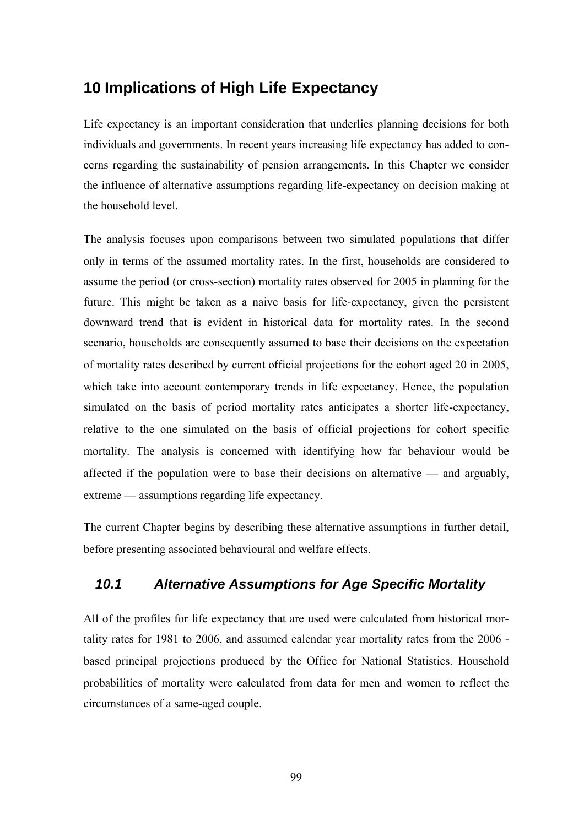# **10 Implications of High Life Expectancy**

Life expectancy is an important consideration that underlies planning decisions for both individuals and governments. In recent years increasing life expectancy has added to concerns regarding the sustainability of pension arrangements. In this Chapter we consider the influence of alternative assumptions regarding life-expectancy on decision making at the household level.

The analysis focuses upon comparisons between two simulated populations that differ only in terms of the assumed mortality rates. In the first, households are considered to assume the period (or cross-section) mortality rates observed for 2005 in planning for the future. This might be taken as a naive basis for life-expectancy, given the persistent downward trend that is evident in historical data for mortality rates. In the second scenario, households are consequently assumed to base their decisions on the expectation of mortality rates described by current official projections for the cohort aged 20 in 2005, which take into account contemporary trends in life expectancy. Hence, the population simulated on the basis of period mortality rates anticipates a shorter life-expectancy, relative to the one simulated on the basis of official projections for cohort specific mortality. The analysis is concerned with identifying how far behaviour would be affected if the population were to base their decisions on alternative — and arguably, extreme — assumptions regarding life expectancy.

The current Chapter begins by describing these alternative assumptions in further detail, before presenting associated behavioural and welfare effects.

## *10.1 Alternative Assumptions for Age Specific Mortality*

All of the profiles for life expectancy that are used were calculated from historical mortality rates for 1981 to 2006, and assumed calendar year mortality rates from the 2006 based principal projections produced by the Office for National Statistics. Household probabilities of mortality were calculated from data for men and women to reflect the circumstances of a same-aged couple.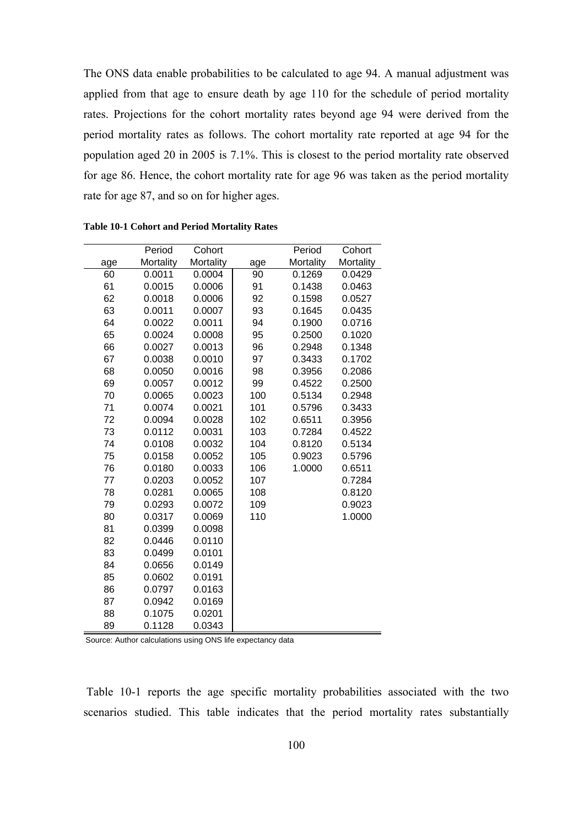The ONS data enable probabilities to be calculated to age 94. A manual adjustment was applied from that age to ensure death by age 110 for the schedule of period mortality rates. Projections for the cohort mortality rates beyond age 94 were derived from the period mortality rates as follows. The cohort mortality rate reported at age 94 for the population aged 20 in 2005 is 7.1%. This is closest to the period mortality rate observed for age 86. Hence, the cohort mortality rate for age 96 was taken as the period mortality rate for age 87, and so on for higher ages.

|     | Period    | Cohort    |     | Period    | Cohort    |
|-----|-----------|-----------|-----|-----------|-----------|
| age | Mortality | Mortality | age | Mortality | Mortality |
| 60  | 0.0011    | 0.0004    | 90  | 0.1269    | 0.0429    |
| 61  | 0.0015    | 0.0006    | 91  | 0.1438    | 0.0463    |
| 62  | 0.0018    | 0.0006    | 92  | 0.1598    | 0.0527    |
| 63  | 0.0011    | 0.0007    | 93  | 0.1645    | 0.0435    |
| 64  | 0.0022    | 0.0011    | 94  | 0.1900    | 0.0716    |
| 65  | 0.0024    | 0.0008    | 95  | 0.2500    | 0.1020    |
| 66  | 0.0027    | 0.0013    | 96  | 0.2948    | 0.1348    |
| 67  | 0.0038    | 0.0010    | 97  | 0.3433    | 0.1702    |
| 68  | 0.0050    | 0.0016    | 98  | 0.3956    | 0.2086    |
| 69  | 0.0057    | 0.0012    | 99  | 0.4522    | 0.2500    |
| 70  | 0.0065    | 0.0023    | 100 | 0.5134    | 0.2948    |
| 71  | 0.0074    | 0.0021    | 101 | 0.5796    | 0.3433    |
| 72  | 0.0094    | 0.0028    | 102 | 0.6511    | 0.3956    |
| 73  | 0.0112    | 0.0031    | 103 | 0.7284    | 0.4522    |
| 74  | 0.0108    | 0.0032    | 104 | 0.8120    | 0.5134    |
| 75  | 0.0158    | 0.0052    | 105 | 0.9023    | 0.5796    |
| 76  | 0.0180    | 0.0033    | 106 | 1.0000    | 0.6511    |
| 77  | 0.0203    | 0.0052    | 107 |           | 0.7284    |
| 78  | 0.0281    | 0.0065    | 108 |           | 0.8120    |
| 79  | 0.0293    | 0.0072    | 109 |           | 0.9023    |
| 80  | 0.0317    | 0.0069    | 110 |           | 1.0000    |
| 81  | 0.0399    | 0.0098    |     |           |           |
| 82  | 0.0446    | 0.0110    |     |           |           |
| 83  | 0.0499    | 0.0101    |     |           |           |
| 84  | 0.0656    | 0.0149    |     |           |           |
| 85  | 0.0602    | 0.0191    |     |           |           |
| 86  | 0.0797    | 0.0163    |     |           |           |
| 87  | 0.0942    | 0.0169    |     |           |           |
| 88  | 0.1075    | 0.0201    |     |           |           |
| 89  | 0.1128    | 0.0343    |     |           |           |

**Table 10-1 Cohort and Period Mortality Rates** 

Source: Author calculations using ONS life expectancy data

 Table 10-1 reports the age specific mortality probabilities associated with the two scenarios studied. This table indicates that the period mortality rates substantially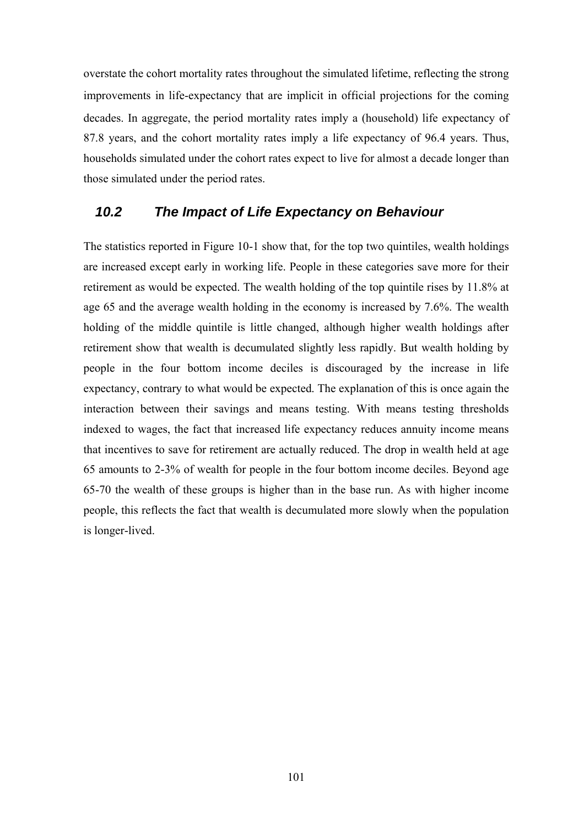overstate the cohort mortality rates throughout the simulated lifetime, reflecting the strong improvements in life-expectancy that are implicit in official projections for the coming decades. In aggregate, the period mortality rates imply a (household) life expectancy of 87.8 years, and the cohort mortality rates imply a life expectancy of 96.4 years. Thus, households simulated under the cohort rates expect to live for almost a decade longer than those simulated under the period rates.

## *10.2 The Impact of Life Expectancy on Behaviour*

The statistics reported in Figure 10-1 show that, for the top two quintiles, wealth holdings are increased except early in working life. People in these categories save more for their retirement as would be expected. The wealth holding of the top quintile rises by 11.8% at age 65 and the average wealth holding in the economy is increased by 7.6%. The wealth holding of the middle quintile is little changed, although higher wealth holdings after retirement show that wealth is decumulated slightly less rapidly. But wealth holding by people in the four bottom income deciles is discouraged by the increase in life expectancy, contrary to what would be expected. The explanation of this is once again the interaction between their savings and means testing. With means testing thresholds indexed to wages, the fact that increased life expectancy reduces annuity income means that incentives to save for retirement are actually reduced. The drop in wealth held at age 65 amounts to 2-3% of wealth for people in the four bottom income deciles. Beyond age 65-70 the wealth of these groups is higher than in the base run. As with higher income people, this reflects the fact that wealth is decumulated more slowly when the population is longer-lived.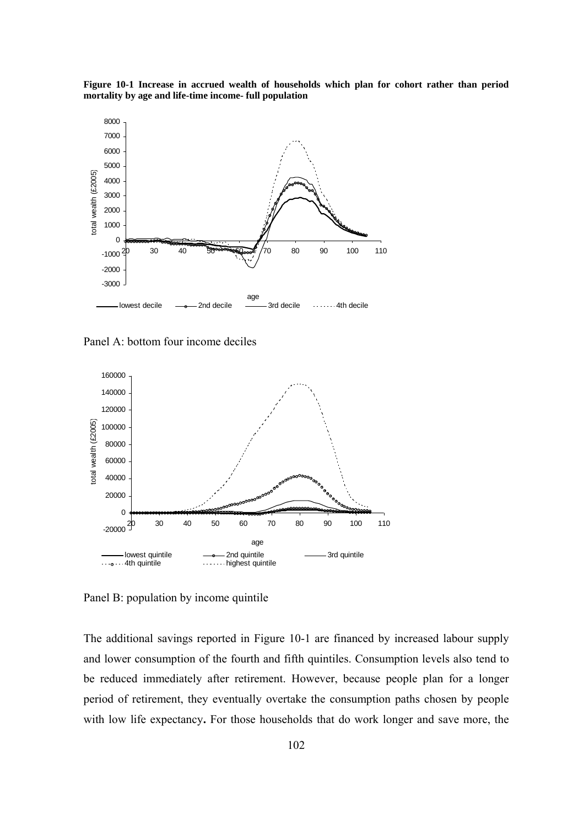**Figure 10-1 Increase in accrued wealth of households which plan for cohort rather than period mortality by age and life-time income- full population** 



Panel A: bottom four income deciles



Panel B: population by income quintile

The additional savings reported in Figure 10-1 are financed by increased labour supply and lower consumption of the fourth and fifth quintiles. Consumption levels also tend to be reduced immediately after retirement. However, because people plan for a longer period of retirement, they eventually overtake the consumption paths chosen by people with low life expectancy**.** For those households that do work longer and save more, the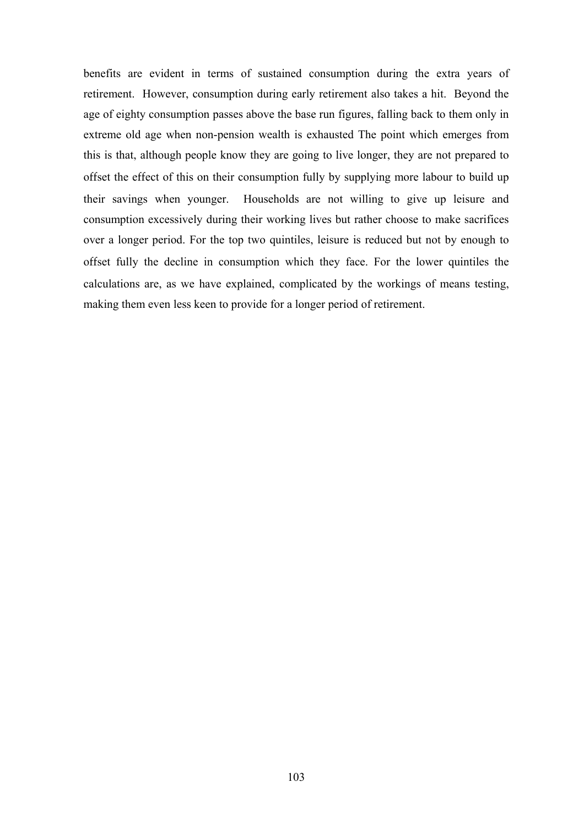benefits are evident in terms of sustained consumption during the extra years of retirement. However, consumption during early retirement also takes a hit. Beyond the age of eighty consumption passes above the base run figures, falling back to them only in extreme old age when non-pension wealth is exhausted The point which emerges from this is that, although people know they are going to live longer, they are not prepared to offset the effect of this on their consumption fully by supplying more labour to build up their savings when younger. Households are not willing to give up leisure and consumption excessively during their working lives but rather choose to make sacrifices over a longer period. For the top two quintiles, leisure is reduced but not by enough to offset fully the decline in consumption which they face. For the lower quintiles the calculations are, as we have explained, complicated by the workings of means testing, making them even less keen to provide for a longer period of retirement.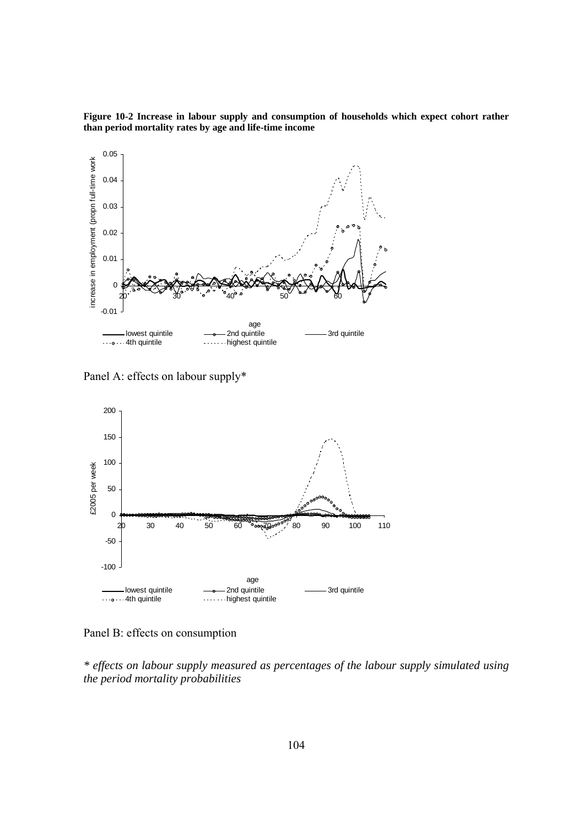

**Figure 10-2 Increase in labour supply and consumption of households which expect cohort rather than period mortality rates by age and life-time income** 

Panel A: effects on labour supply\*



Panel B: effects on consumption

*\* effects on labour supply measured as percentages of the labour supply simulated using the period mortality probabilities*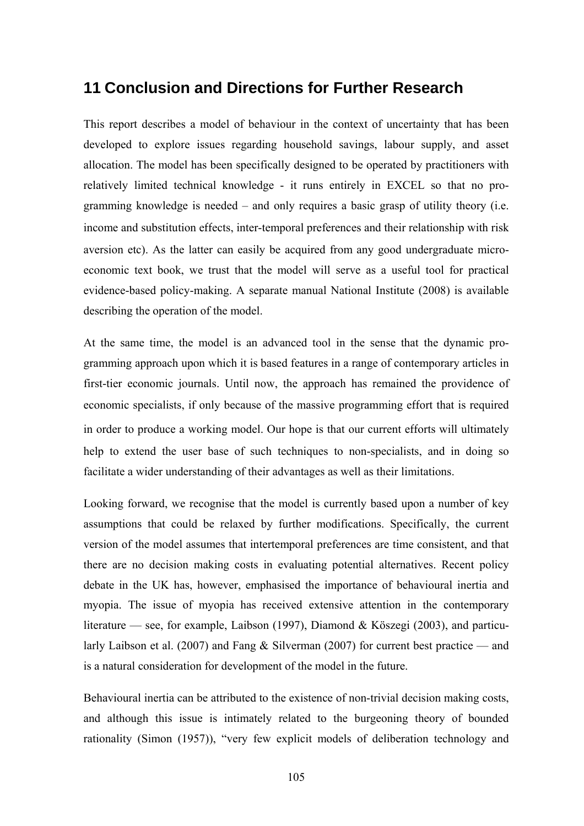## **11 Conclusion and Directions for Further Research**

This report describes a model of behaviour in the context of uncertainty that has been developed to explore issues regarding household savings, labour supply, and asset allocation. The model has been specifically designed to be operated by practitioners with relatively limited technical knowledge - it runs entirely in EXCEL so that no programming knowledge is needed – and only requires a basic grasp of utility theory (i.e. income and substitution effects, inter-temporal preferences and their relationship with risk aversion etc). As the latter can easily be acquired from any good undergraduate microeconomic text book, we trust that the model will serve as a useful tool for practical evidence-based policy-making. A separate manual National Institute (2008) is available describing the operation of the model.

At the same time, the model is an advanced tool in the sense that the dynamic programming approach upon which it is based features in a range of contemporary articles in first-tier economic journals. Until now, the approach has remained the providence of economic specialists, if only because of the massive programming effort that is required in order to produce a working model. Our hope is that our current efforts will ultimately help to extend the user base of such techniques to non-specialists, and in doing so facilitate a wider understanding of their advantages as well as their limitations.

Looking forward, we recognise that the model is currently based upon a number of key assumptions that could be relaxed by further modifications. Specifically, the current version of the model assumes that intertemporal preferences are time consistent, and that there are no decision making costs in evaluating potential alternatives. Recent policy debate in the UK has, however, emphasised the importance of behavioural inertia and myopia. The issue of myopia has received extensive attention in the contemporary literature — see, for example, Laibson (1997), Diamond & Köszegi (2003), and particularly Laibson et al. (2007) and Fang & Silverman (2007) for current best practice — and is a natural consideration for development of the model in the future.

Behavioural inertia can be attributed to the existence of non-trivial decision making costs, and although this issue is intimately related to the burgeoning theory of bounded rationality (Simon (1957)), "very few explicit models of deliberation technology and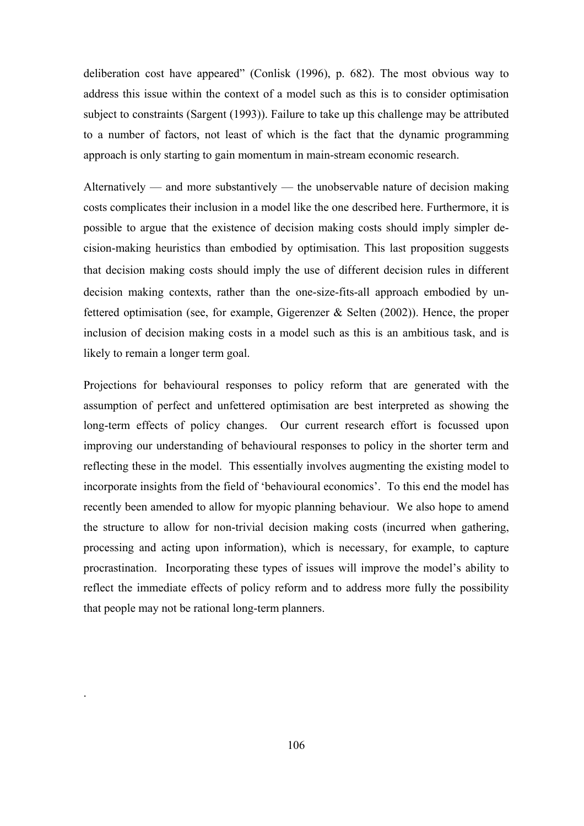deliberation cost have appeared" (Conlisk (1996), p. 682). The most obvious way to address this issue within the context of a model such as this is to consider optimisation subject to constraints (Sargent (1993)). Failure to take up this challenge may be attributed to a number of factors, not least of which is the fact that the dynamic programming approach is only starting to gain momentum in main-stream economic research.

Alternatively — and more substantively — the unobservable nature of decision making costs complicates their inclusion in a model like the one described here. Furthermore, it is possible to argue that the existence of decision making costs should imply simpler decision-making heuristics than embodied by optimisation. This last proposition suggests that decision making costs should imply the use of different decision rules in different decision making contexts, rather than the one-size-fits-all approach embodied by unfettered optimisation (see, for example, Gigerenzer & Selten (2002)). Hence, the proper inclusion of decision making costs in a model such as this is an ambitious task, and is likely to remain a longer term goal.

Projections for behavioural responses to policy reform that are generated with the assumption of perfect and unfettered optimisation are best interpreted as showing the long-term effects of policy changes. Our current research effort is focussed upon improving our understanding of behavioural responses to policy in the shorter term and reflecting these in the model. This essentially involves augmenting the existing model to incorporate insights from the field of 'behavioural economics'. To this end the model has recently been amended to allow for myopic planning behaviour. We also hope to amend the structure to allow for non-trivial decision making costs (incurred when gathering, processing and acting upon information), which is necessary, for example, to capture procrastination. Incorporating these types of issues will improve the model's ability to reflect the immediate effects of policy reform and to address more fully the possibility that people may not be rational long-term planners.

.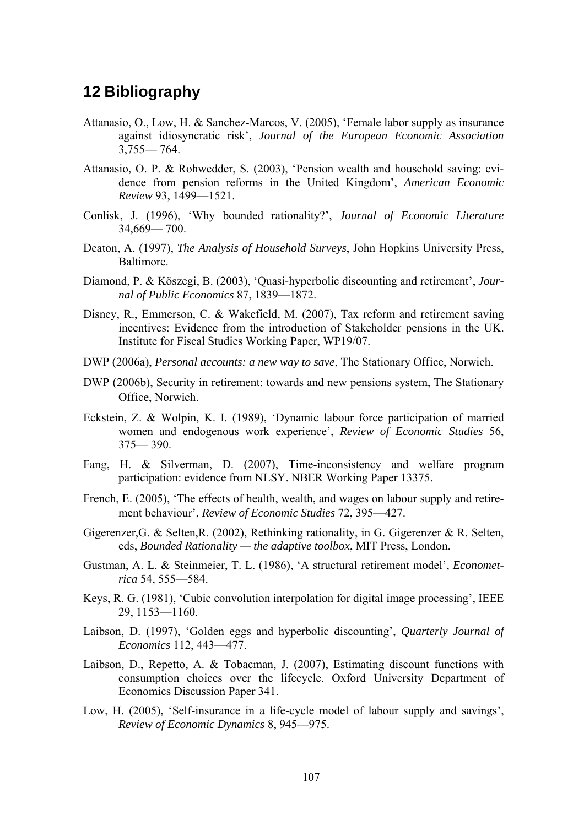## **12 Bibliography**

- Attanasio, O., Low, H. & Sanchez-Marcos, V. (2005), 'Female labor supply as insurance against idiosyncratic risk', *Journal of the European Economic Association* 3,755— 764.
- Attanasio, O. P. & Rohwedder, S. (2003), 'Pension wealth and household saving: evidence from pension reforms in the United Kingdom', *American Economic Review* 93, 1499—1521.
- Conlisk, J. (1996), 'Why bounded rationality?', *Journal of Economic Literature* 34,669— 700.
- Deaton, A. (1997), *The Analysis of Household Surveys*, John Hopkins University Press, Baltimore.
- Diamond, P. & Köszegi, B. (2003), 'Quasi-hyperbolic discounting and retirement', *Journal of Public Economics* 87, 1839—1872.
- Disney, R., Emmerson, C. & Wakefield, M. (2007), Tax reform and retirement saving incentives: Evidence from the introduction of Stakeholder pensions in the UK. Institute for Fiscal Studies Working Paper, WP19/07.
- DWP (2006a), *Personal accounts: a new way to save*, The Stationary Office, Norwich.
- DWP (2006b), Security in retirement: towards and new pensions system, The Stationary Office, Norwich.
- Eckstein, Z. & Wolpin, K. I. (1989), 'Dynamic labour force participation of married women and endogenous work experience', *Review of Economic Studies* 56, 375— 390.
- Fang, H. & Silverman, D. (2007), Time-inconsistency and welfare program participation: evidence from NLSY. NBER Working Paper 13375.
- French, E. (2005), 'The effects of health, wealth, and wages on labour supply and retirement behaviour', *Review of Economic Studies* 72, 395—427.
- Gigerenzer,G. & Selten,R. (2002), Rethinking rationality, in G. Gigerenzer & R. Selten, eds, *Bounded Rationality — the adaptive toolbox*, MIT Press, London.
- Gustman, A. L. & Steinmeier, T. L. (1986), 'A structural retirement model', *Econometrica* 54, 555—584.
- Keys, R. G. (1981), 'Cubic convolution interpolation for digital image processing', IEEE 29, 1153—1160.
- Laibson, D. (1997), 'Golden eggs and hyperbolic discounting', *Quarterly Journal of Economics* 112, 443—477.
- Laibson, D., Repetto, A. & Tobacman, J. (2007), Estimating discount functions with consumption choices over the lifecycle. Oxford University Department of Economics Discussion Paper 341.
- Low, H. (2005), 'Self-insurance in a life-cycle model of labour supply and savings', *Review of Economic Dynamics* 8, 945—975.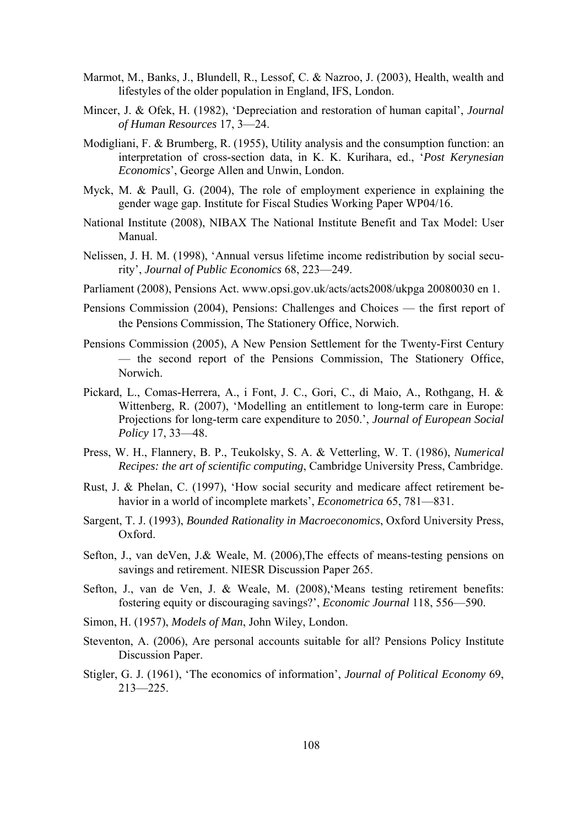- Marmot, M., Banks, J., Blundell, R., Lessof, C. & Nazroo, J. (2003), Health, wealth and lifestyles of the older population in England, IFS, London.
- Mincer, J. & Ofek, H. (1982), 'Depreciation and restoration of human capital', *Journal of Human Resources* 17, 3—24.
- Modigliani, F. & Brumberg, R. (1955), Utility analysis and the consumption function: an interpretation of cross-section data, in K. K. Kurihara, ed., '*Post Kerynesian Economics*', George Allen and Unwin, London.
- Myck, M. & Paull, G. (2004), The role of employment experience in explaining the gender wage gap. Institute for Fiscal Studies Working Paper WP04/16.
- National Institute (2008), NIBAX The National Institute Benefit and Tax Model: User Manual.
- Nelissen, J. H. M. (1998), 'Annual versus lifetime income redistribution by social security', *Journal of Public Economics* 68, 223—249.
- Parliament (2008), Pensions Act. www.opsi.gov.uk/acts/acts2008/ukpga 20080030 en 1.
- Pensions Commission (2004), Pensions: Challenges and Choices the first report of the Pensions Commission, The Stationery Office, Norwich.
- Pensions Commission (2005), A New Pension Settlement for the Twenty-First Century — the second report of the Pensions Commission, The Stationery Office, Norwich.
- Pickard, L., Comas-Herrera, A., i Font, J. C., Gori, C., di Maio, A., Rothgang, H. & Wittenberg, R. (2007), 'Modelling an entitlement to long-term care in Europe: Projections for long-term care expenditure to 2050.', *Journal of European Social Policy* 17, 33—48.
- Press, W. H., Flannery, B. P., Teukolsky, S. A. & Vetterling, W. T. (1986), *Numerical Recipes: the art of scientific computing*, Cambridge University Press, Cambridge.
- Rust, J. & Phelan, C. (1997), 'How social security and medicare affect retirement behavior in a world of incomplete markets', *Econometrica* 65, 781—831.
- Sargent, T. J. (1993), *Bounded Rationality in Macroeconomics*, Oxford University Press, Oxford.
- Sefton, J., van deVen, J.& Weale, M. (2006),The effects of means-testing pensions on savings and retirement. NIESR Discussion Paper 265.
- Sefton, J., van de Ven, J. & Weale, M. (2008),'Means testing retirement benefits: fostering equity or discouraging savings?', *Economic Journal* 118, 556—590.
- Simon, H. (1957), *Models of Man*, John Wiley, London.
- Steventon, A. (2006), Are personal accounts suitable for all? Pensions Policy Institute Discussion Paper.
- Stigler, G. J. (1961), 'The economics of information', *Journal of Political Economy* 69, 213—225.